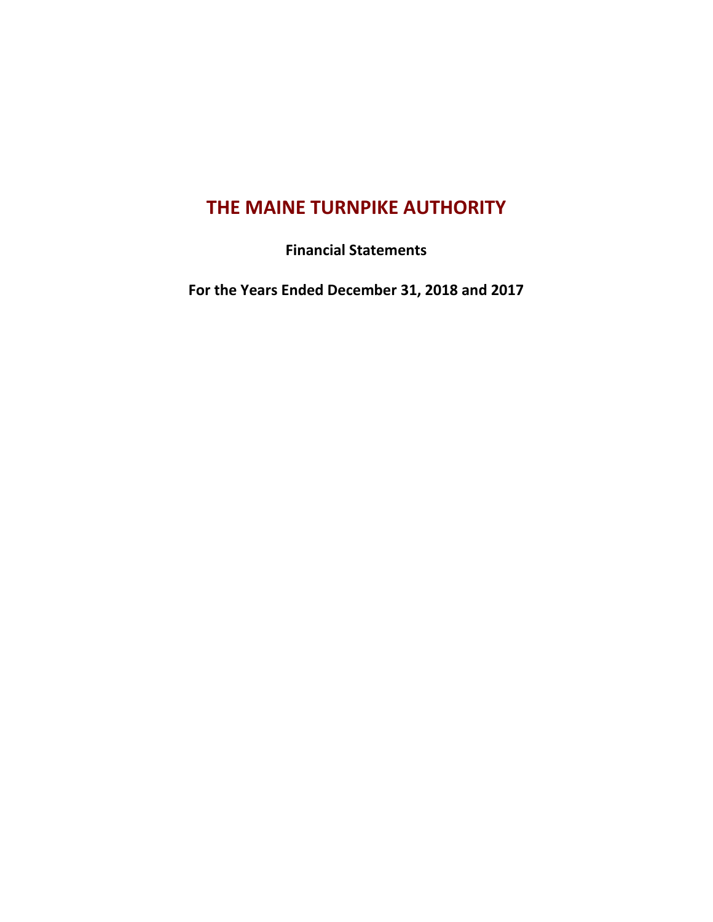# **THE MAINE TURNPIKE AUTHORITY**

**Financial Statements**

**For the Years Ended December 31, 2018 and 2017**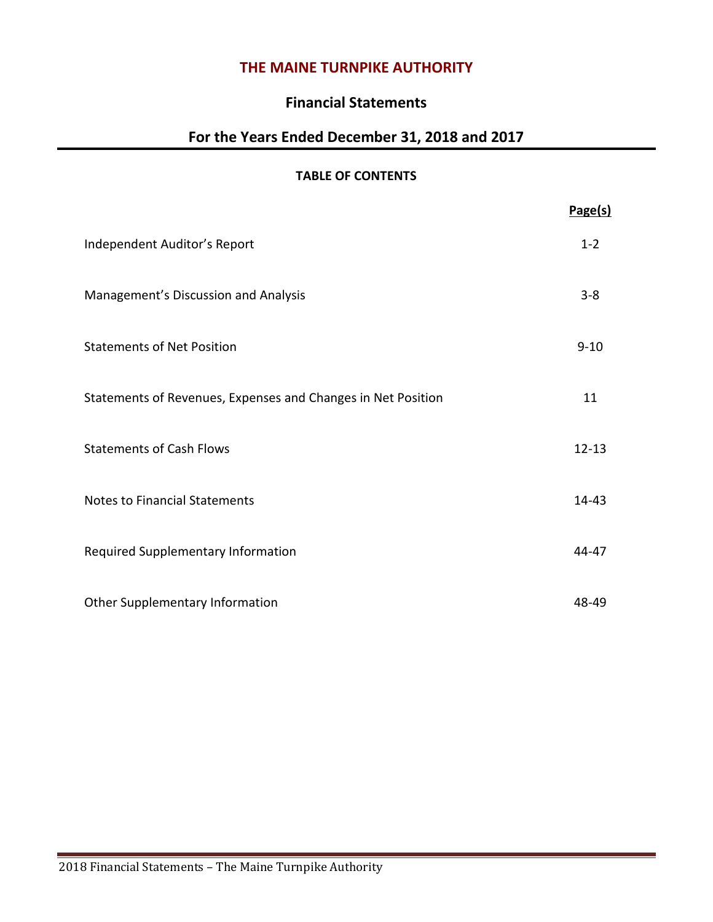# **THE MAINE TURNPIKE AUTHORITY**

# **Financial Statements**

# **For the Years Ended December 31, 2018 and 2017**

### **TABLE OF CONTENTS**

|                                                              | Page(s)   |
|--------------------------------------------------------------|-----------|
| Independent Auditor's Report                                 | $1 - 2$   |
| Management's Discussion and Analysis                         | $3 - 8$   |
| <b>Statements of Net Position</b>                            | $9 - 10$  |
| Statements of Revenues, Expenses and Changes in Net Position | 11        |
| <b>Statements of Cash Flows</b>                              | $12 - 13$ |
| <b>Notes to Financial Statements</b>                         | $14 - 43$ |
| Required Supplementary Information                           | 44-47     |
| Other Supplementary Information                              | 48-49     |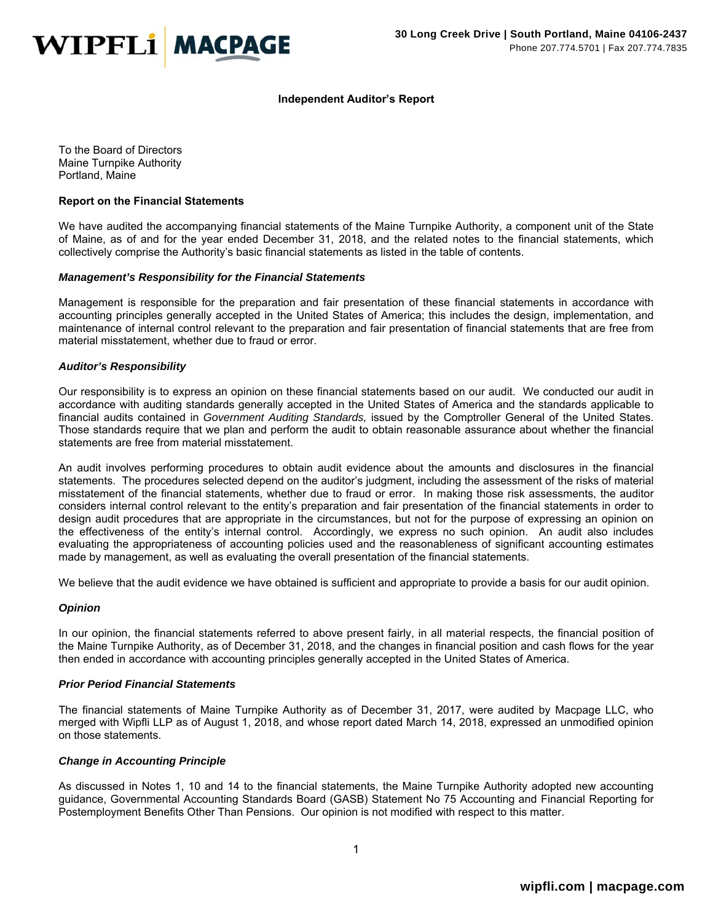

#### **Independent Auditor's Report**

To the Board of Directors Maine Turnpike Authority Portland, Maine

#### **Report on the Financial Statements**

We have audited the accompanying financial statements of the Maine Turnpike Authority, a component unit of the State of Maine, as of and for the year ended December 31, 2018, and the related notes to the financial statements, which collectively comprise the Authority's basic financial statements as listed in the table of contents.

#### *Management's Responsibility for the Financial Statements*

Management is responsible for the preparation and fair presentation of these financial statements in accordance with accounting principles generally accepted in the United States of America; this includes the design, implementation, and maintenance of internal control relevant to the preparation and fair presentation of financial statements that are free from material misstatement, whether due to fraud or error.

#### *Auditor's Responsibility*

Our responsibility is to express an opinion on these financial statements based on our audit. We conducted our audit in accordance with auditing standards generally accepted in the United States of America and the standards applicable to financial audits contained in *Government Auditing Standards,* issued by the Comptroller General of the United States. Those standards require that we plan and perform the audit to obtain reasonable assurance about whether the financial statements are free from material misstatement.

An audit involves performing procedures to obtain audit evidence about the amounts and disclosures in the financial statements. The procedures selected depend on the auditor's judgment, including the assessment of the risks of material misstatement of the financial statements, whether due to fraud or error. In making those risk assessments, the auditor considers internal control relevant to the entity's preparation and fair presentation of the financial statements in order to design audit procedures that are appropriate in the circumstances, but not for the purpose of expressing an opinion on the effectiveness of the entity's internal control. Accordingly, we express no such opinion. An audit also includes evaluating the appropriateness of accounting policies used and the reasonableness of significant accounting estimates made by management, as well as evaluating the overall presentation of the financial statements.

We believe that the audit evidence we have obtained is sufficient and appropriate to provide a basis for our audit opinion.

#### *Opinion*

In our opinion, the financial statements referred to above present fairly, in all material respects, the financial position of the Maine Turnpike Authority, as of December 31, 2018, and the changes in financial position and cash flows for the year then ended in accordance with accounting principles generally accepted in the United States of America.

#### *Prior Period Financial Statements*

The financial statements of Maine Turnpike Authority as of December 31, 2017, were audited by Macpage LLC, who merged with Wipfli LLP as of August 1, 2018, and whose report dated March 14, 2018, expressed an unmodified opinion on those statements.

#### *Change in Accounting Principle*

As discussed in Notes 1, 10 and 14 to the financial statements, the Maine Turnpike Authority adopted new accounting guidance, Governmental Accounting Standards Board (GASB) Statement No 75 Accounting and Financial Reporting for Postemployment Benefits Other Than Pensions. Our opinion is not modified with respect to this matter.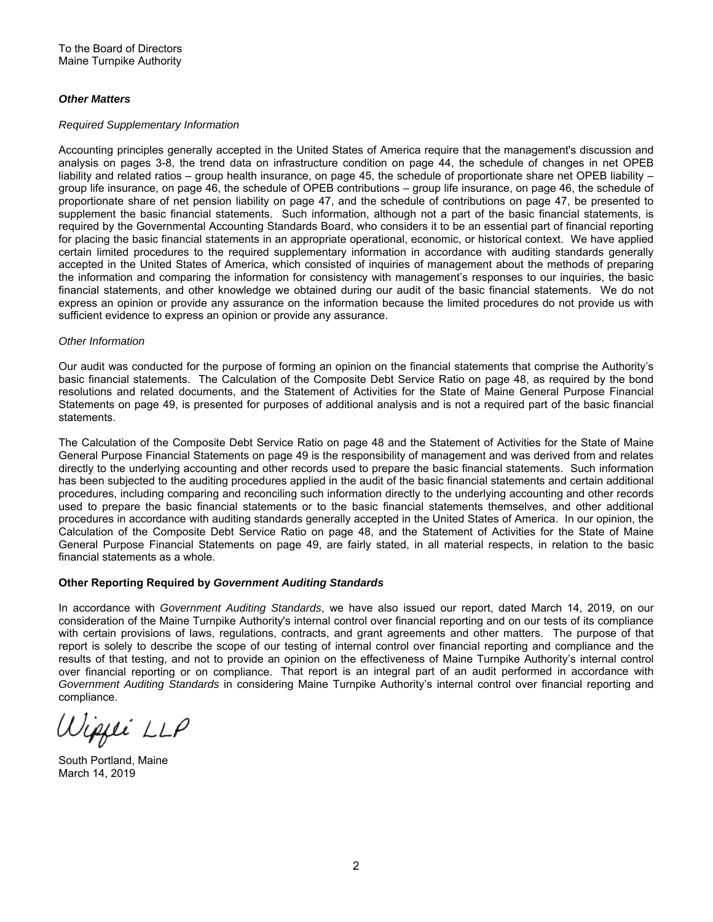#### *Other Matters*

#### *Required Supplementary Information*

Accounting principles generally accepted in the United States of America require that the management's discussion and analysis on pages 3-8, the trend data on infrastructure condition on page 44, the schedule of changes in net OPEB liability and related ratios – group health insurance, on page 45, the schedule of proportionate share net OPEB liability – group life insurance, on page 46, the schedule of OPEB contributions – group life insurance, on page 46, the schedule of proportionate share of net pension liability on page 47, and the schedule of contributions on page 47, be presented to supplement the basic financial statements. Such information, although not a part of the basic financial statements, is required by the Governmental Accounting Standards Board, who considers it to be an essential part of financial reporting for placing the basic financial statements in an appropriate operational, economic, or historical context. We have applied certain limited procedures to the required supplementary information in accordance with auditing standards generally accepted in the United States of America, which consisted of inquiries of management about the methods of preparing the information and comparing the information for consistency with management's responses to our inquiries, the basic financial statements, and other knowledge we obtained during our audit of the basic financial statements. We do not express an opinion or provide any assurance on the information because the limited procedures do not provide us with sufficient evidence to express an opinion or provide any assurance.

#### *Other Information*

Our audit was conducted for the purpose of forming an opinion on the financial statements that comprise the Authority's basic financial statements. The Calculation of the Composite Debt Service Ratio on page 48, as required by the bond resolutions and related documents, and the Statement of Activities for the State of Maine General Purpose Financial Statements on page 49, is presented for purposes of additional analysis and is not a required part of the basic financial statements.

The Calculation of the Composite Debt Service Ratio on page 48 and the Statement of Activities for the State of Maine General Purpose Financial Statements on page 49 is the responsibility of management and was derived from and relates directly to the underlying accounting and other records used to prepare the basic financial statements. Such information has been subjected to the auditing procedures applied in the audit of the basic financial statements and certain additional procedures, including comparing and reconciling such information directly to the underlying accounting and other records used to prepare the basic financial statements or to the basic financial statements themselves, and other additional procedures in accordance with auditing standards generally accepted in the United States of America. In our opinion, the Calculation of the Composite Debt Service Ratio on page 48, and the Statement of Activities for the State of Maine General Purpose Financial Statements on page 49, are fairly stated, in all material respects, in relation to the basic financial statements as a whole.

#### **Other Reporting Required by** *Government Auditing Standards*

In accordance with *Government Auditing Standards*, we have also issued our report, dated March 14, 2019, on our consideration of the Maine Turnpike Authority's internal control over financial reporting and on our tests of its compliance with certain provisions of laws, regulations, contracts, and grant agreements and other matters. The purpose of that report is solely to describe the scope of our testing of internal control over financial reporting and compliance and the results of that testing, and not to provide an opinion on the effectiveness of Maine Turnpike Authority's internal control over financial reporting or on compliance. That report is an integral part of an audit performed in accordance with *Government Auditing Standards* in considering Maine Turnpike Authority's internal control over financial reporting and compliance.

rippei LLP

South Portland, Maine March 14, 2019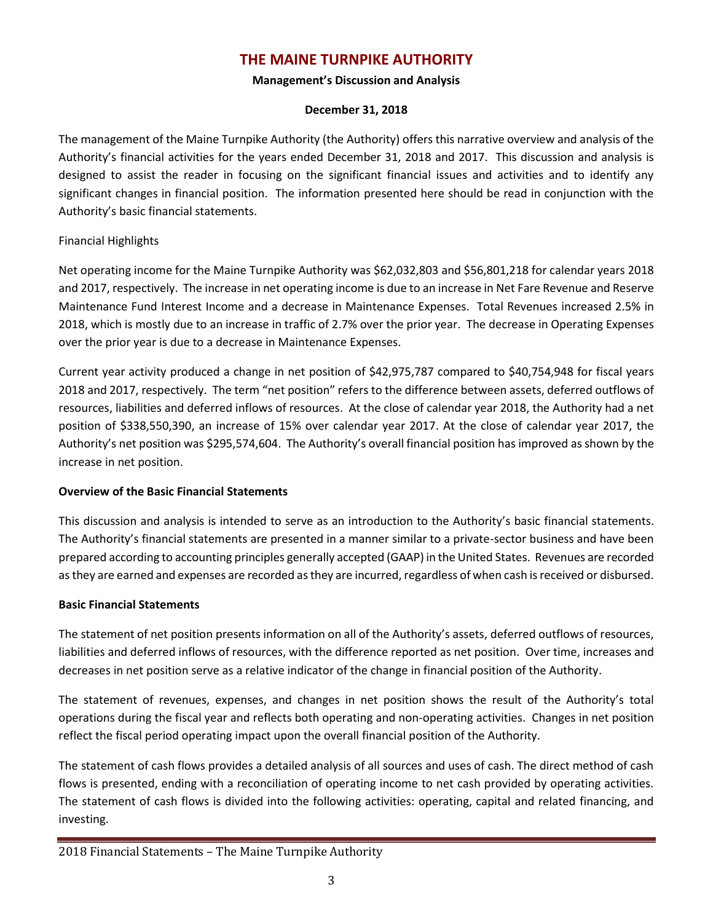# **THE MAINE TURNPIKE AUTHORITY**

### **Management's Discussion and Analysis**

### **December 31, 2018**

The management of the Maine Turnpike Authority (the Authority) offers this narrative overview and analysis of the Authority's financial activities for the years ended December 31, 2018 and 2017. This discussion and analysis is designed to assist the reader in focusing on the significant financial issues and activities and to identify any significant changes in financial position. The information presented here should be read in conjunction with the Authority's basic financial statements.

### Financial Highlights

Net operating income for the Maine Turnpike Authority was \$62,032,803 and \$56,801,218 for calendar years 2018 and 2017, respectively. The increase in net operating income is due to an increase in Net Fare Revenue and Reserve Maintenance Fund Interest Income and a decrease in Maintenance Expenses. Total Revenues increased 2.5% in 2018, which is mostly due to an increase in traffic of 2.7% over the prior year. The decrease in Operating Expenses over the prior year is due to a decrease in Maintenance Expenses.

Current year activity produced a change in net position of \$42,975,787 compared to \$40,754,948 for fiscal years 2018 and 2017, respectively. The term "net position" refers to the difference between assets, deferred outflows of resources, liabilities and deferred inflows of resources. At the close of calendar year 2018, the Authority had a net position of \$338,550,390, an increase of 15% over calendar year 2017. At the close of calendar year 2017, the Authority's net position was \$295,574,604. The Authority's overall financial position has improved as shown by the increase in net position.

### **Overview of the Basic Financial Statements**

This discussion and analysis is intended to serve as an introduction to the Authority's basic financial statements. The Authority's financial statements are presented in a manner similar to a private-sector business and have been prepared according to accounting principles generally accepted (GAAP) in the United States. Revenues are recorded as they are earned and expenses are recorded as they are incurred, regardless of when cash is received or disbursed.

### **Basic Financial Statements**

The statement of net position presents information on all of the Authority's assets, deferred outflows of resources, liabilities and deferred inflows of resources, with the difference reported as net position. Over time, increases and decreases in net position serve as a relative indicator of the change in financial position of the Authority.

The statement of revenues, expenses, and changes in net position shows the result of the Authority's total operations during the fiscal year and reflects both operating and non-operating activities. Changes in net position reflect the fiscal period operating impact upon the overall financial position of the Authority.

The statement of cash flows provides a detailed analysis of all sources and uses of cash. The direct method of cash flows is presented, ending with a reconciliation of operating income to net cash provided by operating activities. The statement of cash flows is divided into the following activities: operating, capital and related financing, and investing.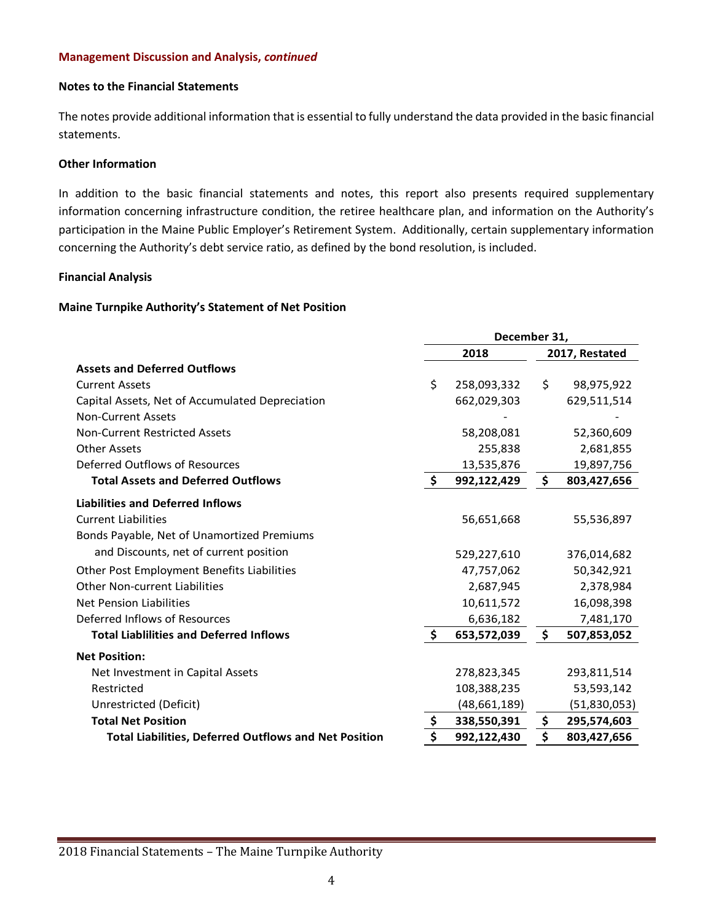### **Notes to the Financial Statements**

The notes provide additional information that is essential to fully understand the data provided in the basic financial statements.

### **Other Information**

In addition to the basic financial statements and notes, this report also presents required supplementary information concerning infrastructure condition, the retiree healthcare plan, and information on the Authority's participation in the Maine Public Employer's Retirement System. Additionally, certain supplementary information concerning the Authority's debt service ratio, as defined by the bond resolution, is included.

### **Financial Analysis**

### **Maine Turnpike Authority's Statement of Net Position**

|                                                              | December 31, |              |     |                |
|--------------------------------------------------------------|--------------|--------------|-----|----------------|
|                                                              | 2018         |              |     | 2017, Restated |
| <b>Assets and Deferred Outflows</b>                          |              |              |     |                |
| <b>Current Assets</b>                                        | \$           | 258,093,332  | \$. | 98,975,922     |
| Capital Assets, Net of Accumulated Depreciation              |              | 662,029,303  |     | 629,511,514    |
| <b>Non-Current Assets</b>                                    |              |              |     |                |
| Non-Current Restricted Assets                                |              | 58,208,081   |     | 52,360,609     |
| <b>Other Assets</b>                                          |              | 255,838      |     | 2,681,855      |
| Deferred Outflows of Resources                               |              | 13,535,876   |     | 19,897,756     |
| <b>Total Assets and Deferred Outflows</b>                    | \$           | 992,122,429  | \$  | 803,427,656    |
| <b>Liabilities and Deferred Inflows</b>                      |              |              |     |                |
| <b>Current Liabilities</b>                                   |              | 56,651,668   |     | 55,536,897     |
| Bonds Payable, Net of Unamortized Premiums                   |              |              |     |                |
| and Discounts, net of current position                       |              | 529,227,610  |     | 376,014,682    |
| Other Post Employment Benefits Liabilities                   |              | 47,757,062   |     | 50,342,921     |
| Other Non-current Liabilities                                |              | 2,687,945    |     | 2,378,984      |
| Net Pension Liabilities                                      |              | 10,611,572   |     | 16,098,398     |
| Deferred Inflows of Resources                                |              | 6,636,182    |     | 7,481,170      |
| <b>Total Liablilities and Deferred Inflows</b>               | \$           | 653,572,039  | \$  | 507,853,052    |
| <b>Net Position:</b>                                         |              |              |     |                |
| Net Investment in Capital Assets                             |              | 278,823,345  |     | 293,811,514    |
| Restricted                                                   |              | 108,388,235  |     | 53,593,142     |
| Unrestricted (Deficit)                                       |              | (48,661,189) |     | (51,830,053)   |
| <b>Total Net Position</b>                                    |              | 338,550,391  | \$  | 295,574,603    |
| <b>Total Liabilities, Deferred Outflows and Net Position</b> | \$           | 992,122,430  | \$  | 803,427,656    |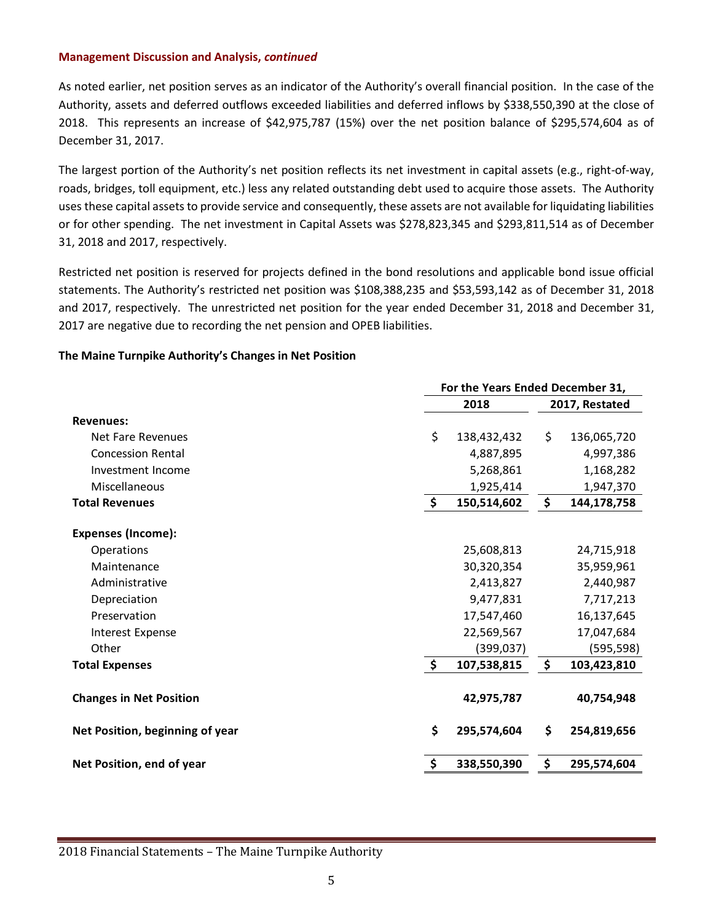As noted earlier, net position serves as an indicator of the Authority's overall financial position. In the case of the Authority, assets and deferred outflows exceeded liabilities and deferred inflows by \$338,550,390 at the close of 2018. This represents an increase of \$42,975,787 (15%) over the net position balance of \$295,574,604 as of December 31, 2017.

The largest portion of the Authority's net position reflects its net investment in capital assets (e.g., right-of-way, roads, bridges, toll equipment, etc.) less any related outstanding debt used to acquire those assets. The Authority uses these capital assets to provide service and consequently, these assets are not available for liquidating liabilities or for other spending. The net investment in Capital Assets was \$278,823,345 and \$293,811,514 as of December 31, 2018 and 2017, respectively.

Restricted net position is reserved for projects defined in the bond resolutions and applicable bond issue official statements. The Authority's restricted net position was \$108,388,235 and \$53,593,142 as of December 31, 2018 and 2017, respectively. The unrestricted net position for the year ended December 31, 2018 and December 31, 2017 are negative due to recording the net pension and OPEB liabilities.

### **The Maine Turnpike Authority's Changes in Net Position**

|                                 | For the Years Ended December 31, |             |                |             |  |
|---------------------------------|----------------------------------|-------------|----------------|-------------|--|
|                                 |                                  | 2018        | 2017, Restated |             |  |
| <b>Revenues:</b>                |                                  |             |                |             |  |
| Net Fare Revenues               | \$                               | 138,432,432 | \$             | 136,065,720 |  |
| <b>Concession Rental</b>        |                                  | 4,887,895   |                | 4,997,386   |  |
| Investment Income               |                                  | 5,268,861   |                | 1,168,282   |  |
| Miscellaneous                   |                                  | 1,925,414   |                | 1,947,370   |  |
| <b>Total Revenues</b>           | \$                               | 150,514,602 | \$             | 144,178,758 |  |
| <b>Expenses (Income):</b>       |                                  |             |                |             |  |
| Operations                      |                                  | 25,608,813  |                | 24,715,918  |  |
| Maintenance                     |                                  | 30,320,354  |                | 35,959,961  |  |
| Administrative                  |                                  | 2,413,827   |                | 2,440,987   |  |
| Depreciation                    |                                  | 9,477,831   |                | 7,717,213   |  |
| Preservation                    |                                  | 17,547,460  |                | 16,137,645  |  |
| <b>Interest Expense</b>         |                                  | 22,569,567  |                | 17,047,684  |  |
| Other                           |                                  | (399, 037)  |                | (595, 598)  |  |
| <b>Total Expenses</b>           | \$                               | 107,538,815 | \$             | 103,423,810 |  |
| <b>Changes in Net Position</b>  |                                  | 42,975,787  |                | 40,754,948  |  |
| Net Position, beginning of year | \$                               | 295,574,604 | \$             | 254,819,656 |  |
| Net Position, end of year       | \$                               | 338,550,390 | \$             | 295,574,604 |  |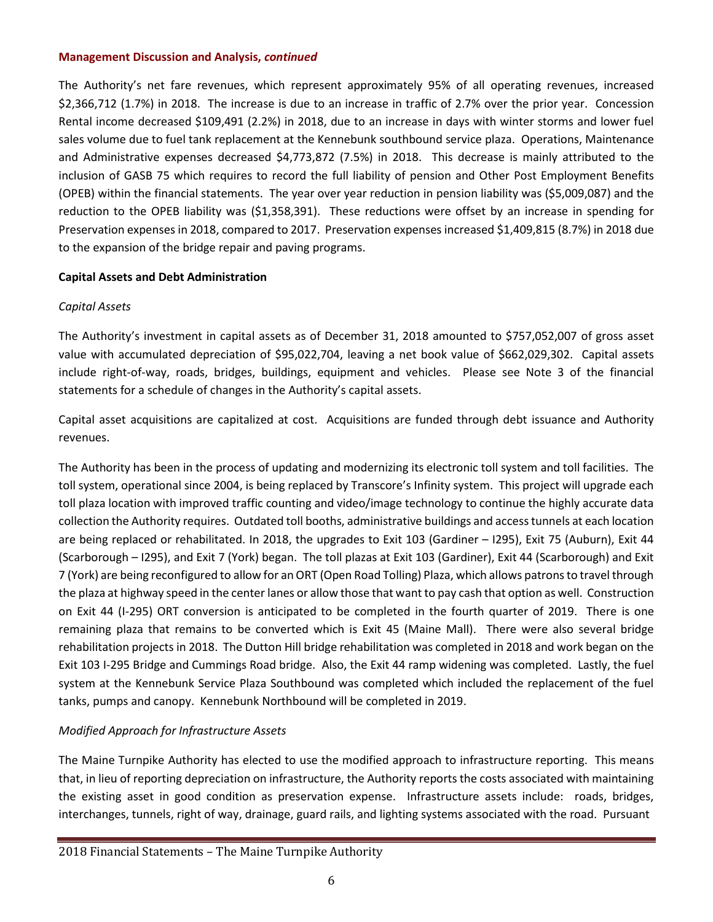The Authority's net fare revenues, which represent approximately 95% of all operating revenues, increased \$2,366,712 (1.7%) in 2018. The increase is due to an increase in traffic of 2.7% over the prior year. Concession Rental income decreased \$109,491 (2.2%) in 2018, due to an increase in days with winter storms and lower fuel sales volume due to fuel tank replacement at the Kennebunk southbound service plaza. Operations, Maintenance and Administrative expenses decreased \$4,773,872 (7.5%) in 2018. This decrease is mainly attributed to the inclusion of GASB 75 which requires to record the full liability of pension and Other Post Employment Benefits (OPEB) within the financial statements. The year over year reduction in pension liability was (\$5,009,087) and the reduction to the OPEB liability was (\$1,358,391). These reductions were offset by an increase in spending for Preservation expenses in 2018, compared to 2017. Preservation expenses increased \$1,409,815 (8.7%) in 2018 due to the expansion of the bridge repair and paving programs.

### **Capital Assets and Debt Administration**

### *Capital Assets*

The Authority's investment in capital assets as of December 31, 2018 amounted to \$757,052,007 of gross asset value with accumulated depreciation of \$95,022,704, leaving a net book value of \$662,029,302. Capital assets include right-of-way, roads, bridges, buildings, equipment and vehicles. Please see Note 3 of the financial statements for a schedule of changes in the Authority's capital assets.

Capital asset acquisitions are capitalized at cost. Acquisitions are funded through debt issuance and Authority revenues.

The Authority has been in the process of updating and modernizing its electronic toll system and toll facilities. The toll system, operational since 2004, is being replaced by Transcore's Infinity system. This project will upgrade each toll plaza location with improved traffic counting and video/image technology to continue the highly accurate data collection the Authority requires. Outdated toll booths, administrative buildings and access tunnels at each location are being replaced or rehabilitated. In 2018, the upgrades to Exit 103 (Gardiner – I295), Exit 75 (Auburn), Exit 44 (Scarborough – I295), and Exit 7 (York) began. The toll plazas at Exit 103 (Gardiner), Exit 44 (Scarborough) and Exit 7 (York) are being reconfigured to allow for an ORT (Open Road Tolling) Plaza, which allows patrons to travel through the plaza at highway speed in the center lanes or allow those that want to pay cash that option as well. Construction on Exit 44 (I-295) ORT conversion is anticipated to be completed in the fourth quarter of 2019. There is one remaining plaza that remains to be converted which is Exit 45 (Maine Mall). There were also several bridge rehabilitation projects in 2018. The Dutton Hill bridge rehabilitation was completed in 2018 and work began on the Exit 103 I-295 Bridge and Cummings Road bridge. Also, the Exit 44 ramp widening was completed. Lastly, the fuel system at the Kennebunk Service Plaza Southbound was completed which included the replacement of the fuel tanks, pumps and canopy. Kennebunk Northbound will be completed in 2019.

### *Modified Approach for Infrastructure Assets*

The Maine Turnpike Authority has elected to use the modified approach to infrastructure reporting. This means that, in lieu of reporting depreciation on infrastructure, the Authority reports the costs associated with maintaining the existing asset in good condition as preservation expense. Infrastructure assets include: roads, bridges, interchanges, tunnels, right of way, drainage, guard rails, and lighting systems associated with the road. Pursuant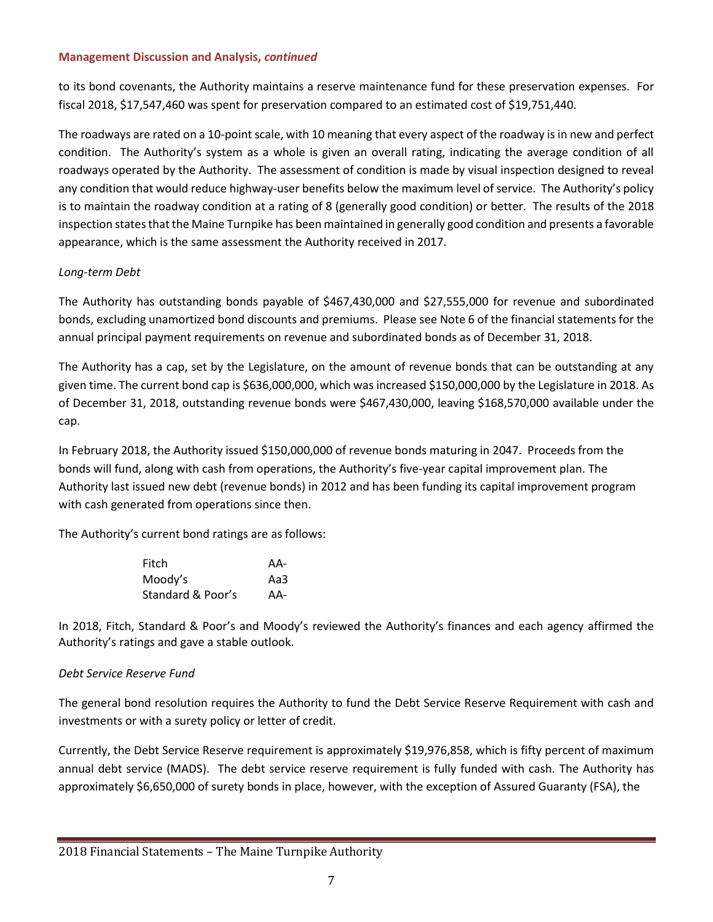to its bond covenants, the Authority maintains a reserve maintenance fund for these preservation expenses. For fiscal 2018, \$17,547,460 was spent for preservation compared to an estimated cost of \$19,751,440.

The roadways are rated on a 10-point scale, with 10 meaning that every aspect of the roadway is in new and perfect condition. The Authority's system as a whole is given an overall rating, indicating the average condition of all roadways operated by the Authority. The assessment of condition is made by visual inspection designed to reveal any condition that would reduce highway-user benefits below the maximum level of service. The Authority's policy is to maintain the roadway condition at a rating of 8 (generally good condition) or better. The results of the 2018 inspection states that the Maine Turnpike has been maintained in generally good condition and presents a favorable appearance, which is the same assessment the Authority received in 2017.

### *Long-term Debt*

The Authority has outstanding bonds payable of \$467,430,000 and \$27,555,000 for revenue and subordinated bonds, excluding unamortized bond discounts and premiums. Please see Note 6 of the financial statements for the annual principal payment requirements on revenue and subordinated bonds as of December 31, 2018.

The Authority has a cap, set by the Legislature, on the amount of revenue bonds that can be outstanding at any given time. The current bond cap is \$636,000,000, which was increased \$150,000,000 by the Legislature in 2018. As of December 31, 2018, outstanding revenue bonds were \$467,430,000, leaving \$168,570,000 available under the cap.

In February 2018, the Authority issued \$150,000,000 of revenue bonds maturing in 2047. Proceeds from the bonds will fund, along with cash from operations, the Authority's five-year capital improvement plan. The Authority last issued new debt (revenue bonds) in 2012 and has been funding its capital improvement program with cash generated from operations since then.

The Authority's current bond ratings are as follows:

| Fitch             | AA- |
|-------------------|-----|
| Moody's           | Aa3 |
| Standard & Poor's | AA- |

In 2018, Fitch, Standard & Poor's and Moody's reviewed the Authority's finances and each agency affirmed the Authority's ratings and gave a stable outlook.

### *Debt Service Reserve Fund*

The general bond resolution requires the Authority to fund the Debt Service Reserve Requirement with cash and investments or with a surety policy or letter of credit.

Currently, the Debt Service Reserve requirement is approximately \$19,976,858, which is fifty percent of maximum annual debt service (MADS). The debt service reserve requirement is fully funded with cash. The Authority has approximately \$6,650,000 of surety bonds in place, however, with the exception of Assured Guaranty (FSA), the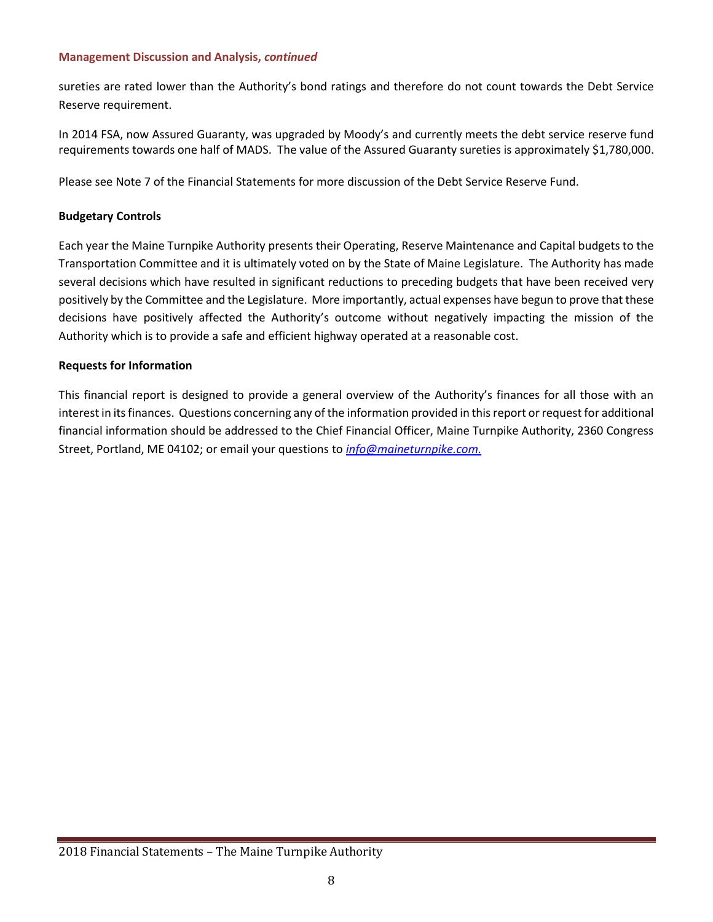sureties are rated lower than the Authority's bond ratings and therefore do not count towards the Debt Service Reserve requirement.

In 2014 FSA, now Assured Guaranty, was upgraded by Moody's and currently meets the debt service reserve fund requirements towards one half of MADS. The value of the Assured Guaranty sureties is approximately \$1,780,000.

Please see Note 7 of the Financial Statements for more discussion of the Debt Service Reserve Fund.

### **Budgetary Controls**

Each year the Maine Turnpike Authority presents their Operating, Reserve Maintenance and Capital budgets to the Transportation Committee and it is ultimately voted on by the State of Maine Legislature. The Authority has made several decisions which have resulted in significant reductions to preceding budgets that have been received very positively by the Committee and the Legislature. More importantly, actual expenses have begun to prove that these decisions have positively affected the Authority's outcome without negatively impacting the mission of the Authority which is to provide a safe and efficient highway operated at a reasonable cost.

### **Requests for Information**

This financial report is designed to provide a general overview of the Authority's finances for all those with an interest in its finances. Questions concerning any of the information provided in this report or request for additional financial information should be addressed to the Chief Financial Officer, Maine Turnpike Authority, 2360 Congress Street, Portland, ME 04102; or email your questions to *[info@maineturnpike.com.](mailto:info@maineturnpike.com)*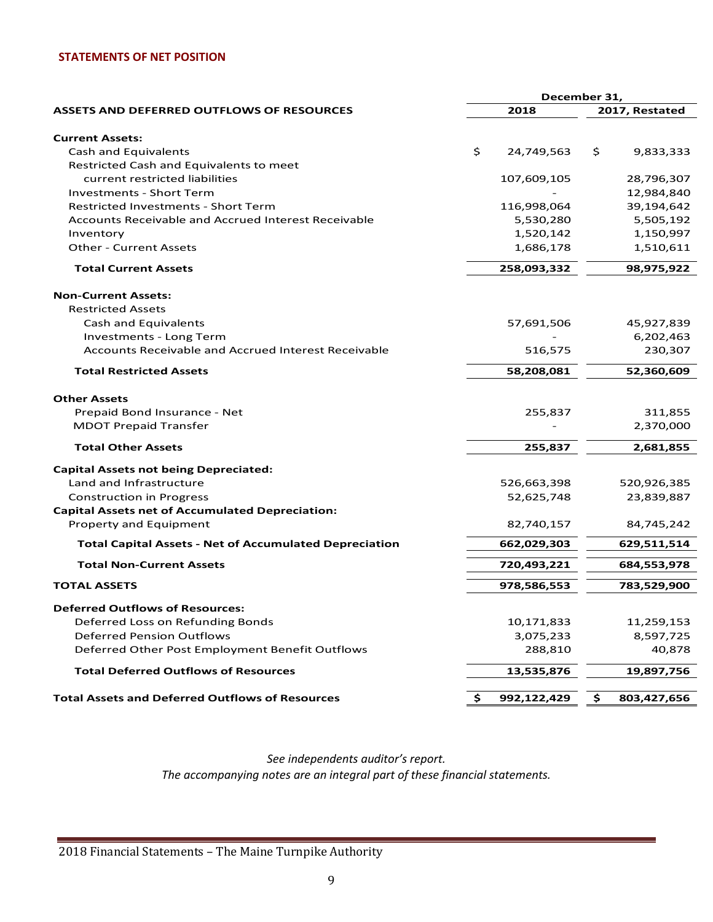### **STATEMENTS OF NET POSITION**

|                                                               | December 31,      |                   |  |  |  |
|---------------------------------------------------------------|-------------------|-------------------|--|--|--|
| <b>ASSETS AND DEFERRED OUTFLOWS OF RESOURCES</b>              | 2018              |                   |  |  |  |
| <b>Current Assets:</b>                                        |                   |                   |  |  |  |
| Cash and Equivalents                                          | \$<br>24,749,563  | \$<br>9,833,333   |  |  |  |
| Restricted Cash and Equivalents to meet                       |                   |                   |  |  |  |
| current restricted liabilities                                | 107,609,105       | 28,796,307        |  |  |  |
| <b>Investments - Short Term</b>                               |                   | 12,984,840        |  |  |  |
| <b>Restricted Investments - Short Term</b>                    | 116,998,064       | 39,194,642        |  |  |  |
| Accounts Receivable and Accrued Interest Receivable           | 5,530,280         | 5,505,192         |  |  |  |
| Inventory                                                     | 1,520,142         | 1,150,997         |  |  |  |
| <b>Other - Current Assets</b>                                 | 1,686,178         | 1,510,611         |  |  |  |
| <b>Total Current Assets</b>                                   | 258,093,332       | 98,975,922        |  |  |  |
| <b>Non-Current Assets:</b>                                    |                   |                   |  |  |  |
| <b>Restricted Assets</b>                                      |                   |                   |  |  |  |
| <b>Cash and Equivalents</b>                                   | 57,691,506        | 45,927,839        |  |  |  |
| Investments - Long Term                                       |                   | 6,202,463         |  |  |  |
| Accounts Receivable and Accrued Interest Receivable           | 516,575           | 230,307           |  |  |  |
| <b>Total Restricted Assets</b>                                | 58,208,081        | 52,360,609        |  |  |  |
| <b>Other Assets</b>                                           |                   |                   |  |  |  |
| Prepaid Bond Insurance - Net                                  | 255,837           | 311,855           |  |  |  |
| <b>MDOT Prepaid Transfer</b>                                  |                   | 2,370,000         |  |  |  |
| <b>Total Other Assets</b>                                     | 255,837           | 2,681,855         |  |  |  |
| <b>Capital Assets not being Depreciated:</b>                  |                   |                   |  |  |  |
| Land and Infrastructure                                       | 526,663,398       | 520,926,385       |  |  |  |
| <b>Construction in Progress</b>                               | 52,625,748        | 23,839,887        |  |  |  |
| <b>Capital Assets net of Accumulated Depreciation:</b>        |                   |                   |  |  |  |
| Property and Equipment                                        | 82,740,157        | 84,745,242        |  |  |  |
| <b>Total Capital Assets - Net of Accumulated Depreciation</b> | 662,029,303       | 629,511,514       |  |  |  |
| <b>Total Non-Current Assets</b>                               | 720,493,221       | 684,553,978       |  |  |  |
| <b>TOTAL ASSETS</b>                                           | 978,586,553       | 783,529,900       |  |  |  |
| <b>Deferred Outflows of Resources:</b>                        |                   |                   |  |  |  |
| Deferred Loss on Refunding Bonds                              | 10,171,833        | 11,259,153        |  |  |  |
| <b>Deferred Pension Outflows</b>                              | 3,075,233         | 8,597,725         |  |  |  |
| Deferred Other Post Employment Benefit Outflows               | 288,810           | 40,878            |  |  |  |
| <b>Total Deferred Outflows of Resources</b>                   | 13,535,876        | 19,897,756        |  |  |  |
| <b>Total Assets and Deferred Outflows of Resources</b>        | \$<br>992,122,429 | \$<br>803,427,656 |  |  |  |
|                                                               |                   |                   |  |  |  |

## *See independents auditor's report. The accompanying notes are an integral part of these financial statements.*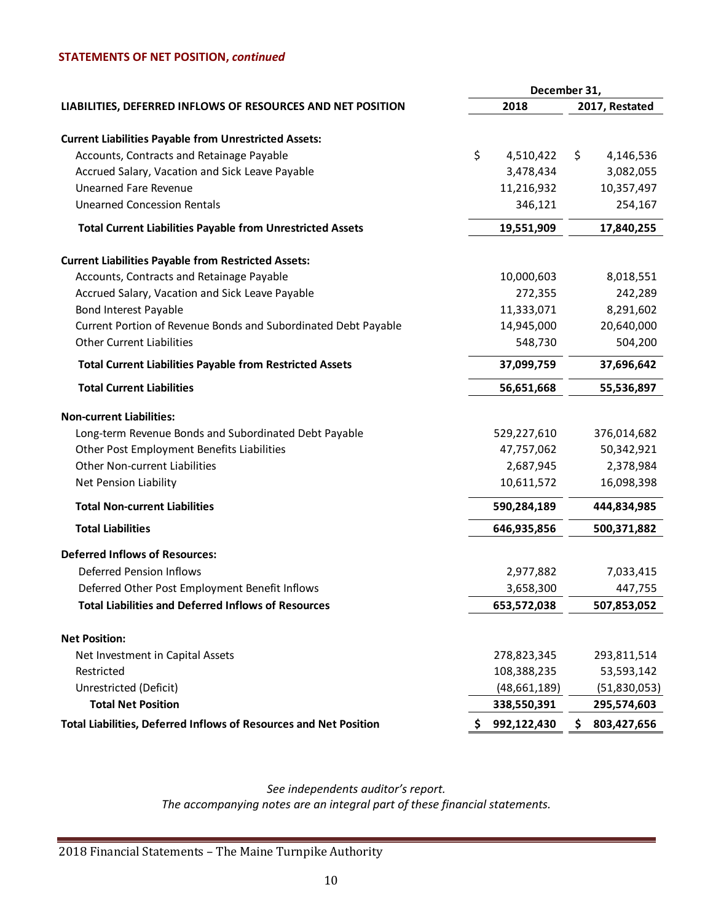### **STATEMENTS OF NET POSITION,** *continued*

|                                                                   |    |               |    | December 31,   |  |  |  |
|-------------------------------------------------------------------|----|---------------|----|----------------|--|--|--|
| LIABILITIES, DEFERRED INFLOWS OF RESOURCES AND NET POSITION       |    | 2018          |    | 2017, Restated |  |  |  |
|                                                                   |    |               |    |                |  |  |  |
| <b>Current Liabilities Payable from Unrestricted Assets:</b>      |    |               |    |                |  |  |  |
| Accounts, Contracts and Retainage Payable                         | \$ | 4,510,422     | \$ | 4,146,536      |  |  |  |
| Accrued Salary, Vacation and Sick Leave Payable                   |    | 3,478,434     |    | 3,082,055      |  |  |  |
| <b>Unearned Fare Revenue</b>                                      |    | 11,216,932    |    | 10,357,497     |  |  |  |
| <b>Unearned Concession Rentals</b>                                |    | 346,121       |    | 254,167        |  |  |  |
| <b>Total Current Liabilities Payable from Unrestricted Assets</b> |    | 19,551,909    |    | 17,840,255     |  |  |  |
| <b>Current Liabilities Payable from Restricted Assets:</b>        |    |               |    |                |  |  |  |
| Accounts, Contracts and Retainage Payable                         |    | 10,000,603    |    | 8,018,551      |  |  |  |
| Accrued Salary, Vacation and Sick Leave Payable                   |    | 272,355       |    | 242,289        |  |  |  |
| Bond Interest Payable                                             |    | 11,333,071    |    | 8,291,602      |  |  |  |
| Current Portion of Revenue Bonds and Subordinated Debt Payable    |    | 14,945,000    |    | 20,640,000     |  |  |  |
| <b>Other Current Liabilities</b>                                  |    | 548,730       |    | 504,200        |  |  |  |
| <b>Total Current Liabilities Payable from Restricted Assets</b>   |    | 37,099,759    |    | 37,696,642     |  |  |  |
| <b>Total Current Liabilities</b>                                  |    | 56,651,668    |    | 55,536,897     |  |  |  |
| <b>Non-current Liabilities:</b>                                   |    |               |    |                |  |  |  |
| Long-term Revenue Bonds and Subordinated Debt Payable             |    | 529,227,610   |    | 376,014,682    |  |  |  |
| Other Post Employment Benefits Liabilities                        |    | 47,757,062    |    | 50,342,921     |  |  |  |
| Other Non-current Liabilities                                     |    | 2,687,945     |    | 2,378,984      |  |  |  |
| Net Pension Liability                                             |    | 10,611,572    |    | 16,098,398     |  |  |  |
| <b>Total Non-current Liabilities</b>                              |    | 590,284,189   |    | 444,834,985    |  |  |  |
| <b>Total Liabilities</b>                                          |    | 646,935,856   |    | 500,371,882    |  |  |  |
| <b>Deferred Inflows of Resources:</b>                             |    |               |    |                |  |  |  |
| <b>Deferred Pension Inflows</b>                                   |    | 2,977,882     |    | 7,033,415      |  |  |  |
| Deferred Other Post Employment Benefit Inflows                    |    | 3,658,300     |    | 447,755        |  |  |  |
| <b>Total Liabilities and Deferred Inflows of Resources</b>        |    | 653,572,038   |    | 507,853,052    |  |  |  |
| <b>Net Position:</b>                                              |    |               |    |                |  |  |  |
| Net Investment in Capital Assets                                  |    | 278,823,345   |    | 293,811,514    |  |  |  |
| Restricted                                                        |    | 108,388,235   |    | 53,593,142     |  |  |  |
| Unrestricted (Deficit)                                            |    | (48,661,189)  |    | (51,830,053)   |  |  |  |
| <b>Total Net Position</b>                                         |    | 338,550,391   |    | 295,574,603    |  |  |  |
| Total Liabilities, Deferred Inflows of Resources and Net Position |    | \$992,122,430 |    | \$803,427,656  |  |  |  |

*See independents auditor's report. The accompanying notes are an integral part of these financial statements.*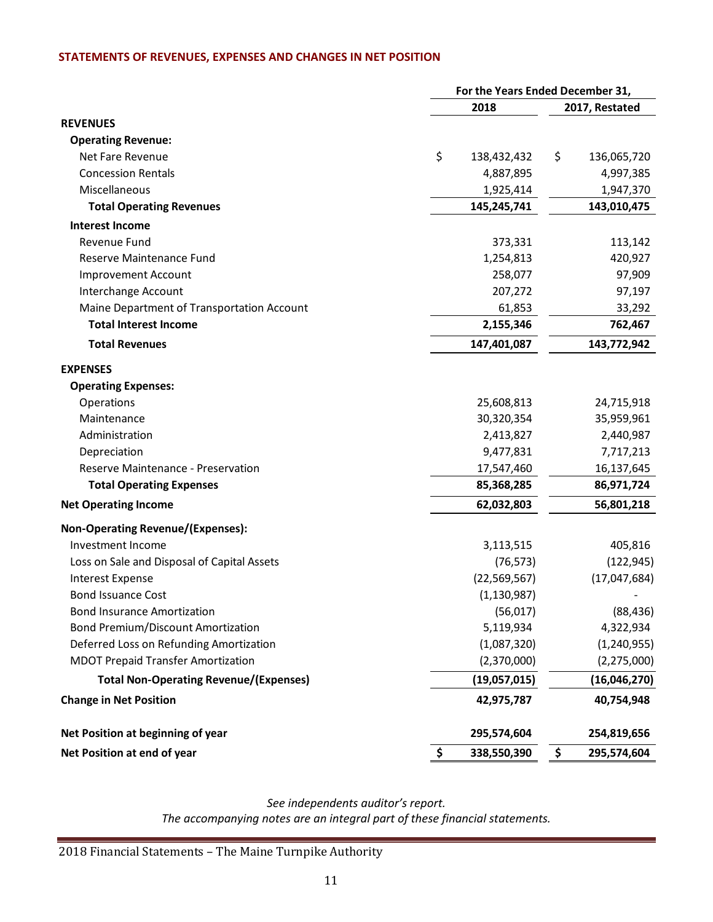### **STATEMENTS OF REVENUES, EXPENSES AND CHANGES IN NET POSITION**

|                                               | For the Years Ended December 31, |                   |  |  |
|-----------------------------------------------|----------------------------------|-------------------|--|--|
|                                               | 2018                             | 2017, Restated    |  |  |
| <b>REVENUES</b>                               |                                  |                   |  |  |
| <b>Operating Revenue:</b>                     |                                  |                   |  |  |
| Net Fare Revenue                              | \$<br>138,432,432                | \$<br>136,065,720 |  |  |
| <b>Concession Rentals</b>                     | 4,887,895                        | 4,997,385         |  |  |
| Miscellaneous                                 | 1,925,414                        | 1,947,370         |  |  |
| <b>Total Operating Revenues</b>               | 145,245,741                      | 143,010,475       |  |  |
| <b>Interest Income</b>                        |                                  |                   |  |  |
| Revenue Fund                                  | 373,331                          | 113,142           |  |  |
| Reserve Maintenance Fund                      | 1,254,813                        | 420,927           |  |  |
| <b>Improvement Account</b>                    | 258,077                          | 97,909            |  |  |
| Interchange Account                           | 207,272                          | 97,197            |  |  |
| Maine Department of Transportation Account    | 61,853                           | 33,292            |  |  |
| <b>Total Interest Income</b>                  | 2,155,346                        | 762,467           |  |  |
| <b>Total Revenues</b>                         | 147,401,087                      | 143,772,942       |  |  |
| <b>EXPENSES</b>                               |                                  |                   |  |  |
| <b>Operating Expenses:</b>                    |                                  |                   |  |  |
| Operations                                    | 25,608,813                       | 24,715,918        |  |  |
| Maintenance                                   | 30,320,354                       | 35,959,961        |  |  |
| Administration                                | 2,413,827                        | 2,440,987         |  |  |
| Depreciation                                  | 9,477,831                        | 7,717,213         |  |  |
| Reserve Maintenance - Preservation            | 17,547,460                       | 16,137,645        |  |  |
| <b>Total Operating Expenses</b>               | 85,368,285                       | 86,971,724        |  |  |
| <b>Net Operating Income</b>                   | 62,032,803                       | 56,801,218        |  |  |
| <b>Non-Operating Revenue/(Expenses):</b>      |                                  |                   |  |  |
| Investment Income                             | 3,113,515                        | 405,816           |  |  |
| Loss on Sale and Disposal of Capital Assets   | (76, 573)                        | (122, 945)        |  |  |
| Interest Expense                              | (22, 569, 567)                   | (17,047,684)      |  |  |
| <b>Bond Issuance Cost</b>                     | (1, 130, 987)                    |                   |  |  |
| <b>Bond Insurance Amortization</b>            | (56, 017)                        | (88, 436)         |  |  |
| <b>Bond Premium/Discount Amortization</b>     | 5,119,934                        | 4,322,934         |  |  |
| Deferred Loss on Refunding Amortization       | (1,087,320)                      | (1, 240, 955)     |  |  |
| <b>MDOT Prepaid Transfer Amortization</b>     | (2,370,000)                      | (2, 275, 000)     |  |  |
| <b>Total Non-Operating Revenue/(Expenses)</b> | (19,057,015)                     | (16,046,270)      |  |  |
| <b>Change in Net Position</b>                 | 42,975,787                       | 40,754,948        |  |  |
| Net Position at beginning of year             | 295,574,604                      | 254,819,656       |  |  |
| Net Position at end of year                   | \$<br>338,550,390                | \$<br>295,574,604 |  |  |

*See independents auditor's report. The accompanying notes are an integral part of these financial statements.*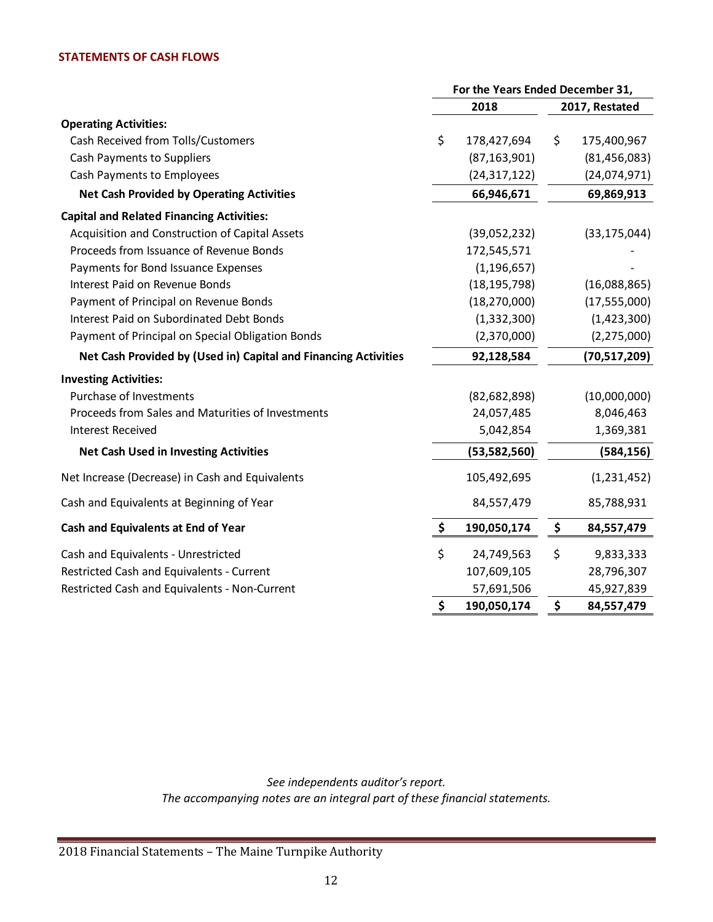### **STATEMENTS OF CASH FLOWS**

|                                                                 | For the Years Ended December 31, |                |    |                |  |  |
|-----------------------------------------------------------------|----------------------------------|----------------|----|----------------|--|--|
|                                                                 |                                  | 2018           |    | 2017, Restated |  |  |
| <b>Operating Activities:</b>                                    |                                  |                |    |                |  |  |
| Cash Received from Tolls/Customers                              | \$                               | 178,427,694    | \$ | 175,400,967    |  |  |
| <b>Cash Payments to Suppliers</b>                               |                                  | (87, 163, 901) |    | (81, 456, 083) |  |  |
| Cash Payments to Employees                                      |                                  | (24, 317, 122) |    | (24,074,971)   |  |  |
| <b>Net Cash Provided by Operating Activities</b>                |                                  | 66,946,671     |    | 69,869,913     |  |  |
| <b>Capital and Related Financing Activities:</b>                |                                  |                |    |                |  |  |
| Acquisition and Construction of Capital Assets                  |                                  | (39,052,232)   |    | (33, 175, 044) |  |  |
| Proceeds from Issuance of Revenue Bonds                         |                                  | 172,545,571    |    |                |  |  |
| Payments for Bond Issuance Expenses                             |                                  | (1, 196, 657)  |    |                |  |  |
| Interest Paid on Revenue Bonds                                  |                                  | (18, 195, 798) |    | (16,088,865)   |  |  |
| Payment of Principal on Revenue Bonds                           |                                  | (18, 270, 000) |    | (17, 555, 000) |  |  |
| <b>Interest Paid on Subordinated Debt Bonds</b>                 |                                  | (1,332,300)    |    | (1,423,300)    |  |  |
| Payment of Principal on Special Obligation Bonds                |                                  | (2,370,000)    |    | (2, 275, 000)  |  |  |
| Net Cash Provided by (Used in) Capital and Financing Activities |                                  | 92,128,584     |    | (70, 517, 209) |  |  |
| <b>Investing Activities:</b>                                    |                                  |                |    |                |  |  |
| Purchase of Investments                                         |                                  | (82,682,898)   |    | (10,000,000)   |  |  |
| Proceeds from Sales and Maturities of Investments               |                                  | 24,057,485     |    | 8,046,463      |  |  |
| <b>Interest Received</b>                                        |                                  | 5,042,854      |    | 1,369,381      |  |  |
| <b>Net Cash Used in Investing Activities</b>                    |                                  | (53,582,560)   |    | (584, 156)     |  |  |
| Net Increase (Decrease) in Cash and Equivalents                 |                                  | 105,492,695    |    | (1,231,452)    |  |  |
| Cash and Equivalents at Beginning of Year                       |                                  | 84,557,479     |    | 85,788,931     |  |  |
| Cash and Equivalents at End of Year                             | \$                               | 190,050,174    | \$ | 84,557,479     |  |  |
| Cash and Equivalents - Unrestricted                             | \$                               | 24,749,563     | \$ | 9,833,333      |  |  |
| Restricted Cash and Equivalents - Current                       |                                  | 107,609,105    |    | 28,796,307     |  |  |
| Restricted Cash and Equivalents - Non-Current                   |                                  | 57,691,506     |    | 45,927,839     |  |  |
|                                                                 | \$                               | 190,050,174    | \$ | 84,557,479     |  |  |

*See independents auditor's report. The accompanying notes are an integral part of these financial statements.*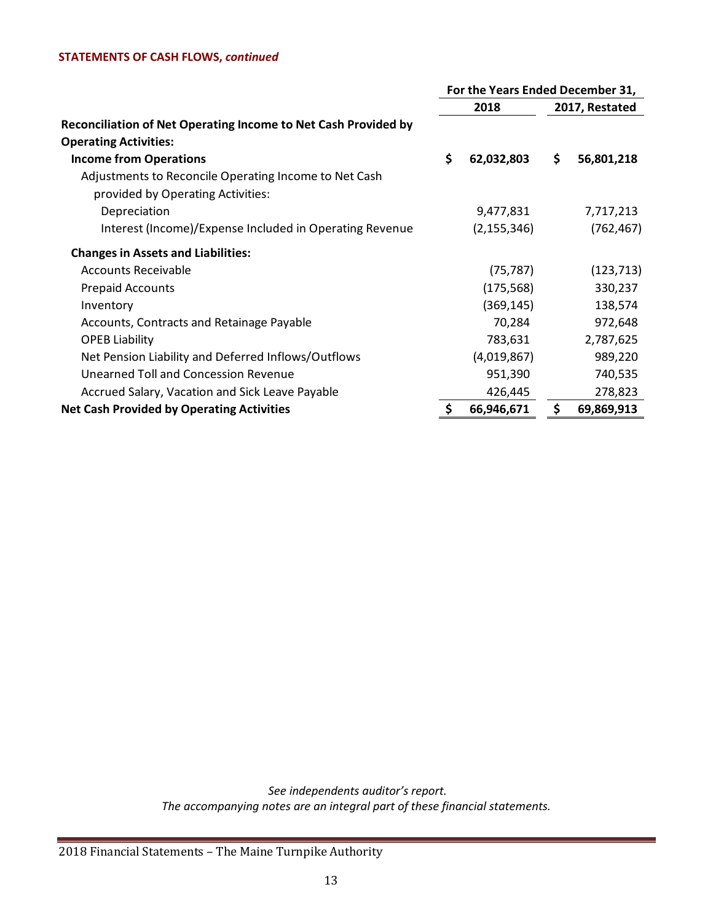### **STATEMENTS OF CASH FLOWS,** *continued*

|                                                                                            | For the Years Ended December 31, |               |    |                |  |
|--------------------------------------------------------------------------------------------|----------------------------------|---------------|----|----------------|--|
|                                                                                            |                                  | 2018          |    | 2017, Restated |  |
| Reconciliation of Net Operating Income to Net Cash Provided by                             |                                  |               |    |                |  |
| <b>Operating Activities:</b>                                                               |                                  |               |    |                |  |
| <b>Income from Operations</b>                                                              | \$                               | 62,032,803    | \$ | 56,801,218     |  |
| Adjustments to Reconcile Operating Income to Net Cash<br>provided by Operating Activities: |                                  |               |    |                |  |
| Depreciation                                                                               |                                  | 9,477,831     |    | 7,717,213      |  |
| Interest (Income)/Expense Included in Operating Revenue                                    |                                  | (2, 155, 346) |    | (762, 467)     |  |
| <b>Changes in Assets and Liabilities:</b>                                                  |                                  |               |    |                |  |
| <b>Accounts Receivable</b>                                                                 |                                  | (75, 787)     |    | (123, 713)     |  |
| <b>Prepaid Accounts</b>                                                                    |                                  | (175, 568)    |    | 330,237        |  |
| Inventory                                                                                  |                                  | (369, 145)    |    | 138,574        |  |
| Accounts, Contracts and Retainage Payable                                                  |                                  | 70,284        |    | 972,648        |  |
| <b>OPEB Liability</b>                                                                      |                                  | 783,631       |    | 2,787,625      |  |
| Net Pension Liability and Deferred Inflows/Outflows                                        |                                  | (4,019,867)   |    | 989,220        |  |
| Unearned Toll and Concession Revenue                                                       |                                  | 951,390       |    | 740,535        |  |
| Accrued Salary, Vacation and Sick Leave Payable                                            |                                  | 426,445       |    | 278,823        |  |
| <b>Net Cash Provided by Operating Activities</b>                                           | \$                               | 66,946,671    | \$ | 69,869,913     |  |

*See independents auditor's report. The accompanying notes are an integral part of these financial statements.*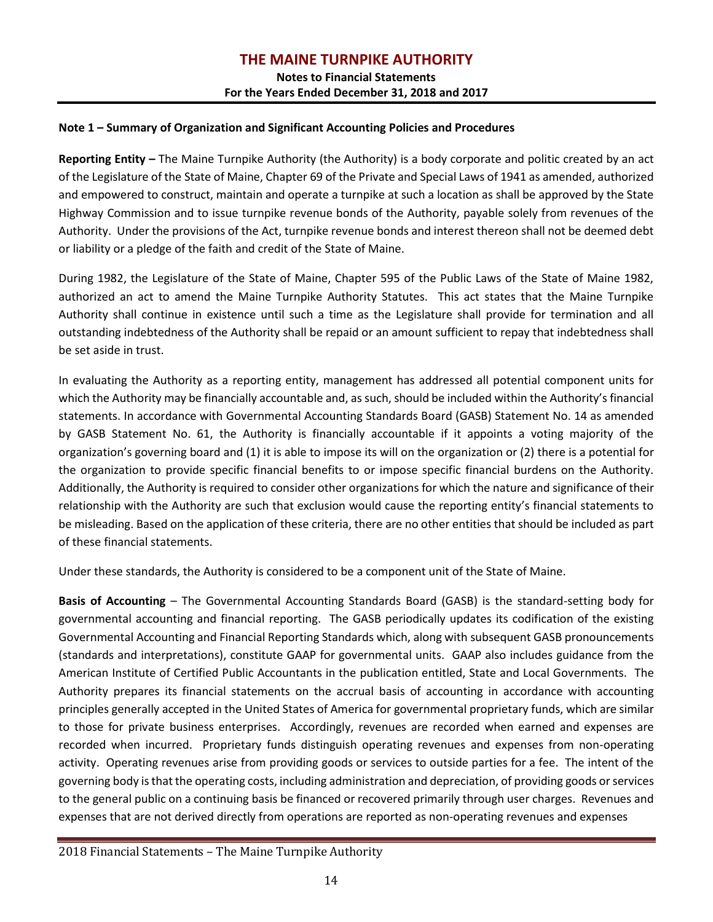**Notes to Financial Statements For the Years Ended December 31, 2018 and 2017**

### **Note 1 – Summary of Organization and Significant Accounting Policies and Procedures**

**Reporting Entity –** The Maine Turnpike Authority (the Authority) is a body corporate and politic created by an act of the Legislature of the State of Maine, Chapter 69 of the Private and Special Laws of 1941 as amended, authorized and empowered to construct, maintain and operate a turnpike at such a location as shall be approved by the State Highway Commission and to issue turnpike revenue bonds of the Authority, payable solely from revenues of the Authority. Under the provisions of the Act, turnpike revenue bonds and interest thereon shall not be deemed debt or liability or a pledge of the faith and credit of the State of Maine.

During 1982, the Legislature of the State of Maine, Chapter 595 of the Public Laws of the State of Maine 1982, authorized an act to amend the Maine Turnpike Authority Statutes. This act states that the Maine Turnpike Authority shall continue in existence until such a time as the Legislature shall provide for termination and all outstanding indebtedness of the Authority shall be repaid or an amount sufficient to repay that indebtedness shall be set aside in trust.

In evaluating the Authority as a reporting entity, management has addressed all potential component units for which the Authority may be financially accountable and, as such, should be included within the Authority's financial statements. In accordance with Governmental Accounting Standards Board (GASB) Statement No. 14 as amended by GASB Statement No. 61, the Authority is financially accountable if it appoints a voting majority of the organization's governing board and (1) it is able to impose its will on the organization or (2) there is a potential for the organization to provide specific financial benefits to or impose specific financial burdens on the Authority. Additionally, the Authority is required to consider other organizations for which the nature and significance of their relationship with the Authority are such that exclusion would cause the reporting entity's financial statements to be misleading. Based on the application of these criteria, there are no other entities that should be included as part of these financial statements.

Under these standards, the Authority is considered to be a component unit of the State of Maine.

**Basis of Accounting** – The Governmental Accounting Standards Board (GASB) is the standard-setting body for governmental accounting and financial reporting. The GASB periodically updates its codification of the existing Governmental Accounting and Financial Reporting Standards which, along with subsequent GASB pronouncements (standards and interpretations), constitute GAAP for governmental units. GAAP also includes guidance from the American Institute of Certified Public Accountants in the publication entitled, State and Local Governments. The Authority prepares its financial statements on the accrual basis of accounting in accordance with accounting principles generally accepted in the United States of America for governmental proprietary funds, which are similar to those for private business enterprises. Accordingly, revenues are recorded when earned and expenses are recorded when incurred. Proprietary funds distinguish operating revenues and expenses from non-operating activity. Operating revenues arise from providing goods or services to outside parties for a fee. The intent of the governing body is that the operating costs, including administration and depreciation, of providing goods or services to the general public on a continuing basis be financed or recovered primarily through user charges. Revenues and expenses that are not derived directly from operations are reported as non-operating revenues and expenses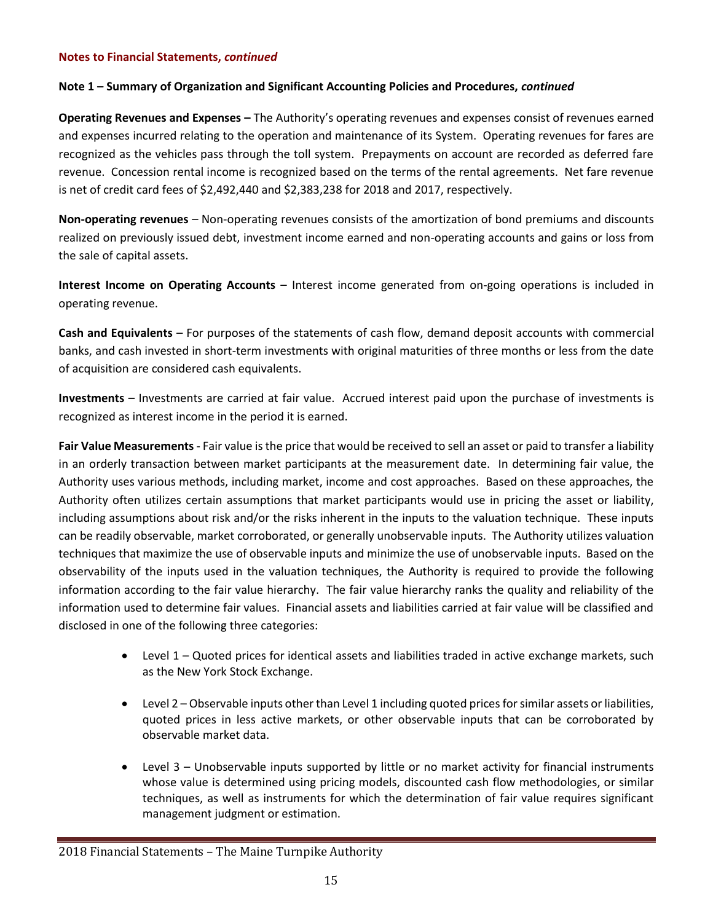### **Note 1 – Summary of Organization and Significant Accounting Policies and Procedures,** *continued*

**Operating Revenues and Expenses –** The Authority's operating revenues and expenses consist of revenues earned and expenses incurred relating to the operation and maintenance of its System. Operating revenues for fares are recognized as the vehicles pass through the toll system. Prepayments on account are recorded as deferred fare revenue. Concession rental income is recognized based on the terms of the rental agreements. Net fare revenue is net of credit card fees of \$2,492,440 and \$2,383,238 for 2018 and 2017, respectively.

**Non-operating revenues** – Non-operating revenues consists of the amortization of bond premiums and discounts realized on previously issued debt, investment income earned and non-operating accounts and gains or loss from the sale of capital assets.

**Interest Income on Operating Accounts** – Interest income generated from on-going operations is included in operating revenue.

**Cash and Equivalents** – For purposes of the statements of cash flow, demand deposit accounts with commercial banks, and cash invested in short-term investments with original maturities of three months or less from the date of acquisition are considered cash equivalents.

**Investments** – Investments are carried at fair value. Accrued interest paid upon the purchase of investments is recognized as interest income in the period it is earned.

**Fair Value Measurements** - Fair value is the price that would be received to sell an asset or paid to transfer a liability in an orderly transaction between market participants at the measurement date. In determining fair value, the Authority uses various methods, including market, income and cost approaches. Based on these approaches, the Authority often utilizes certain assumptions that market participants would use in pricing the asset or liability, including assumptions about risk and/or the risks inherent in the inputs to the valuation technique. These inputs can be readily observable, market corroborated, or generally unobservable inputs. The Authority utilizes valuation techniques that maximize the use of observable inputs and minimize the use of unobservable inputs. Based on the observability of the inputs used in the valuation techniques, the Authority is required to provide the following information according to the fair value hierarchy. The fair value hierarchy ranks the quality and reliability of the information used to determine fair values. Financial assets and liabilities carried at fair value will be classified and disclosed in one of the following three categories:

- Level 1 Quoted prices for identical assets and liabilities traded in active exchange markets, such as the New York Stock Exchange.
- Level 2 Observable inputs other than Level 1 including quoted prices for similar assets or liabilities, quoted prices in less active markets, or other observable inputs that can be corroborated by observable market data.
- Level 3 Unobservable inputs supported by little or no market activity for financial instruments whose value is determined using pricing models, discounted cash flow methodologies, or similar techniques, as well as instruments for which the determination of fair value requires significant management judgment or estimation.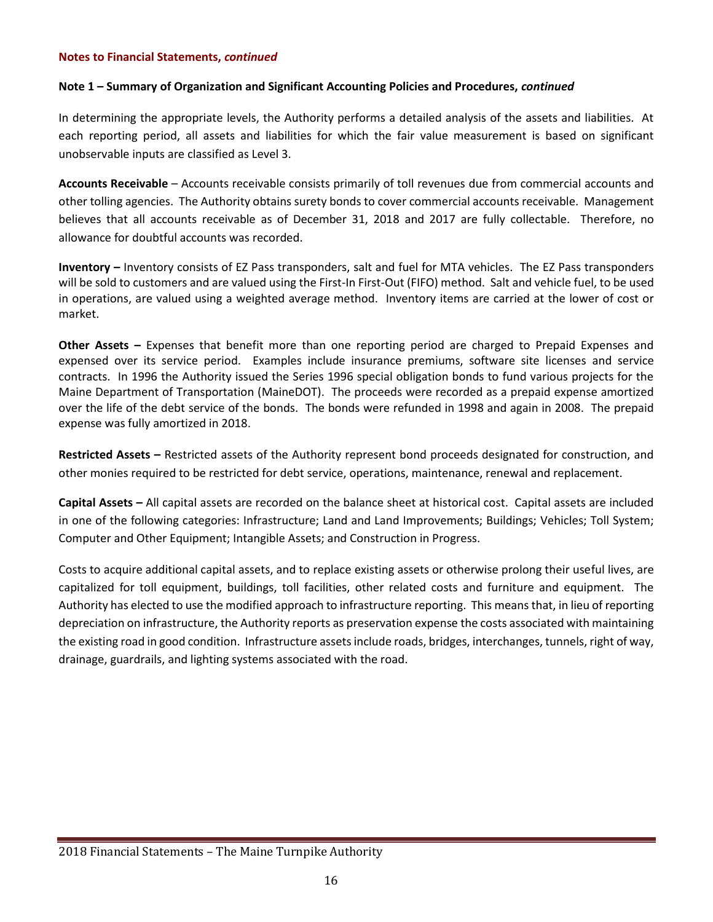### **Note 1 – Summary of Organization and Significant Accounting Policies and Procedures,** *continued*

In determining the appropriate levels, the Authority performs a detailed analysis of the assets and liabilities. At each reporting period, all assets and liabilities for which the fair value measurement is based on significant unobservable inputs are classified as Level 3.

**Accounts Receivable** – Accounts receivable consists primarily of toll revenues due from commercial accounts and other tolling agencies. The Authority obtains surety bonds to cover commercial accounts receivable. Management believes that all accounts receivable as of December 31, 2018 and 2017 are fully collectable. Therefore, no allowance for doubtful accounts was recorded.

**Inventory –** Inventory consists of EZ Pass transponders, salt and fuel for MTA vehicles. The EZ Pass transponders will be sold to customers and are valued using the First-In First-Out (FIFO) method. Salt and vehicle fuel, to be used in operations, are valued using a weighted average method. Inventory items are carried at the lower of cost or market.

**Other Assets –** Expenses that benefit more than one reporting period are charged to Prepaid Expenses and expensed over its service period. Examples include insurance premiums, software site licenses and service contracts. In 1996 the Authority issued the Series 1996 special obligation bonds to fund various projects for the Maine Department of Transportation (MaineDOT). The proceeds were recorded as a prepaid expense amortized over the life of the debt service of the bonds. The bonds were refunded in 1998 and again in 2008. The prepaid expense was fully amortized in 2018.

**Restricted Assets –** Restricted assets of the Authority represent bond proceeds designated for construction, and other monies required to be restricted for debt service, operations, maintenance, renewal and replacement.

**Capital Assets –** All capital assets are recorded on the balance sheet at historical cost. Capital assets are included in one of the following categories: Infrastructure; Land and Land Improvements; Buildings; Vehicles; Toll System; Computer and Other Equipment; Intangible Assets; and Construction in Progress.

Costs to acquire additional capital assets, and to replace existing assets or otherwise prolong their useful lives, are capitalized for toll equipment, buildings, toll facilities, other related costs and furniture and equipment. The Authority has elected to use the modified approach to infrastructure reporting. This means that, in lieu of reporting depreciation on infrastructure, the Authority reports as preservation expense the costs associated with maintaining the existing road in good condition. Infrastructure assets include roads, bridges, interchanges, tunnels, right of way, drainage, guardrails, and lighting systems associated with the road.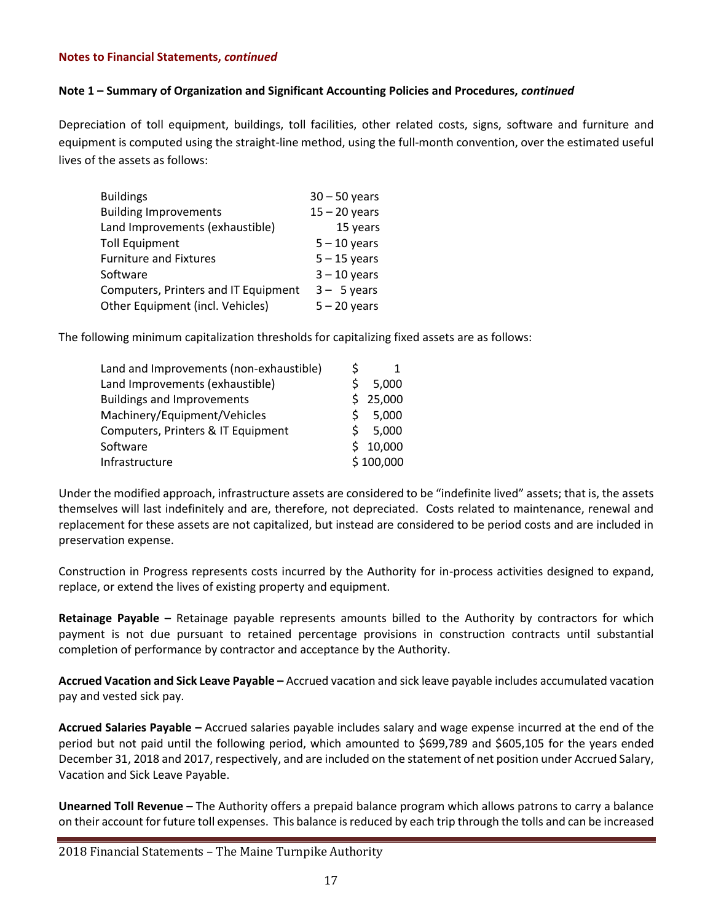### **Note 1 – Summary of Organization and Significant Accounting Policies and Procedures,** *continued*

Depreciation of toll equipment, buildings, toll facilities, other related costs, signs, software and furniture and equipment is computed using the straight-line method, using the full-month convention, over the estimated useful lives of the assets as follows:

| <b>Buildings</b>                     | $30 - 50$ years |
|--------------------------------------|-----------------|
| <b>Building Improvements</b>         | $15 - 20$ years |
| Land Improvements (exhaustible)      | 15 years        |
| <b>Toll Equipment</b>                | $5 - 10$ years  |
| <b>Furniture and Fixtures</b>        | $5 - 15$ years  |
| Software                             | $3 - 10$ years  |
| Computers, Printers and IT Equipment | $3 - 5$ years   |
| Other Equipment (incl. Vehicles)     | $5 - 20$ years  |

The following minimum capitalization thresholds for capitalizing fixed assets are as follows:

| Land and Improvements (non-exhaustible) | S |           |
|-----------------------------------------|---|-----------|
| Land Improvements (exhaustible)         | Ś | 5,000     |
| <b>Buildings and Improvements</b>       | Ś | 25,000    |
| Machinery/Equipment/Vehicles            | ς | 5,000     |
| Computers, Printers & IT Equipment      | ς | 5,000     |
| Software                                | ς | 10,000    |
| Infrastructure                          |   | \$100,000 |

Under the modified approach, infrastructure assets are considered to be "indefinite lived" assets; that is, the assets themselves will last indefinitely and are, therefore, not depreciated. Costs related to maintenance, renewal and replacement for these assets are not capitalized, but instead are considered to be period costs and are included in preservation expense.

Construction in Progress represents costs incurred by the Authority for in-process activities designed to expand, replace, or extend the lives of existing property and equipment.

**Retainage Payable –** Retainage payable represents amounts billed to the Authority by contractors for which payment is not due pursuant to retained percentage provisions in construction contracts until substantial completion of performance by contractor and acceptance by the Authority.

**Accrued Vacation and Sick Leave Payable –** Accrued vacation and sick leave payable includes accumulated vacation pay and vested sick pay.

**Accrued Salaries Payable –** Accrued salaries payable includes salary and wage expense incurred at the end of the period but not paid until the following period, which amounted to \$699,789 and \$605,105 for the years ended December 31, 2018 and 2017, respectively, and are included on the statement of net position under Accrued Salary, Vacation and Sick Leave Payable.

**Unearned Toll Revenue –** The Authority offers a prepaid balance program which allows patrons to carry a balance on their account for future toll expenses. This balance is reduced by each trip through the tolls and can be increased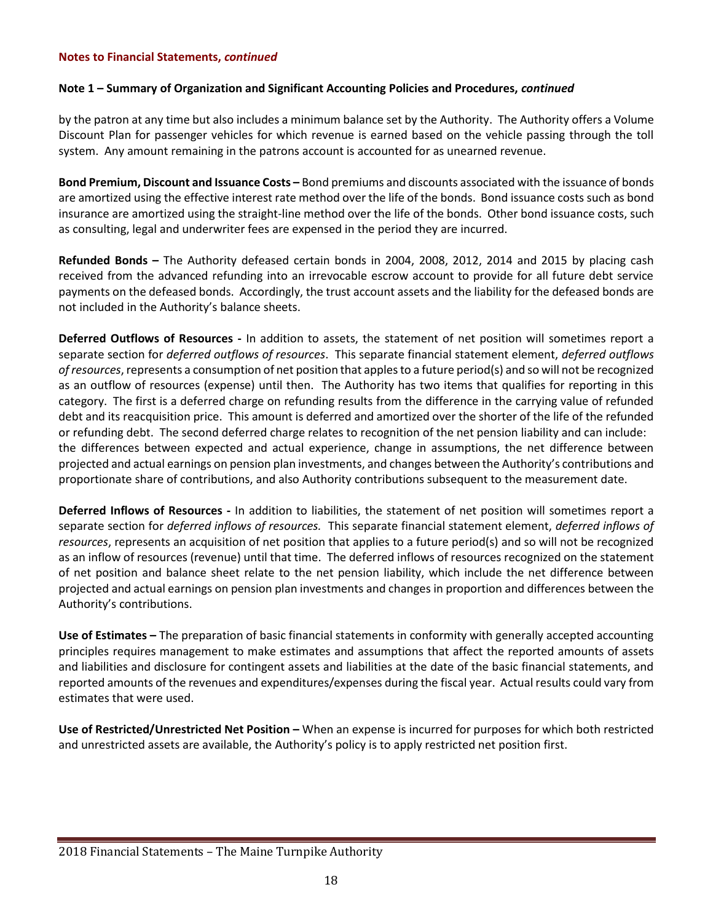### **Note 1 – Summary of Organization and Significant Accounting Policies and Procedures,** *continued*

by the patron at any time but also includes a minimum balance set by the Authority. The Authority offers a Volume Discount Plan for passenger vehicles for which revenue is earned based on the vehicle passing through the toll system. Any amount remaining in the patrons account is accounted for as unearned revenue.

**Bond Premium, Discount and Issuance Costs –** Bond premiums and discounts associated with the issuance of bonds are amortized using the effective interest rate method over the life of the bonds. Bond issuance costs such as bond insurance are amortized using the straight-line method over the life of the bonds. Other bond issuance costs, such as consulting, legal and underwriter fees are expensed in the period they are incurred.

**Refunded Bonds –** The Authority defeased certain bonds in 2004, 2008, 2012, 2014 and 2015 by placing cash received from the advanced refunding into an irrevocable escrow account to provide for all future debt service payments on the defeased bonds. Accordingly, the trust account assets and the liability for the defeased bonds are not included in the Authority's balance sheets.

**Deferred Outflows of Resources -** In addition to assets, the statement of net position will sometimes report a separate section for *deferred outflows of resources*. This separate financial statement element, *deferred outflows of resources*, represents a consumption of net position that apples to a future period(s) and so will not be recognized as an outflow of resources (expense) until then. The Authority has two items that qualifies for reporting in this category. The first is a deferred charge on refunding results from the difference in the carrying value of refunded debt and its reacquisition price. This amount is deferred and amortized over the shorter of the life of the refunded or refunding debt. The second deferred charge relates to recognition of the net pension liability and can include: the differences between expected and actual experience, change in assumptions, the net difference between projected and actual earnings on pension plan investments, and changes between the Authority's contributions and proportionate share of contributions, and also Authority contributions subsequent to the measurement date.

**Deferred Inflows of Resources -** In addition to liabilities, the statement of net position will sometimes report a separate section for *deferred inflows of resources.* This separate financial statement element, *deferred inflows of resources*, represents an acquisition of net position that applies to a future period(s) and so will not be recognized as an inflow of resources (revenue) until that time. The deferred inflows of resources recognized on the statement of net position and balance sheet relate to the net pension liability, which include the net difference between projected and actual earnings on pension plan investments and changes in proportion and differences between the Authority's contributions.

**Use of Estimates –** The preparation of basic financial statements in conformity with generally accepted accounting principles requires management to make estimates and assumptions that affect the reported amounts of assets and liabilities and disclosure for contingent assets and liabilities at the date of the basic financial statements, and reported amounts of the revenues and expenditures/expenses during the fiscal year. Actual results could vary from estimates that were used.

**Use of Restricted/Unrestricted Net Position –** When an expense is incurred for purposes for which both restricted and unrestricted assets are available, the Authority's policy is to apply restricted net position first.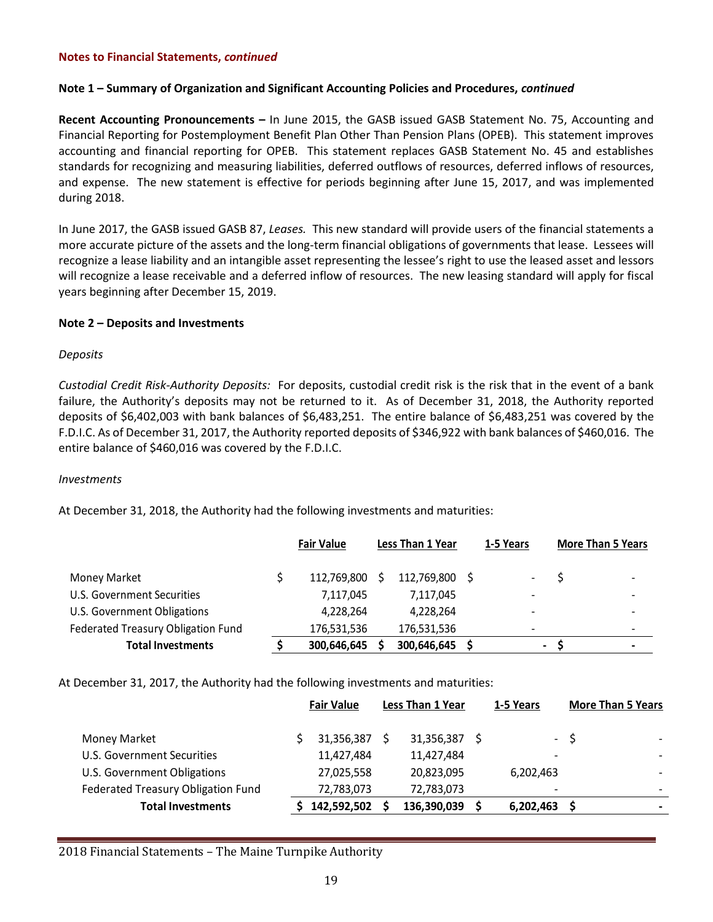### **Note 1 – Summary of Organization and Significant Accounting Policies and Procedures,** *continued*

**Recent Accounting Pronouncements –** In June 2015, the GASB issued GASB Statement No. 75, Accounting and Financial Reporting for Postemployment Benefit Plan Other Than Pension Plans (OPEB). This statement improves accounting and financial reporting for OPEB. This statement replaces GASB Statement No. 45 and establishes standards for recognizing and measuring liabilities, deferred outflows of resources, deferred inflows of resources, and expense. The new statement is effective for periods beginning after June 15, 2017, and was implemented during 2018.

In June 2017, the GASB issued GASB 87, *Leases.* This new standard will provide users of the financial statements a more accurate picture of the assets and the long-term financial obligations of governments that lease. Lessees will recognize a lease liability and an intangible asset representing the lessee's right to use the leased asset and lessors will recognize a lease receivable and a deferred inflow of resources. The new leasing standard will apply for fiscal years beginning after December 15, 2019.

### **Note 2 – Deposits and Investments**

### *Deposits*

*Custodial Credit Risk-Authority Deposits:* For deposits, custodial credit risk is the risk that in the event of a bank failure, the Authority's deposits may not be returned to it. As of December 31, 2018, the Authority reported deposits of \$6,402,003 with bank balances of \$6,483,251. The entire balance of \$6,483,251 was covered by the F.D.I.C. As of December 31, 2017, the Authority reported deposits of \$346,922 with bank balances of \$460,016. The entire balance of \$460,016 was covered by the F.D.I.C.

#### *Investments*

At December 31, 2018, the Authority had the following investments and maturities:

|                                    | <b>Fair Value</b> | Less Than 1 Year | 1-5 Years                | <b>More Than 5 Years</b> |
|------------------------------------|-------------------|------------------|--------------------------|--------------------------|
| <b>Money Market</b>                | 112,769,800       | 112,769,800      | $\overline{\phantom{a}}$ | ٠                        |
| U.S. Government Securities         | 7,117,045         | 7,117,045        | $\overline{\phantom{0}}$ | $\overline{\phantom{0}}$ |
| U.S. Government Obligations        | 4,228,264         | 4,228,264        | $\overline{\phantom{0}}$ | $\overline{\phantom{0}}$ |
| Federated Treasury Obligation Fund | 176,531,536       | 176,531,536      | $\overline{\phantom{a}}$ | $\overline{\phantom{0}}$ |
| <b>Total Investments</b>           | 300,646,645       | 300,646,645      | -                        | $\overline{\phantom{0}}$ |

At December 31, 2017, the Authority had the following investments and maturities:

|                                    | <b>Fair Value</b> | <b>Less Than 1 Year</b> | 1-5 Years | More Than 5 Years |
|------------------------------------|-------------------|-------------------------|-----------|-------------------|
| Money Market                       | 31,356,387        | 31,356,387 \$           |           | $-S$              |
| <b>U.S. Government Securities</b>  | 11,427,484        | 11,427,484              |           |                   |
| U.S. Government Obligations        | 27,025,558        | 20,823,095              | 6,202,463 |                   |
| Federated Treasury Obligation Fund | 72,783,073        | 72,783,073              |           |                   |
| <b>Total Investments</b>           | 142,592,502       | 136,390,039             | 6,202,463 |                   |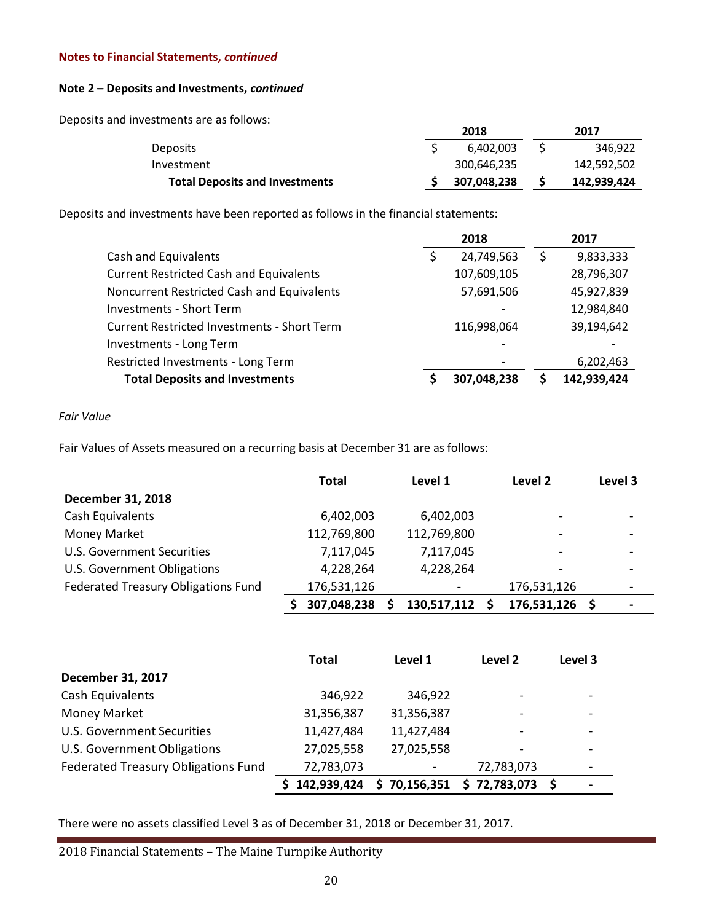### **Note 2 – Deposits and Investments,** *continued*

Deposits and investments are as follows:

|                                       | 2018        | 2017        |
|---------------------------------------|-------------|-------------|
| <b>Deposits</b>                       | 6.402.003   | 346.922     |
| Investment                            | 300,646,235 | 142,592,502 |
| <b>Total Deposits and Investments</b> | 307,048,238 | 142,939,424 |

Deposits and investments have been reported as follows in the financial statements:

|                                                    |   | 2018        | 2017            |
|----------------------------------------------------|---|-------------|-----------------|
| Cash and Equivalents                               | S | 24,749,563  | \$<br>9,833,333 |
| <b>Current Restricted Cash and Equivalents</b>     |   | 107,609,105 | 28,796,307      |
| Noncurrent Restricted Cash and Equivalents         |   | 57,691,506  | 45,927,839      |
| <b>Investments - Short Term</b>                    |   |             | 12,984,840      |
| <b>Current Restricted Investments - Short Term</b> |   | 116,998,064 | 39,194,642      |
| Investments - Long Term                            |   |             |                 |
| Restricted Investments - Long Term                 |   |             | 6,202,463       |
| <b>Total Deposits and Investments</b>              |   | 307,048,238 | 142,939,424     |

### *Fair Value*

Fair Values of Assets measured on a recurring basis at December 31 are as follows:

|                                     | <b>Total</b> | Level 1                  | Level 2                  | Level 3 |
|-------------------------------------|--------------|--------------------------|--------------------------|---------|
| <b>December 31, 2018</b>            |              |                          |                          |         |
| Cash Equivalents                    | 6,402,003    | 6,402,003                |                          |         |
| <b>Money Market</b>                 | 112,769,800  | 112,769,800              | $\overline{\phantom{0}}$ |         |
| <b>U.S. Government Securities</b>   | 7,117,045    | 7,117,045                |                          |         |
| U.S. Government Obligations         | 4,228,264    | 4,228,264                |                          |         |
| Federated Treasury Obligations Fund | 176,531,126  | $\overline{\phantom{0}}$ | 176,531,126              |         |
|                                     | 307,048,238  | 130,517,112              | 176,531,126              | ۰       |

|                                            | Total       | Level 1                  | Level <sub>2</sub>           | Level 3                  |  |
|--------------------------------------------|-------------|--------------------------|------------------------------|--------------------------|--|
| December 31, 2017                          |             |                          |                              |                          |  |
| Cash Equivalents                           | 346,922     | 346,922                  |                              |                          |  |
| <b>Money Market</b>                        | 31,356,387  | 31,356,387               | $\qquad \qquad \blacksquare$ | $\overline{\phantom{0}}$ |  |
| U.S. Government Securities                 | 11,427,484  | 11,427,484               |                              |                          |  |
| U.S. Government Obligations                | 27,025,558  | 27,025,558               |                              |                          |  |
| <b>Federated Treasury Obligations Fund</b> | 72,783,073  | $\overline{\phantom{a}}$ | 72,783,073                   | $\overline{\phantom{a}}$ |  |
|                                            | 142,939,424 | 70,156,351               | \$72,783,073                 | - S                      |  |

There were no assets classified Level 3 as of December 31, 2018 or December 31, 2017.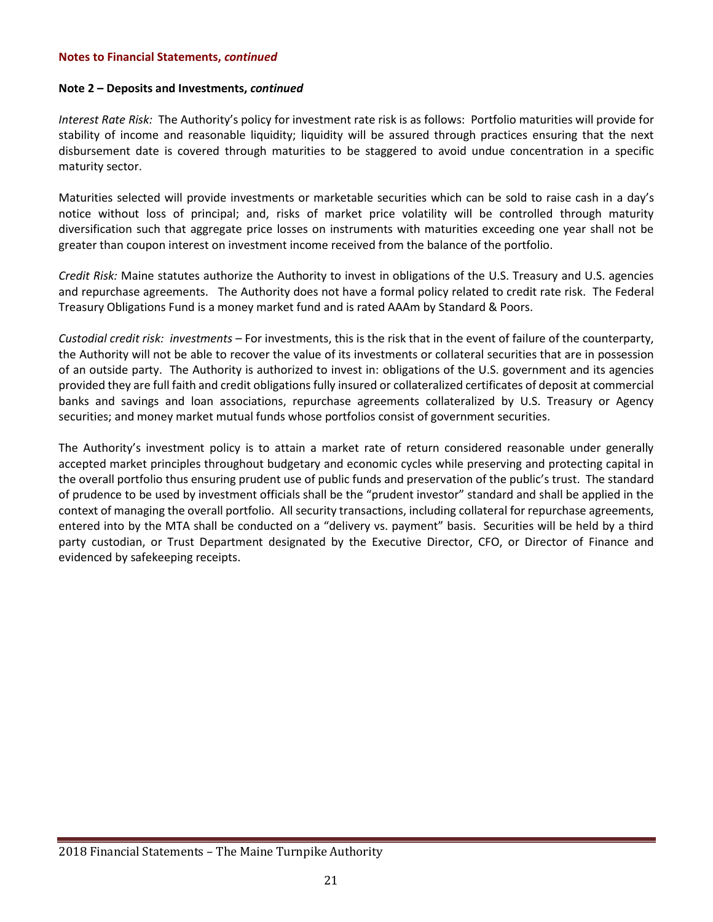### **Note 2 – Deposits and Investments,** *continued*

*Interest Rate Risk:* The Authority's policy for investment rate risk is as follows: Portfolio maturities will provide for stability of income and reasonable liquidity; liquidity will be assured through practices ensuring that the next disbursement date is covered through maturities to be staggered to avoid undue concentration in a specific maturity sector.

Maturities selected will provide investments or marketable securities which can be sold to raise cash in a day's notice without loss of principal; and, risks of market price volatility will be controlled through maturity diversification such that aggregate price losses on instruments with maturities exceeding one year shall not be greater than coupon interest on investment income received from the balance of the portfolio.

*Credit Risk:* Maine statutes authorize the Authority to invest in obligations of the U.S. Treasury and U.S. agencies and repurchase agreements. The Authority does not have a formal policy related to credit rate risk. The Federal Treasury Obligations Fund is a money market fund and is rated AAAm by Standard & Poors.

*Custodial credit risk: investments –* For investments, this is the risk that in the event of failure of the counterparty, the Authority will not be able to recover the value of its investments or collateral securities that are in possession of an outside party. The Authority is authorized to invest in: obligations of the U.S. government and its agencies provided they are full faith and credit obligations fully insured or collateralized certificates of deposit at commercial banks and savings and loan associations, repurchase agreements collateralized by U.S. Treasury or Agency securities; and money market mutual funds whose portfolios consist of government securities.

The Authority's investment policy is to attain a market rate of return considered reasonable under generally accepted market principles throughout budgetary and economic cycles while preserving and protecting capital in the overall portfolio thus ensuring prudent use of public funds and preservation of the public's trust. The standard of prudence to be used by investment officials shall be the "prudent investor" standard and shall be applied in the context of managing the overall portfolio. All security transactions, including collateral for repurchase agreements, entered into by the MTA shall be conducted on a "delivery vs. payment" basis. Securities will be held by a third party custodian, or Trust Department designated by the Executive Director, CFO, or Director of Finance and evidenced by safekeeping receipts.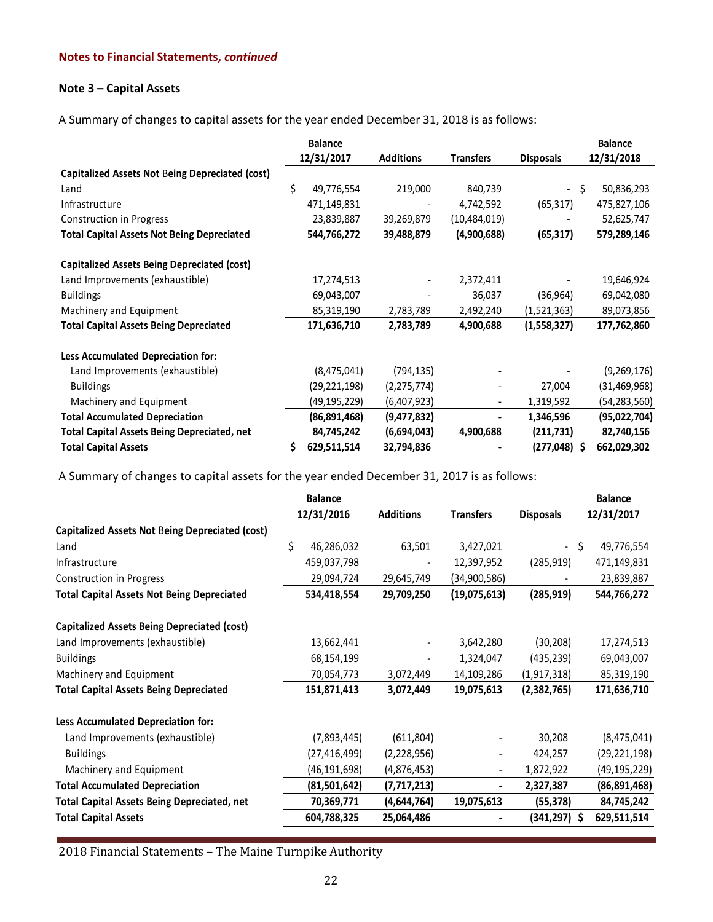### **Note 3 – Capital Assets**

A Summary of changes to capital assets for the year ended December 31, 2018 is as follows:

|                                                        |    | <b>Balance</b> |                  |                          |                  | <b>Balance</b> |
|--------------------------------------------------------|----|----------------|------------------|--------------------------|------------------|----------------|
|                                                        |    | 12/31/2017     | <b>Additions</b> | <b>Transfers</b>         | <b>Disposals</b> | 12/31/2018     |
| <b>Capitalized Assets Not Being Depreciated (cost)</b> |    |                |                  |                          |                  |                |
| Land                                                   | Ś  | 49,776,554     | 219,000          | 840,739                  | S                | 50,836,293     |
| Infrastructure                                         |    | 471,149,831    |                  | 4,742,592                | (65, 317)        | 475,827,106    |
| Construction in Progress                               |    | 23,839,887     | 39,269,879       | (10, 484, 019)           |                  | 52,625,747     |
| <b>Total Capital Assets Not Being Depreciated</b>      |    | 544,766,272    | 39,488,879       | (4,900,688)              | (65, 317)        | 579,289,146    |
| Capitalized Assets Being Depreciated (cost)            |    |                |                  |                          |                  |                |
| Land Improvements (exhaustible)                        |    | 17,274,513     |                  | 2,372,411                |                  | 19,646,924     |
| <b>Buildings</b>                                       |    | 69,043,007     |                  | 36,037                   | (36, 964)        | 69,042,080     |
| Machinery and Equipment                                |    | 85,319,190     | 2,783,789        | 2,492,240                | (1,521,363)      | 89,073,856     |
| <b>Total Capital Assets Being Depreciated</b>          |    | 171,636,710    | 2,783,789        | 4,900,688                | (1,558,327)      | 177,762,860    |
| Less Accumulated Depreciation for:                     |    |                |                  |                          |                  |                |
| Land Improvements (exhaustible)                        |    | (8,475,041)    | (794, 135)       |                          |                  | (9, 269, 176)  |
| <b>Buildings</b>                                       |    | (29, 221, 198) | (2, 275, 774)    |                          | 27,004           | (31, 469, 968) |
| Machinery and Equipment                                |    | (49,195,229)   | (6,407,923)      | $\overline{\phantom{a}}$ | 1,319,592        | (54, 283, 560) |
| <b>Total Accumulated Depreciation</b>                  |    | (86,891,468)   | (9,477,832)      | ۰                        | 1,346,596        | (95,022,704)   |
| <b>Total Capital Assets Being Depreciated, net</b>     |    | 84,745,242     | (6,694,043)      | 4,900,688                | (211,731)        | 82,740,156     |
| <b>Total Capital Assets</b>                            | \$ | 629,511,514    | 32,794,836       |                          | (277,048) \$     | 662,029,302    |

A Summary of changes to capital assets for the year ended December 31, 2017 is as follows:

|                                                        | <b>Balance</b>   |                  |                  |                  | <b>Balance</b> |
|--------------------------------------------------------|------------------|------------------|------------------|------------------|----------------|
|                                                        | 12/31/2016       | <b>Additions</b> | <b>Transfers</b> | <b>Disposals</b> | 12/31/2017     |
| <b>Capitalized Assets Not Being Depreciated (cost)</b> |                  |                  |                  |                  |                |
| Land                                                   | \$<br>46,286,032 | 63,501           | 3,427,021        | - \$             | 49,776,554     |
| Infrastructure                                         | 459,037,798      |                  | 12,397,952       | (285, 919)       | 471,149,831    |
| <b>Construction in Progress</b>                        | 29,094,724       | 29,645,749       | (34,900,586)     |                  | 23,839,887     |
| <b>Total Capital Assets Not Being Depreciated</b>      | 534,418,554      | 29,709,250       | (19,075,613)     | (285, 919)       | 544,766,272    |
| <b>Capitalized Assets Being Depreciated (cost)</b>     |                  |                  |                  |                  |                |
| Land Improvements (exhaustible)                        | 13,662,441       |                  | 3,642,280        | (30, 208)        | 17,274,513     |
| <b>Buildings</b>                                       | 68,154,199       |                  | 1,324,047        | (435, 239)       | 69,043,007     |
| Machinery and Equipment                                | 70,054,773       | 3,072,449        | 14,109,286       | (1, 917, 318)    | 85,319,190     |
| <b>Total Capital Assets Being Depreciated</b>          | 151,871,413      | 3,072,449        | 19,075,613       | (2,382,765)      | 171,636,710    |
| Less Accumulated Depreciation for:                     |                  |                  |                  |                  |                |
| Land Improvements (exhaustible)                        | (7,893,445)      | (611, 804)       |                  | 30,208           | (8,475,041)    |
| <b>Buildings</b>                                       | (27,416,499)     | (2,228,956)      |                  | 424,257          | (29, 221, 198) |
| Machinery and Equipment                                | (46,191,698)     | (4,876,453)      |                  | 1,872,922        | (49, 195, 229) |
| <b>Total Accumulated Depreciation</b>                  | (81,501,642)     | (7, 717, 213)    |                  | 2,327,387        | (86,891,468)   |
| <b>Total Capital Assets Being Depreciated, net</b>     | 70,369,771       | (4,644,764)      | 19,075,613       | (55, 378)        | 84,745,242     |
| <b>Total Capital Assets</b>                            | 604,788,325      | 25,064,486       |                  | (341,297) \$     | 629,511,514    |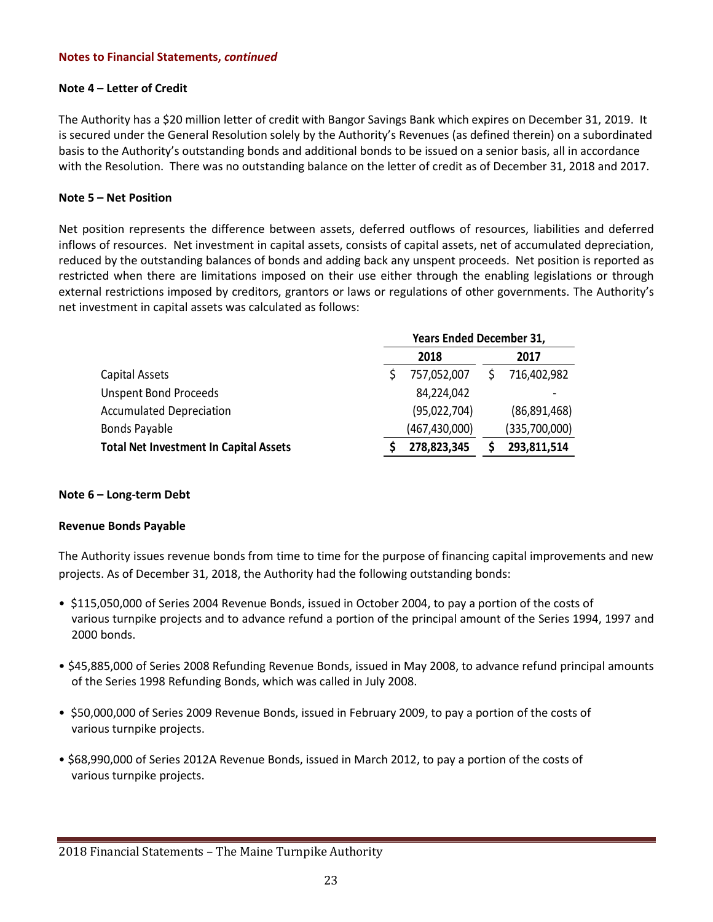### **Note 4 – Letter of Credit**

The Authority has a \$20 million letter of credit with Bangor Savings Bank which expires on December 31, 2019. It is secured under the General Resolution solely by the Authority's Revenues (as defined therein) on a subordinated basis to the Authority's outstanding bonds and additional bonds to be issued on a senior basis, all in accordance with the Resolution. There was no outstanding balance on the letter of credit as of December 31, 2018 and 2017.

### **Note 5 – Net Position**

Net position represents the difference between assets, deferred outflows of resources, liabilities and deferred inflows of resources. Net investment in capital assets, consists of capital assets, net of accumulated depreciation, reduced by the outstanding balances of bonds and adding back any unspent proceeds. Net position is reported as restricted when there are limitations imposed on their use either through the enabling legislations or through external restrictions imposed by creditors, grantors or laws or regulations of other governments. The Authority's net investment in capital assets was calculated as follows:

|                                               | <b>Years Ended December 31,</b> |                 |  |               |
|-----------------------------------------------|---------------------------------|-----------------|--|---------------|
|                                               |                                 | 2018            |  | 2017          |
| Capital Assets                                |                                 | 757,052,007     |  | 716,402,982   |
| <b>Unspent Bond Proceeds</b>                  |                                 | 84,224,042      |  |               |
| <b>Accumulated Depreciation</b>               |                                 | (95,022,704)    |  | (86,891,468)  |
| Bonds Payable                                 |                                 | (467, 430, 000) |  | (335,700,000) |
| <b>Total Net Investment In Capital Assets</b> |                                 | 278,823,345     |  | 293,811,514   |

### **Note 6 – Long-term Debt**

#### **Revenue Bonds Payable**

The Authority issues revenue bonds from time to time for the purpose of financing capital improvements and new projects. As of December 31, 2018, the Authority had the following outstanding bonds:

- \$115,050,000 of Series 2004 Revenue Bonds, issued in October 2004, to pay a portion of the costs of various turnpike projects and to advance refund a portion of the principal amount of the Series 1994, 1997 and 2000 bonds.
- \$45,885,000 of Series 2008 Refunding Revenue Bonds, issued in May 2008, to advance refund principal amounts of the Series 1998 Refunding Bonds, which was called in July 2008.
- \$50,000,000 of Series 2009 Revenue Bonds, issued in February 2009, to pay a portion of the costs of various turnpike projects.
- \$68,990,000 of Series 2012A Revenue Bonds, issued in March 2012, to pay a portion of the costs of various turnpike projects.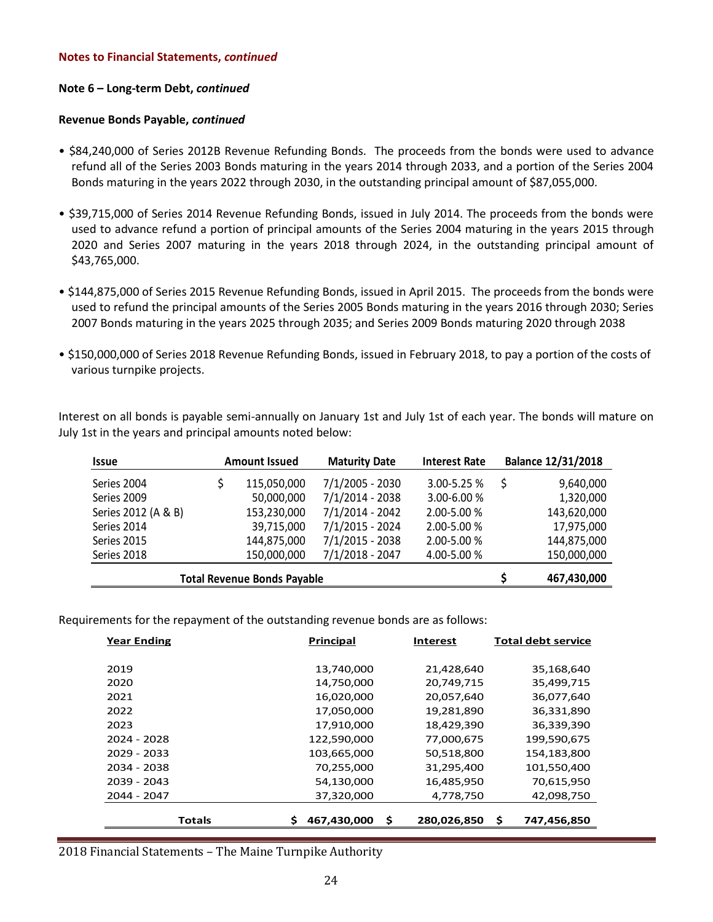### **Note 6 – Long-term Debt,** *continued*

### **Revenue Bonds Payable,** *continued*

- \$84,240,000 of Series 2012B Revenue Refunding Bonds. The proceeds from the bonds were used to advance refund all of the Series 2003 Bonds maturing in the years 2014 through 2033, and a portion of the Series 2004 Bonds maturing in the years 2022 through 2030, in the outstanding principal amount of \$87,055,000.
- \$39,715,000 of Series 2014 Revenue Refunding Bonds, issued in July 2014. The proceeds from the bonds were used to advance refund a portion of principal amounts of the Series 2004 maturing in the years 2015 through 2020 and Series 2007 maturing in the years 2018 through 2024, in the outstanding principal amount of \$43,765,000.
- \$144,875,000 of Series 2015 Revenue Refunding Bonds, issued in April 2015. The proceeds from the bonds were used to refund the principal amounts of the Series 2005 Bonds maturing in the years 2016 through 2030; Series 2007 Bonds maturing in the years 2025 through 2035; and Series 2009 Bonds maturing 2020 through 2038
- \$150,000,000 of Series 2018 Revenue Refunding Bonds, issued in February 2018, to pay a portion of the costs of various turnpike projects.

Interest on all bonds is payable semi-annually on January 1st and July 1st of each year. The bonds will mature on July 1st in the years and principal amounts noted below:

| <b>Issue</b>                       |  | <b>Amount Issued</b> | <b>Maturity Date</b> | <b>Interest Rate</b> |   | <b>Balance 12/31/2018</b> |
|------------------------------------|--|----------------------|----------------------|----------------------|---|---------------------------|
| Series 2004                        |  | 115,050,000          | 7/1/2005 - 2030      | 3.00-5.25 %          | Ś | 9,640,000                 |
| Series 2009                        |  | 50,000,000           | 7/1/2014 - 2038      | $3.00 - 6.00 %$      |   | 1,320,000                 |
| Series 2012 (A & B)                |  | 153,230,000          | 7/1/2014 - 2042      | 2.00-5.00 %          |   | 143,620,000               |
| Series 2014                        |  | 39,715,000           | 7/1/2015 - 2024      | $2.00 - 5.00 %$      |   | 17,975,000                |
| Series 2015                        |  | 144,875,000          | 7/1/2015 - 2038      | 2.00-5.00 %          |   | 144,875,000               |
| Series 2018                        |  | 150,000,000          | 7/1/2018 - 2047      | 4.00-5.00 %          |   | 150,000,000               |
| <b>Total Revenue Bonds Payable</b> |  |                      |                      |                      |   | 467,430,000               |

Requirements for the repayment of the outstanding revenue bonds are as follows:

| <b>Year Ending</b> | Principal              | <b>Interest</b> | <b>Total debt service</b> |
|--------------------|------------------------|-----------------|---------------------------|
|                    |                        |                 |                           |
| 2019               | 13,740,000             | 21,428,640      | 35,168,640                |
| 2020               | 14,750,000             | 20,749,715      | 35,499,715                |
| 2021               | 16,020,000             | 20,057,640      | 36,077,640                |
| 2022               | 17,050,000             | 19,281,890      | 36,331,890                |
| 2023               | 17,910,000             | 18,429,390      | 36,339,390                |
| $2024 - 2028$      | 122,590,000            | 77,000,675      | 199,590,675               |
| 2029 - 2033        | 103,665,000            | 50,518,800      | 154,183,800               |
| 2034 - 2038        | 70,255,000             | 31,295,400      | 101,550,400               |
| 2039 - 2043        | 54,130,000             | 16,485,950      | 70,615,950                |
| 2044 - 2047        | 37,320,000             | 4,778,750       | 42,098,750                |
| <b>Totals</b>      | 467,430,000<br>\$<br>s | 280,026,850     | \$<br>747,456,850         |
|                    |                        |                 |                           |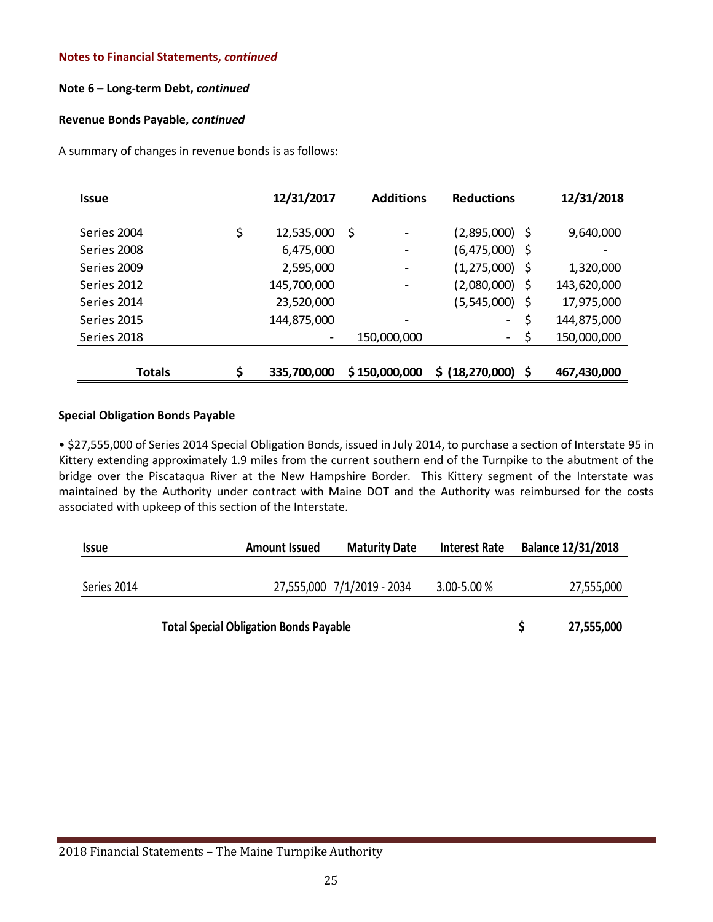### **Note 6 – Long-term Debt,** *continued*

### **Revenue Bonds Payable,** *continued*

A summary of changes in revenue bonds is as follows:

| <b>Issue</b>  | 12/31/2017               | <b>Additions</b> | <b>Reductions</b>        | 12/31/2018        |
|---------------|--------------------------|------------------|--------------------------|-------------------|
|               |                          |                  |                          |                   |
| Series 2004   | \$<br>12,535,000         | \$               | $(2,895,000)$ \$         | 9,640,000         |
| Series 2008   | 6,475,000                |                  | $(6,475,000)$ \$         |                   |
| Series 2009   | 2,595,000                |                  | $(1,275,000)$ \$         | 1,320,000         |
| Series 2012   | 145,700,000              |                  | $(2,080,000)$ \$         | 143,620,000       |
| Series 2014   | 23,520,000               |                  | (5,545,000) \$           | 17,975,000        |
| Series 2015   | 144,875,000              |                  | $\overline{\phantom{a}}$ | \$<br>144,875,000 |
| Series 2018   | $\overline{\phantom{a}}$ | 150,000,000      | $\overline{\phantom{a}}$ | \$<br>150,000,000 |
|               |                          |                  |                          |                   |
| <b>Totals</b> | \$<br>335,700,000        | \$150,000,000    | \$ (18, 270, 000) \$     | 467,430,000       |

### **Special Obligation Bonds Payable**

• \$27,555,000 of Series 2014 Special Obligation Bonds, issued in July 2014, to purchase a section of Interstate 95 in Kittery extending approximately 1.9 miles from the current southern end of the Turnpike to the abutment of the bridge over the Piscataqua River at the New Hampshire Border. This Kittery segment of the Interstate was maintained by the Authority under contract with Maine DOT and the Authority was reimbursed for the costs associated with upkeep of this section of the Interstate.

| <b>Issue</b> | <b>Amount Issued</b> | <b>Maturity Date</b>       | <b>Interest Rate</b> | Balance 12/31/2018 |  |
|--------------|----------------------|----------------------------|----------------------|--------------------|--|
|              |                      |                            |                      |                    |  |
| Series 2014  |                      | 27,555,000 7/1/2019 - 2034 | 3.00-5.00 %          | 27,555,000         |  |
|              |                      |                            |                      |                    |  |
|              | 27,555,000           |                            |                      |                    |  |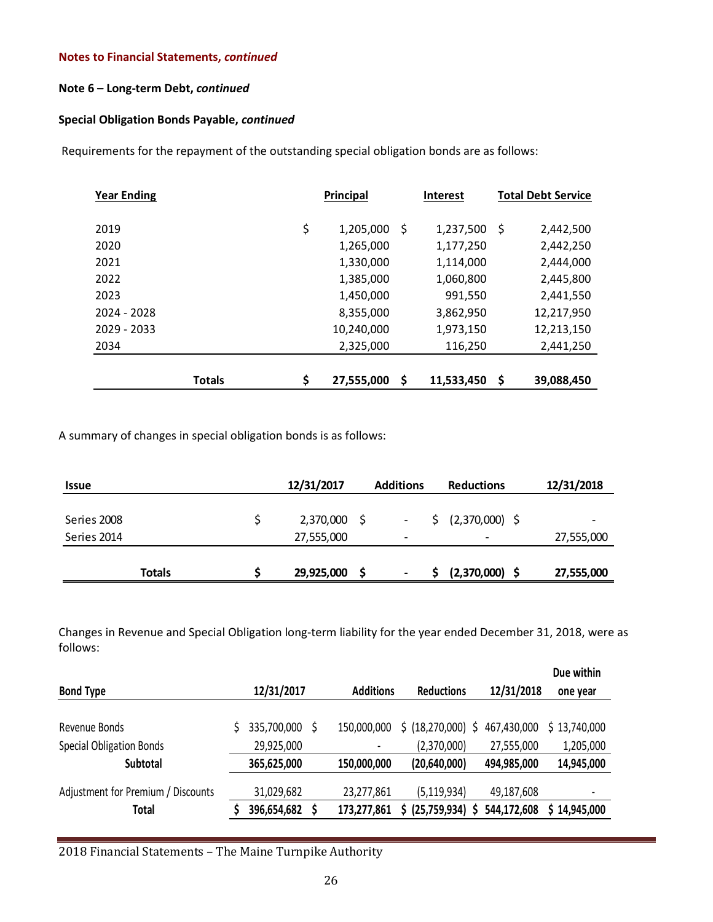### **Note 6 – Long-term Debt,** *continued*

### **Special Obligation Bonds Payable,** *continued*

Requirements for the repayment of the outstanding special obligation bonds are as follows:

| <b>Year Ending</b> | Principal               | <b>Interest</b>  |          | <b>Total Debt Service</b> |
|--------------------|-------------------------|------------------|----------|---------------------------|
|                    |                         |                  |          |                           |
| 2019               | \$<br>- \$<br>1,205,000 | 1,237,500        | -S       | 2,442,500                 |
| 2020               | 1,265,000               | 1,177,250        |          | 2,442,250                 |
| 2021               | 1,330,000               | 1,114,000        |          | 2,444,000                 |
| 2022               | 1,385,000               | 1,060,800        |          | 2,445,800                 |
| 2023               | 1,450,000               | 991,550          |          | 2,441,550                 |
| 2024 - 2028        | 8,355,000               | 3,862,950        |          | 12,217,950                |
| 2029 - 2033        | 10,240,000              | 1,973,150        |          | 12,213,150                |
| 2034               | 2,325,000               | 116,250          |          | 2,441,250                 |
|                    |                         |                  |          |                           |
| <b>Totals</b>      | \$<br>27,555,000        | \$<br>11,533,450 | <b>S</b> | 39,088,450                |

A summary of changes in special obligation bonds is as follows:

| <b>Issue</b> |               | 12/31/2017 | <b>Additions</b>         |    | <b>Reductions</b> | 12/31/2018 |
|--------------|---------------|------------|--------------------------|----|-------------------|------------|
|              |               |            |                          |    |                   |            |
| Series 2008  |               | 2,370,000  | $\overline{\phantom{a}}$ | S. | $(2,370,000)$ \$  |            |
| Series 2014  |               | 27,555,000 | $\overline{\phantom{a}}$ |    | -                 | 27,555,000 |
|              |               |            |                          |    |                   |            |
|              | <b>Totals</b> | 29,925,000 | $\blacksquare$           |    | (2,370,000)       | 27,555,000 |

Changes in Revenue and Special Obligation long-term liability for the year ended December 31, 2018, were as follows:

|                                    |             |                  |                    |             | Due within   |
|------------------------------------|-------------|------------------|--------------------|-------------|--------------|
| <b>Bond Type</b>                   | 12/31/2017  | <b>Additions</b> | <b>Reductions</b>  | 12/31/2018  | one year     |
|                                    |             |                  |                    |             |              |
| Revenue Bonds                      | 335,700,000 | 150,000,000      | \$ (18,270,000) \$ | 467,430,000 | \$13,740,000 |
| <b>Special Obligation Bonds</b>    | 29,925,000  |                  | (2,370,000)        | 27,555,000  | 1,205,000    |
| Subtotal                           | 365,625,000 | 150,000,000      | (20, 640, 000)     | 494,985,000 | 14,945,000   |
| Adjustment for Premium / Discounts | 31,029,682  | 23,277,861       | (5, 119, 934)      | 49,187,608  | $\,$         |
| Total                              | 396,654,682 | 173,277,861      | $(25,759,934)$ \$  | 544,172,608 | \$14,945,000 |
|                                    |             |                  |                    |             |              |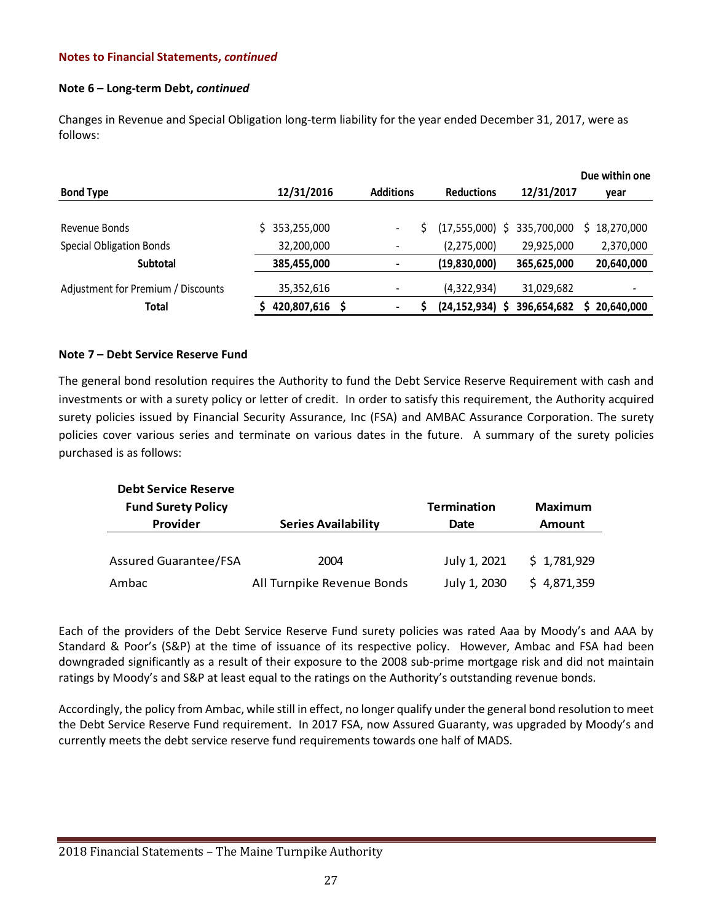### **Note 6 – Long-term Debt,** *continued*

Changes in Revenue and Special Obligation long-term liability for the year ended December 31, 2017, were as follows:

|                                    |             |                  |                            |             | Due within one           |
|------------------------------------|-------------|------------------|----------------------------|-------------|--------------------------|
| <b>Bond Type</b>                   | 12/31/2016  | <b>Additions</b> | <b>Reductions</b>          | 12/31/2017  | year                     |
|                                    |             |                  |                            |             |                          |
| Revenue Bonds                      | 353,255,000 |                  | (17,555,000)<br>Ŝ.         | 335,700,000 | 18,270,000               |
| <b>Special Obligation Bonds</b>    | 32,200,000  |                  | (2, 275, 000)              | 29,925,000  | 2,370,000                |
| Subtotal                           | 385,455,000 |                  | (19,830,000)               | 365,625,000 | 20,640,000               |
| Adjustment for Premium / Discounts | 35,352,616  |                  | (4,322,934)                | 31,029,682  | $\overline{\phantom{a}}$ |
| Total                              | 420,807,616 |                  | (24, 152, 934)<br><b>S</b> | 396,654,682 | 20,640,000<br>s          |

### **Note 7 – Debt Service Reserve Fund**

The general bond resolution requires the Authority to fund the Debt Service Reserve Requirement with cash and investments or with a surety policy or letter of credit. In order to satisfy this requirement, the Authority acquired surety policies issued by Financial Security Assurance, Inc (FSA) and AMBAC Assurance Corporation. The surety policies cover various series and terminate on various dates in the future. A summary of the surety policies purchased is as follows:

| <b>Debt Service Reserve</b>  |                            |                    |               |
|------------------------------|----------------------------|--------------------|---------------|
| <b>Fund Surety Policy</b>    |                            | <b>Termination</b> | Maximum       |
| Provider                     | <b>Series Availability</b> | Date               | <b>Amount</b> |
|                              |                            |                    |               |
| <b>Assured Guarantee/FSA</b> | 2004                       | July 1, 2021       | \$1,781,929   |
| Ambac                        | All Turnpike Revenue Bonds | July 1, 2030       | \$4,871,359   |

Each of the providers of the Debt Service Reserve Fund surety policies was rated Aaa by Moody's and AAA by Standard & Poor's (S&P) at the time of issuance of its respective policy. However, Ambac and FSA had been downgraded significantly as a result of their exposure to the 2008 sub-prime mortgage risk and did not maintain ratings by Moody's and S&P at least equal to the ratings on the Authority's outstanding revenue bonds.

Accordingly, the policy from Ambac, while still in effect, no longer qualify under the general bond resolution to meet the Debt Service Reserve Fund requirement. In 2017 FSA, now Assured Guaranty, was upgraded by Moody's and currently meets the debt service reserve fund requirements towards one half of MADS.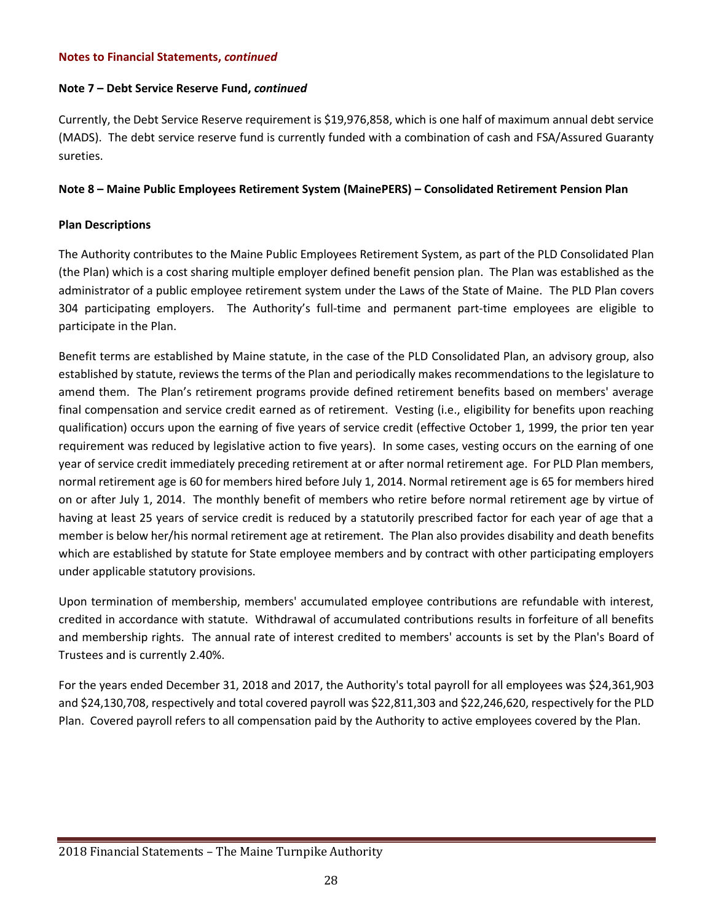### **Note 7 – Debt Service Reserve Fund,** *continued*

Currently, the Debt Service Reserve requirement is \$19,976,858, which is one half of maximum annual debt service (MADS). The debt service reserve fund is currently funded with a combination of cash and FSA/Assured Guaranty sureties.

### **Note 8 – Maine Public Employees Retirement System (MainePERS) – Consolidated Retirement Pension Plan**

### **Plan Descriptions**

The Authority contributes to the Maine Public Employees Retirement System, as part of the PLD Consolidated Plan (the Plan) which is a cost sharing multiple employer defined benefit pension plan. The Plan was established as the administrator of a public employee retirement system under the Laws of the State of Maine. The PLD Plan covers 304 participating employers. The Authority's full-time and permanent part-time employees are eligible to participate in the Plan.

Benefit terms are established by Maine statute, in the case of the PLD Consolidated Plan, an advisory group, also established by statute, reviews the terms of the Plan and periodically makes recommendations to the legislature to amend them. The Plan's retirement programs provide defined retirement benefits based on members' average final compensation and service credit earned as of retirement. Vesting (i.e., eligibility for benefits upon reaching qualification) occurs upon the earning of five years of service credit (effective October 1, 1999, the prior ten year requirement was reduced by legislative action to five years). In some cases, vesting occurs on the earning of one year of service credit immediately preceding retirement at or after normal retirement age. For PLD Plan members, normal retirement age is 60 for members hired before July 1, 2014. Normal retirement age is 65 for members hired on or after July 1, 2014. The monthly benefit of members who retire before normal retirement age by virtue of having at least 25 years of service credit is reduced by a statutorily prescribed factor for each year of age that a member is below her/his normal retirement age at retirement. The Plan also provides disability and death benefits which are established by statute for State employee members and by contract with other participating employers under applicable statutory provisions.

Upon termination of membership, members' accumulated employee contributions are refundable with interest, credited in accordance with statute. Withdrawal of accumulated contributions results in forfeiture of all benefits and membership rights. The annual rate of interest credited to members' accounts is set by the Plan's Board of Trustees and is currently 2.40%.

For the years ended December 31, 2018 and 2017, the Authority's total payroll for all employees was \$24,361,903 and \$24,130,708, respectively and total covered payroll was \$22,811,303 and \$22,246,620, respectively for the PLD Plan. Covered payroll refers to all compensation paid by the Authority to active employees covered by the Plan.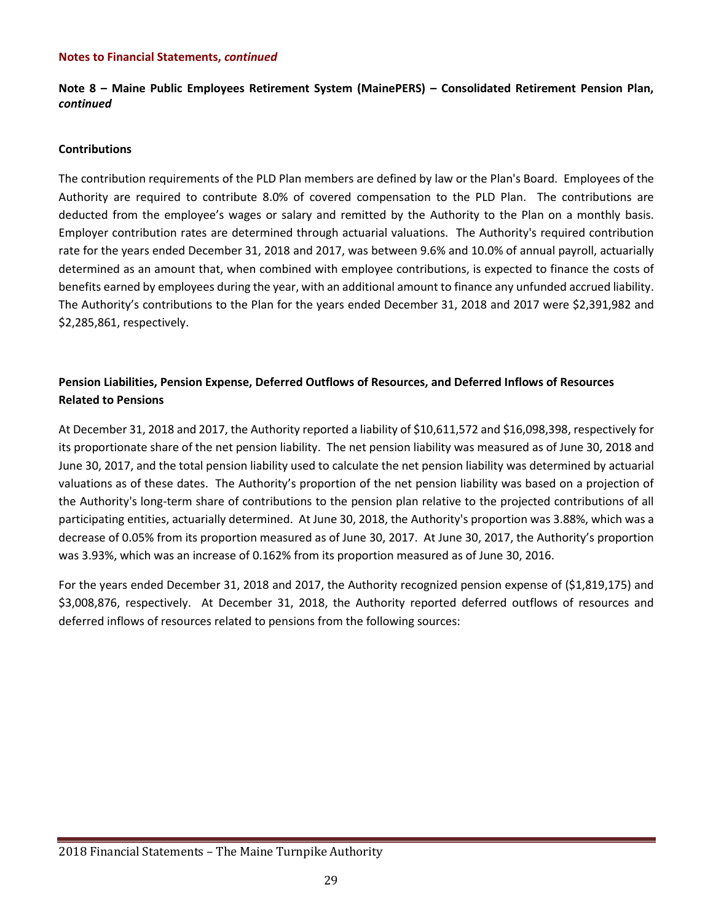**Note 8 – Maine Public Employees Retirement System (MainePERS) – Consolidated Retirement Pension Plan,** *continued*

### **Contributions**

The contribution requirements of the PLD Plan members are defined by law or the Plan's Board. Employees of the Authority are required to contribute 8.0% of covered compensation to the PLD Plan. The contributions are deducted from the employee's wages or salary and remitted by the Authority to the Plan on a monthly basis. Employer contribution rates are determined through actuarial valuations. The Authority's required contribution rate for the years ended December 31, 2018 and 2017, was between 9.6% and 10.0% of annual payroll, actuarially determined as an amount that, when combined with employee contributions, is expected to finance the costs of benefits earned by employees during the year, with an additional amount to finance any unfunded accrued liability. The Authority's contributions to the Plan for the years ended December 31, 2018 and 2017 were \$2,391,982 and \$2,285,861, respectively.

### **Pension Liabilities, Pension Expense, Deferred Outflows of Resources, and Deferred Inflows of Resources Related to Pensions**

At December 31, 2018 and 2017, the Authority reported a liability of \$10,611,572 and \$16,098,398, respectively for its proportionate share of the net pension liability. The net pension liability was measured as of June 30, 2018 and June 30, 2017, and the total pension liability used to calculate the net pension liability was determined by actuarial valuations as of these dates. The Authority's proportion of the net pension liability was based on a projection of the Authority's long-term share of contributions to the pension plan relative to the projected contributions of all participating entities, actuarially determined. At June 30, 2018, the Authority's proportion was 3.88%, which was a decrease of 0.05% from its proportion measured as of June 30, 2017. At June 30, 2017, the Authority's proportion was 3.93%, which was an increase of 0.162% from its proportion measured as of June 30, 2016.

For the years ended December 31, 2018 and 2017, the Authority recognized pension expense of (\$1,819,175) and \$3,008,876, respectively. At December 31, 2018, the Authority reported deferred outflows of resources and deferred inflows of resources related to pensions from the following sources: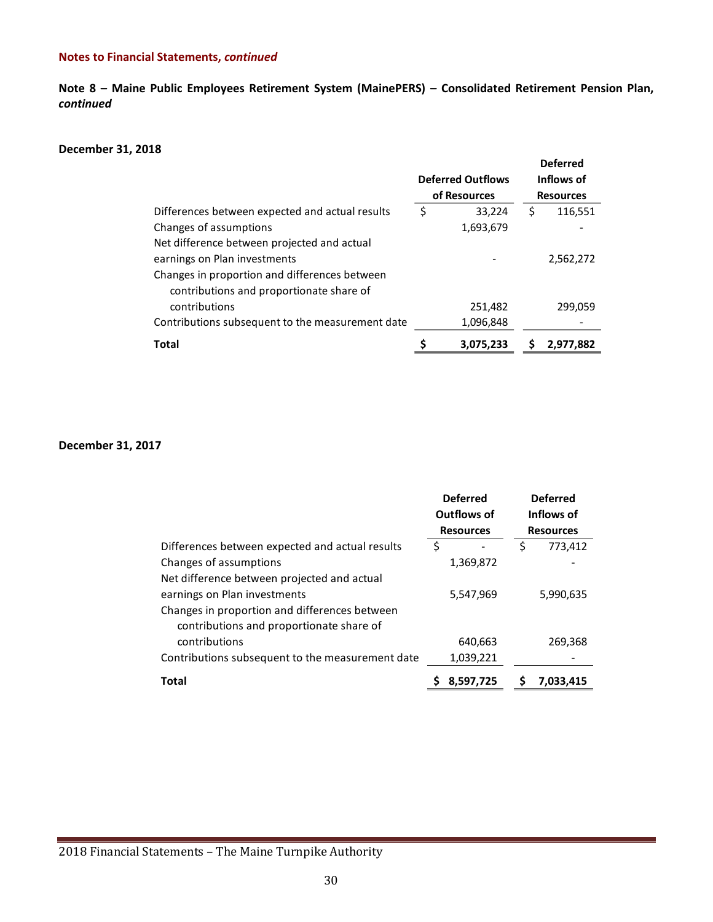**Note 8 – Maine Public Employees Retirement System (MainePERS) – Consolidated Retirement Pension Plan,** *continued*

### **December 31, 2018**

|                                                  |                          |   | <b>Deferred</b>  |
|--------------------------------------------------|--------------------------|---|------------------|
|                                                  | <b>Deferred Outflows</b> |   | Inflows of       |
|                                                  | of Resources             |   | <b>Resources</b> |
| Differences between expected and actual results  | \$<br>33,224             | S | 116,551          |
| Changes of assumptions                           | 1,693,679                |   |                  |
| Net difference between projected and actual      |                          |   |                  |
| earnings on Plan investments                     |                          |   | 2,562,272        |
| Changes in proportion and differences between    |                          |   |                  |
| contributions and proportionate share of         |                          |   |                  |
| contributions                                    | 251,482                  |   | 299,059          |
| Contributions subsequent to the measurement date | 1,096,848                |   |                  |
| Total                                            | 3,075,233                |   | 2.977.882        |

#### **December 31, 2017**

|                                                  | <b>Deferred</b><br>Outflows of<br><b>Resources</b> | <b>Deferred</b><br>Inflows of<br><b>Resources</b> |           |  |
|--------------------------------------------------|----------------------------------------------------|---------------------------------------------------|-----------|--|
| Differences between expected and actual results  | \$                                                 | \$                                                | 773,412   |  |
| Changes of assumptions                           | 1,369,872                                          |                                                   |           |  |
| Net difference between projected and actual      |                                                    |                                                   |           |  |
| earnings on Plan investments                     | 5,547,969                                          |                                                   | 5,990,635 |  |
| Changes in proportion and differences between    |                                                    |                                                   |           |  |
| contributions and proportionate share of         |                                                    |                                                   |           |  |
| contributions                                    | 640,663                                            |                                                   | 269,368   |  |
| Contributions subsequent to the measurement date | 1,039,221                                          |                                                   |           |  |
| Total                                            | 8,597,725                                          | S                                                 | 7.033.415 |  |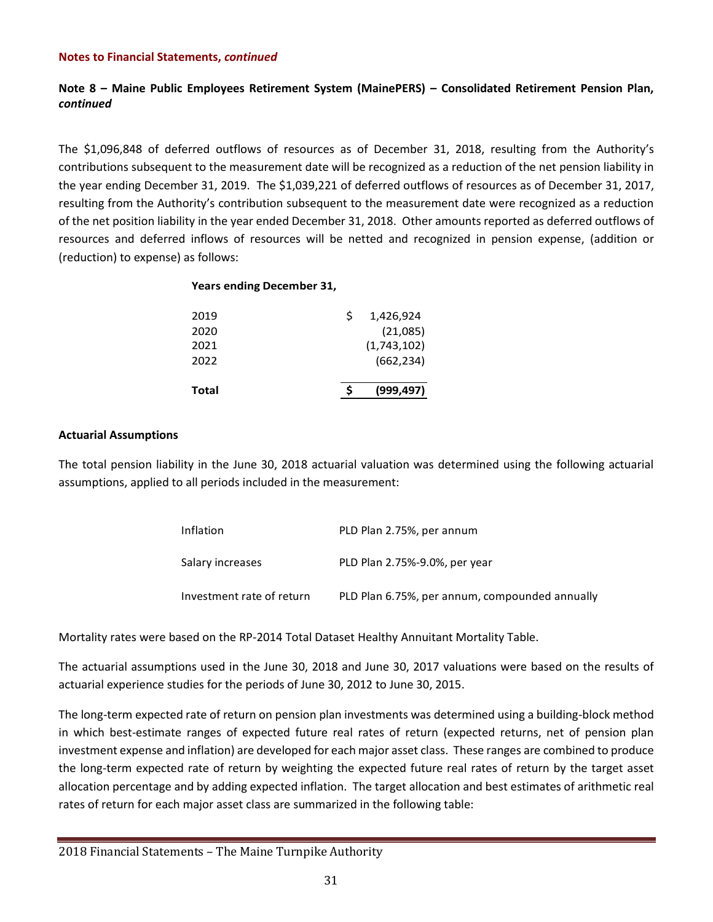### **Note 8 – Maine Public Employees Retirement System (MainePERS) – Consolidated Retirement Pension Plan,** *continued*

The \$1,096,848 of deferred outflows of resources as of December 31, 2018, resulting from the Authority's contributions subsequent to the measurement date will be recognized as a reduction of the net pension liability in the year ending December 31, 2019. The \$1,039,221 of deferred outflows of resources as of December 31, 2017, resulting from the Authority's contribution subsequent to the measurement date were recognized as a reduction of the net position liability in the year ended December 31, 2018. Other amounts reported as deferred outflows of resources and deferred inflows of resources will be netted and recognized in pension expense, (addition or (reduction) to expense) as follows:

### **Years ending December 31,**

| Total |   | (999, 497)  |
|-------|---|-------------|
| 2022  |   | (662, 234)  |
| 2021  |   | (1,743,102) |
| 2020  |   | (21,085)    |
| 2019  | S | 1,426,924   |
|       |   |             |

### **Actuarial Assumptions**

The total pension liability in the June 30, 2018 actuarial valuation was determined using the following actuarial assumptions, applied to all periods included in the measurement:

| Inflation                 | PLD Plan 2.75%, per annum                      |
|---------------------------|------------------------------------------------|
| Salary increases          | PLD Plan 2.75%-9.0%, per year                  |
| Investment rate of return | PLD Plan 6.75%, per annum, compounded annually |

Mortality rates were based on the RP-2014 Total Dataset Healthy Annuitant Mortality Table.

The actuarial assumptions used in the June 30, 2018 and June 30, 2017 valuations were based on the results of actuarial experience studies for the periods of June 30, 2012 to June 30, 2015.

The long-term expected rate of return on pension plan investments was determined using a building-block method in which best-estimate ranges of expected future real rates of return (expected returns, net of pension plan investment expense and inflation) are developed for each major asset class. These ranges are combined to produce the long-term expected rate of return by weighting the expected future real rates of return by the target asset allocation percentage and by adding expected inflation. The target allocation and best estimates of arithmetic real rates of return for each major asset class are summarized in the following table: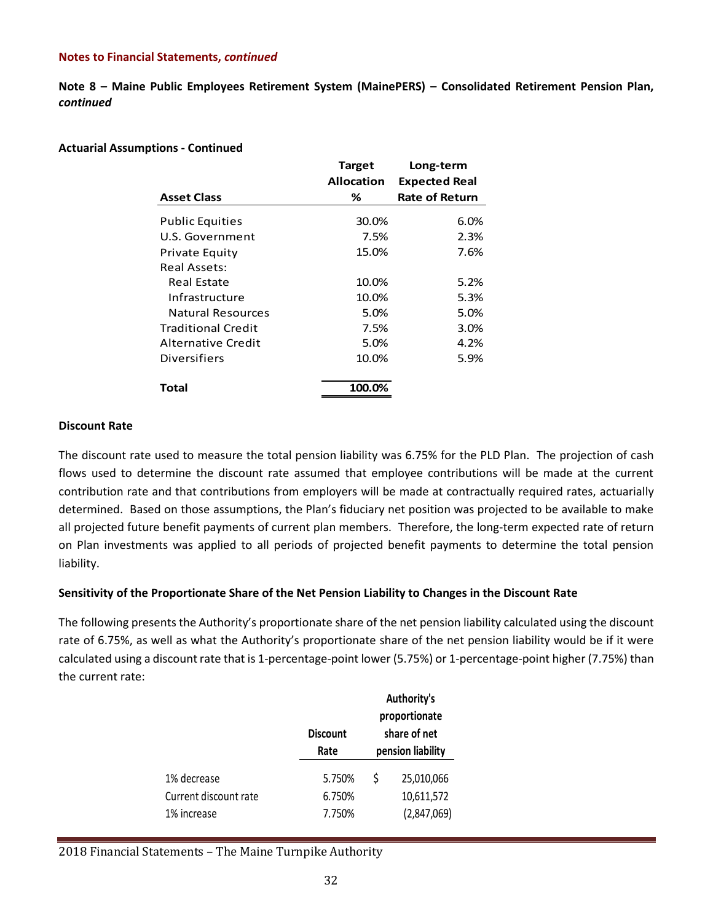**Note 8 – Maine Public Employees Retirement System (MainePERS) – Consolidated Retirement Pension Plan,** *continued*

### **Actuarial Assumptions - Continued**

|                           | <b>Target</b>     | Long-term             |
|---------------------------|-------------------|-----------------------|
|                           | <b>Allocation</b> | <b>Expected Real</b>  |
| <b>Asset Class</b>        | ℅                 | <b>Rate of Return</b> |
| <b>Public Equities</b>    | 30.0%             | 6.0%                  |
| U.S. Government           | 7.5%              | 2.3%                  |
| <b>Private Equity</b>     | 15.0%             | 7.6%                  |
| <b>Real Assets:</b>       |                   |                       |
| <b>Real Estate</b>        | 10.0%             | 5.2%                  |
| Infrastructure            | 10.0%             | 5.3%                  |
| Natural Resources         | 5.0%              | 5.0%                  |
| <b>Traditional Credit</b> | 7.5%              | 3.0%                  |
| Alternative Credit        | 5.0%              | 4.2%                  |
| Diversifiers              | 10.0%             | 5.9%                  |
| Total                     | 100.0%            |                       |

### **Discount Rate**

The discount rate used to measure the total pension liability was 6.75% for the PLD Plan. The projection of cash flows used to determine the discount rate assumed that employee contributions will be made at the current contribution rate and that contributions from employers will be made at contractually required rates, actuarially determined. Based on those assumptions, the Plan's fiduciary net position was projected to be available to make all projected future benefit payments of current plan members. Therefore, the long-term expected rate of return on Plan investments was applied to all periods of projected benefit payments to determine the total pension liability.

### **Sensitivity of the Proportionate Share of the Net Pension Liability to Changes in the Discount Rate**

The following presents the Authority's proportionate share of the net pension liability calculated using the discount rate of 6.75%, as well as what the Authority's proportionate share of the net pension liability would be if it were calculated using a discount rate that is 1-percentage-point lower (5.75%) or 1-percentage-point higher (7.75%) than the current rate:

|                       | <b>Discount</b><br>Rate |   | Authority's<br>proportionate<br>share of net<br>pension liability |
|-----------------------|-------------------------|---|-------------------------------------------------------------------|
| 1% decrease           | 5.750%                  | S | 25,010,066                                                        |
| Current discount rate | 6.750%                  |   | 10,611,572                                                        |
| 1% increase           | 7.750%                  |   | (2,847,069)                                                       |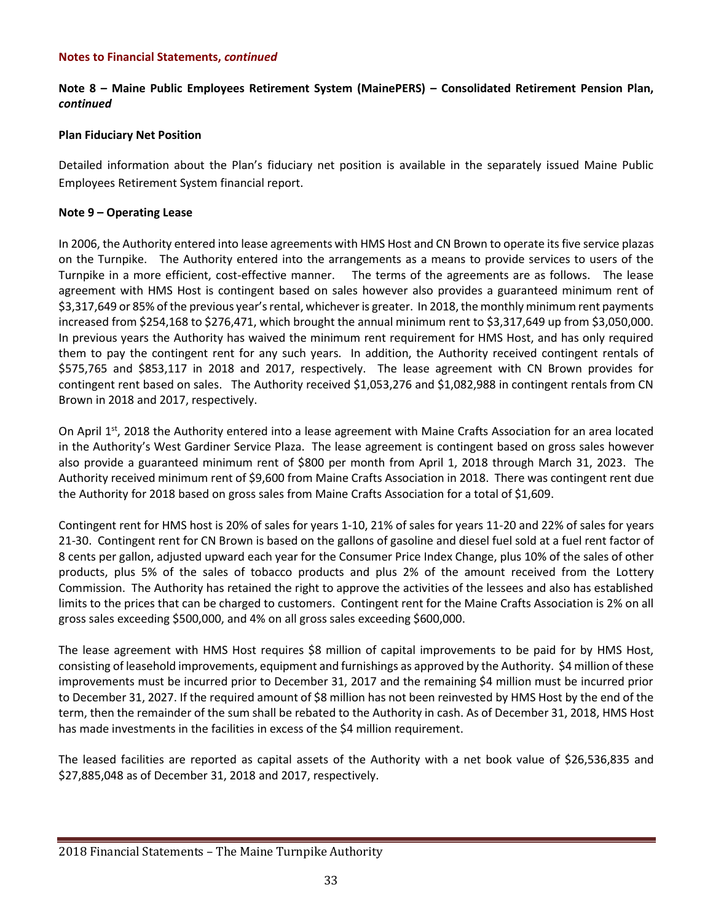### **Note 8 – Maine Public Employees Retirement System (MainePERS) – Consolidated Retirement Pension Plan,** *continued*

### **Plan Fiduciary Net Position**

Detailed information about the Plan's fiduciary net position is available in the separately issued Maine Public Employees Retirement System financial report.

### **Note 9 – Operating Lease**

In 2006, the Authority entered into lease agreements with HMS Host and CN Brown to operate its five service plazas on the Turnpike. The Authority entered into the arrangements as a means to provide services to users of the Turnpike in a more efficient, cost-effective manner. The terms of the agreements are as follows. The lease agreement with HMS Host is contingent based on sales however also provides a guaranteed minimum rent of \$3,317,649 or 85% of the previous year's rental, whichever is greater. In 2018, the monthly minimum rent payments increased from \$254,168 to \$276,471, which brought the annual minimum rent to \$3,317,649 up from \$3,050,000. In previous years the Authority has waived the minimum rent requirement for HMS Host, and has only required them to pay the contingent rent for any such years. In addition, the Authority received contingent rentals of \$575,765 and \$853,117 in 2018 and 2017, respectively. The lease agreement with CN Brown provides for contingent rent based on sales. The Authority received \$1,053,276 and \$1,082,988 in contingent rentals from CN Brown in 2018 and 2017, respectively.

On April 1<sup>st</sup>, 2018 the Authority entered into a lease agreement with Maine Crafts Association for an area located in the Authority's West Gardiner Service Plaza. The lease agreement is contingent based on gross sales however also provide a guaranteed minimum rent of \$800 per month from April 1, 2018 through March 31, 2023. The Authority received minimum rent of \$9,600 from Maine Crafts Association in 2018. There was contingent rent due the Authority for 2018 based on gross sales from Maine Crafts Association for a total of \$1,609.

Contingent rent for HMS host is 20% of sales for years 1-10, 21% of sales for years 11-20 and 22% of sales for years 21-30. Contingent rent for CN Brown is based on the gallons of gasoline and diesel fuel sold at a fuel rent factor of 8 cents per gallon, adjusted upward each year for the Consumer Price Index Change, plus 10% of the sales of other products, plus 5% of the sales of tobacco products and plus 2% of the amount received from the Lottery Commission. The Authority has retained the right to approve the activities of the lessees and also has established limits to the prices that can be charged to customers. Contingent rent for the Maine Crafts Association is 2% on all gross sales exceeding \$500,000, and 4% on all gross sales exceeding \$600,000.

The lease agreement with HMS Host requires \$8 million of capital improvements to be paid for by HMS Host, consisting of leasehold improvements, equipment and furnishings as approved by the Authority. \$4 million of these improvements must be incurred prior to December 31, 2017 and the remaining \$4 million must be incurred prior to December 31, 2027. If the required amount of \$8 million has not been reinvested by HMS Host by the end of the term, then the remainder of the sum shall be rebated to the Authority in cash. As of December 31, 2018, HMS Host has made investments in the facilities in excess of the \$4 million requirement.

The leased facilities are reported as capital assets of the Authority with a net book value of \$26,536,835 and \$27,885,048 as of December 31, 2018 and 2017, respectively.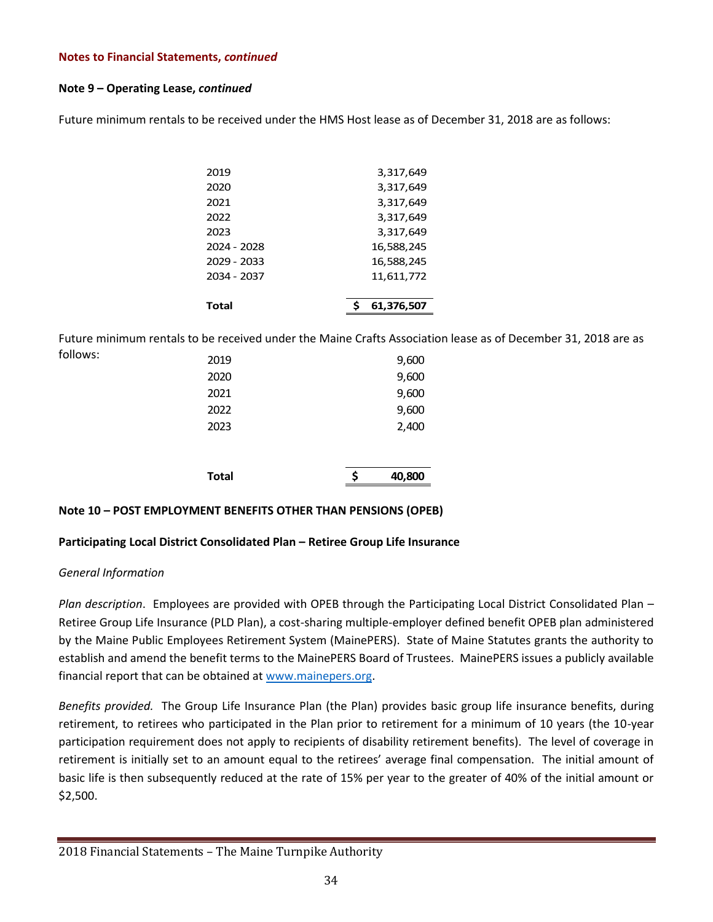### **Note 9 – Operating Lease,** *continued*

Future minimum rentals to be received under the HMS Host lease as of December 31, 2018 are as follows:

| 2019        | 3,317,649  |
|-------------|------------|
| 2020        | 3,317,649  |
| 2021        | 3,317,649  |
| 2022        | 3,317,649  |
| 2023        | 3,317,649  |
| 2024 - 2028 | 16,588,245 |
| 2029 - 2033 | 16,588,245 |
| 2034 - 2037 | 11,611,772 |
|             |            |
| Total       | 61.376.507 |

Future minimum rentals to be received under the Maine Crafts Association lease as of December 31, 2018 are as

|          | <b>Total</b> | 40,800<br>S |
|----------|--------------|-------------|
|          | 2023         | 2,400       |
|          | 2022         | 9,600       |
|          | 2021         | 9,600       |
|          | 2020         | 9,600       |
| follows: | 2019         | 9,600       |

### **Note 10 – POST EMPLOYMENT BENEFITS OTHER THAN PENSIONS (OPEB)**

### **Participating Local District Consolidated Plan – Retiree Group Life Insurance**

### *General Information*

*Plan description*. Employees are provided with OPEB through the Participating Local District Consolidated Plan – Retiree Group Life Insurance (PLD Plan), a cost-sharing multiple-employer defined benefit OPEB plan administered by the Maine Public Employees Retirement System (MainePERS). State of Maine Statutes grants the authority to establish and amend the benefit terms to the MainePERS Board of Trustees. MainePERS issues a publicly available financial report that can be obtained at [www.mainepers.org.](http://www.mainepers.org/)

*Benefits provided.* The Group Life Insurance Plan (the Plan) provides basic group life insurance benefits, during retirement, to retirees who participated in the Plan prior to retirement for a minimum of 10 years (the 10-year participation requirement does not apply to recipients of disability retirement benefits). The level of coverage in retirement is initially set to an amount equal to the retirees' average final compensation. The initial amount of basic life is then subsequently reduced at the rate of 15% per year to the greater of 40% of the initial amount or \$2,500.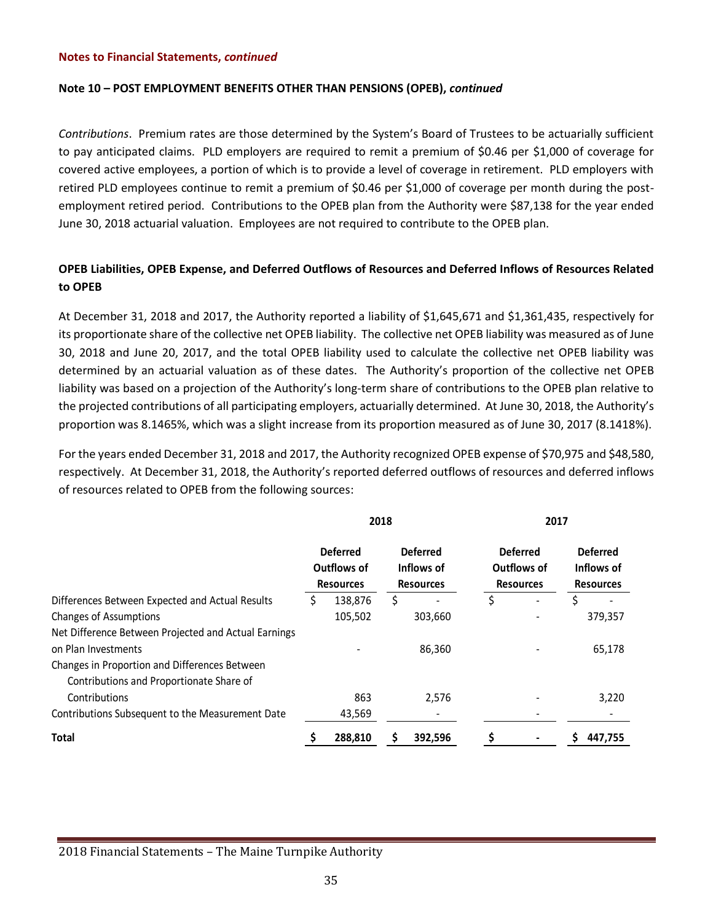### **Note 10 – POST EMPLOYMENT BENEFITS OTHER THAN PENSIONS (OPEB),** *continued*

*Contributions*. Premium rates are those determined by the System's Board of Trustees to be actuarially sufficient to pay anticipated claims. PLD employers are required to remit a premium of \$0.46 per \$1,000 of coverage for covered active employees, a portion of which is to provide a level of coverage in retirement. PLD employers with retired PLD employees continue to remit a premium of \$0.46 per \$1,000 of coverage per month during the postemployment retired period. Contributions to the OPEB plan from the Authority were \$87,138 for the year ended June 30, 2018 actuarial valuation. Employees are not required to contribute to the OPEB plan.

## **OPEB Liabilities, OPEB Expense, and Deferred Outflows of Resources and Deferred Inflows of Resources Related to OPEB**

At December 31, 2018 and 2017, the Authority reported a liability of \$1,645,671 and \$1,361,435, respectively for its proportionate share of the collective net OPEB liability. The collective net OPEB liability was measured as of June 30, 2018 and June 20, 2017, and the total OPEB liability used to calculate the collective net OPEB liability was determined by an actuarial valuation as of these dates. The Authority's proportion of the collective net OPEB liability was based on a projection of the Authority's long-term share of contributions to the OPEB plan relative to the projected contributions of all participating employers, actuarially determined. At June 30, 2018, the Authority's proportion was 8.1465%, which was a slight increase from its proportion measured as of June 30, 2017 (8.1418%).

For the years ended December 31, 2018 and 2017, the Authority recognized OPEB expense of \$70,975 and \$48,580, respectively. At December 31, 2018, the Authority's reported deferred outflows of resources and deferred inflows of resources related to OPEB from the following sources:

|                                                      | 2018 |                                                    |    |                                                   | 2017 |                                                    |   |                                                   |
|------------------------------------------------------|------|----------------------------------------------------|----|---------------------------------------------------|------|----------------------------------------------------|---|---------------------------------------------------|
|                                                      |      | <b>Deferred</b><br>Outflows of<br><b>Resources</b> |    | <b>Deferred</b><br>Inflows of<br><b>Resources</b> |      | <b>Deferred</b><br>Outflows of<br><b>Resources</b> |   | <b>Deferred</b><br>Inflows of<br><b>Resources</b> |
| Differences Between Expected and Actual Results      |      | 138.876                                            | \$ |                                                   | Ş    |                                                    | Ś |                                                   |
| <b>Changes of Assumptions</b>                        |      | 105,502                                            |    | 303,660                                           |      |                                                    |   | 379,357                                           |
| Net Difference Between Projected and Actual Earnings |      |                                                    |    |                                                   |      |                                                    |   |                                                   |
| on Plan Investments                                  |      |                                                    |    | 86,360                                            |      |                                                    |   | 65,178                                            |
| Changes in Proportion and Differences Between        |      |                                                    |    |                                                   |      |                                                    |   |                                                   |
| Contributions and Proportionate Share of             |      |                                                    |    |                                                   |      |                                                    |   |                                                   |
| Contributions                                        |      | 863                                                |    | 2,576                                             |      |                                                    |   | 3,220                                             |
| Contributions Subsequent to the Measurement Date     |      | 43,569                                             |    |                                                   |      |                                                    |   |                                                   |
| Total                                                |      | 288,810                                            |    | 392,596                                           |      |                                                    |   | 447,755                                           |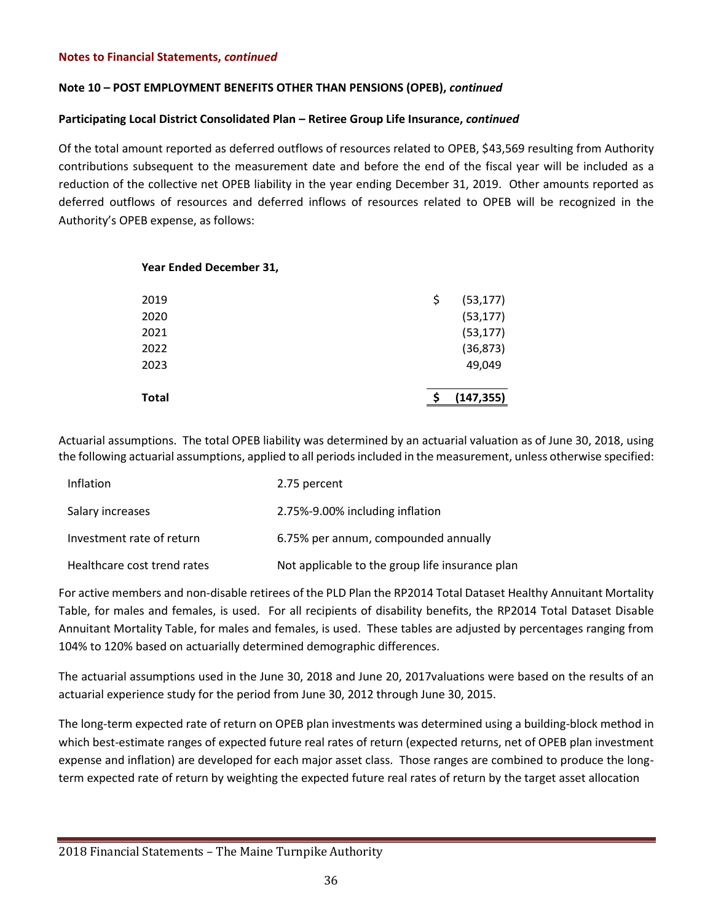### **Note 10 – POST EMPLOYMENT BENEFITS OTHER THAN PENSIONS (OPEB),** *continued*

### **Participating Local District Consolidated Plan – Retiree Group Life Insurance,** *continued*

Of the total amount reported as deferred outflows of resources related to OPEB, \$43,569 resulting from Authority contributions subsequent to the measurement date and before the end of the fiscal year will be included as a reduction of the collective net OPEB liability in the year ending December 31, 2019. Other amounts reported as deferred outflows of resources and deferred inflows of resources related to OPEB will be recognized in the Authority's OPEB expense, as follows:

### **Year Ended December 31,**

| <b>Total</b> | (147, 355)      |
|--------------|-----------------|
| 2023         | 49,049          |
| 2022         | (36, 873)       |
| 2021         | (53, 177)       |
| 2020         | (53, 177)       |
| 2019         | \$<br>(53, 177) |

Actuarial assumptions. The total OPEB liability was determined by an actuarial valuation as of June 30, 2018, using the following actuarial assumptions, applied to all periods included in the measurement, unless otherwise specified:

| Inflation                   | 2.75 percent                                    |
|-----------------------------|-------------------------------------------------|
| Salary increases            | 2.75%-9.00% including inflation                 |
| Investment rate of return   | 6.75% per annum, compounded annually            |
| Healthcare cost trend rates | Not applicable to the group life insurance plan |

For active members and non-disable retirees of the PLD Plan the RP2014 Total Dataset Healthy Annuitant Mortality Table, for males and females, is used. For all recipients of disability benefits, the RP2014 Total Dataset Disable Annuitant Mortality Table, for males and females, is used. These tables are adjusted by percentages ranging from 104% to 120% based on actuarially determined demographic differences.

The actuarial assumptions used in the June 30, 2018 and June 20, 2017valuations were based on the results of an actuarial experience study for the period from June 30, 2012 through June 30, 2015.

The long-term expected rate of return on OPEB plan investments was determined using a building-block method in which best-estimate ranges of expected future real rates of return (expected returns, net of OPEB plan investment expense and inflation) are developed for each major asset class. Those ranges are combined to produce the longterm expected rate of return by weighting the expected future real rates of return by the target asset allocation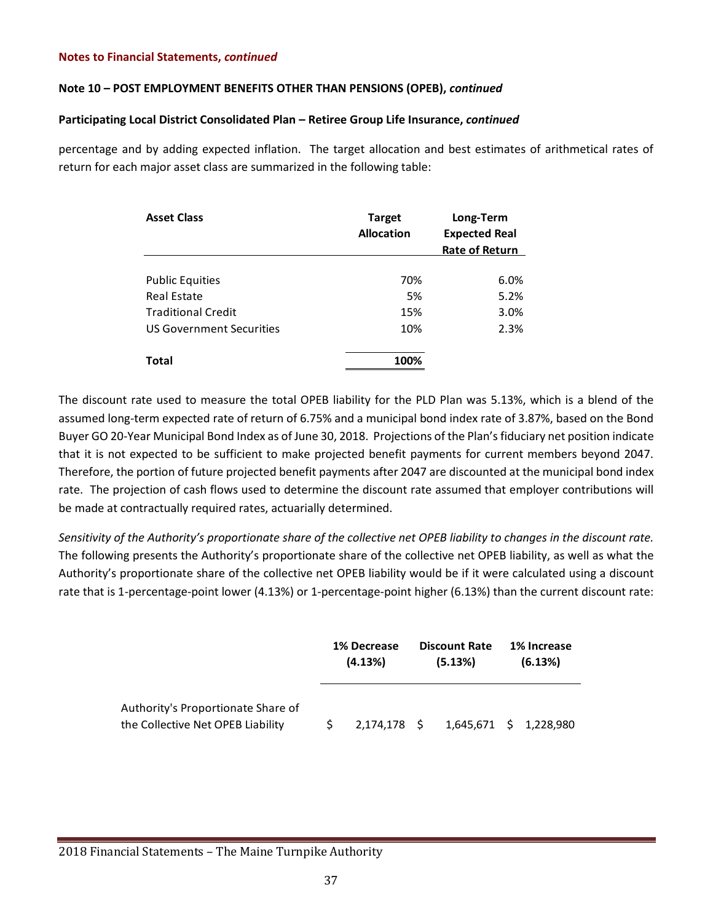### **Note 10 – POST EMPLOYMENT BENEFITS OTHER THAN PENSIONS (OPEB),** *continued*

### **Participating Local District Consolidated Plan – Retiree Group Life Insurance,** *continued*

percentage and by adding expected inflation. The target allocation and best estimates of arithmetical rates of return for each major asset class are summarized in the following table:

| <b>Asset Class</b>              | <b>Target</b><br><b>Allocation</b> | Long-Term<br><b>Expected Real</b><br><b>Rate of Return</b> |  |  |
|---------------------------------|------------------------------------|------------------------------------------------------------|--|--|
|                                 |                                    |                                                            |  |  |
| <b>Public Equities</b>          | 70%                                | 6.0%                                                       |  |  |
| Real Estate                     | 5%                                 | 5.2%                                                       |  |  |
| <b>Traditional Credit</b>       | 15%                                | 3.0%                                                       |  |  |
| <b>US Government Securities</b> | 10%                                | 2.3%                                                       |  |  |
|                                 |                                    |                                                            |  |  |
| Total                           | 100%                               |                                                            |  |  |

The discount rate used to measure the total OPEB liability for the PLD Plan was 5.13%, which is a blend of the assumed long-term expected rate of return of 6.75% and a municipal bond index rate of 3.87%, based on the Bond Buyer GO 20-Year Municipal Bond Index as of June 30, 2018. Projections of the Plan's fiduciary net position indicate that it is not expected to be sufficient to make projected benefit payments for current members beyond 2047. Therefore, the portion of future projected benefit payments after 2047 are discounted at the municipal bond index rate. The projection of cash flows used to determine the discount rate assumed that employer contributions will be made at contractually required rates, actuarially determined.

*Sensitivity of the Authority's proportionate share of the collective net OPEB liability to changes in the discount rate.* The following presents the Authority's proportionate share of the collective net OPEB liability, as well as what the Authority's proportionate share of the collective net OPEB liability would be if it were calculated using a discount rate that is 1-percentage-point lower (4.13%) or 1-percentage-point higher (6.13%) than the current discount rate:

|                                                                         | 1% Decrease<br>(4.13%) | <b>Discount Rate</b><br>(5.13%) | 1% Increase<br>(6.13%) |
|-------------------------------------------------------------------------|------------------------|---------------------------------|------------------------|
| Authority's Proportionate Share of<br>the Collective Net OPEB Liability | 2,174,178 \$           | 1,645,671 \$ 1,228,980          |                        |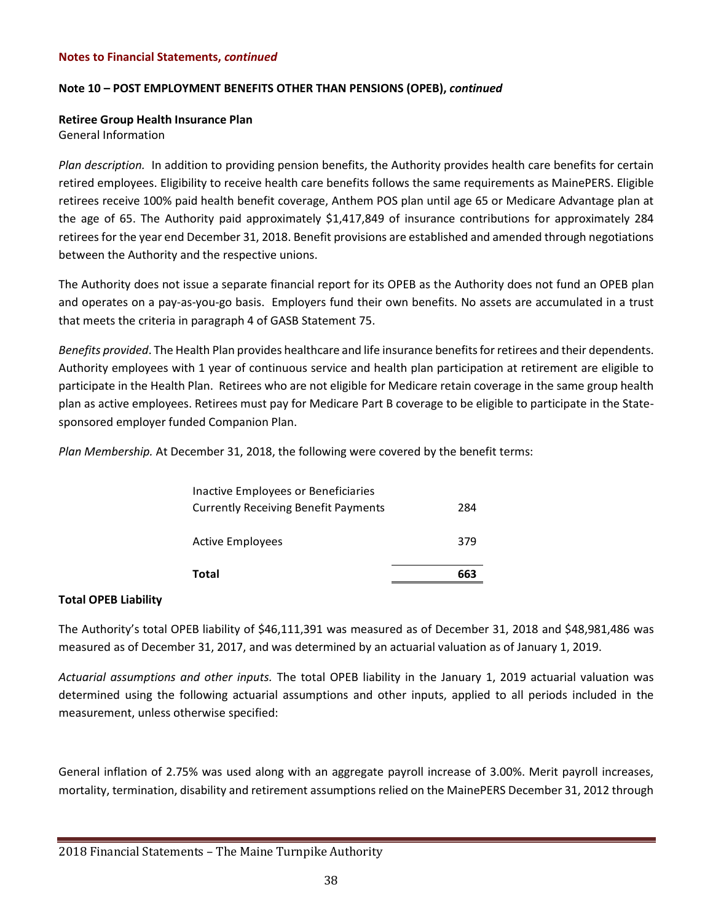### **Note 10 – POST EMPLOYMENT BENEFITS OTHER THAN PENSIONS (OPEB),** *continued*

## **Retiree Group Health Insurance Plan**

General Information

*Plan description.* In addition to providing pension benefits, the Authority provides health care benefits for certain retired employees. Eligibility to receive health care benefits follows the same requirements as MainePERS. Eligible retirees receive 100% paid health benefit coverage, Anthem POS plan until age 65 or Medicare Advantage plan at the age of 65. The Authority paid approximately \$1,417,849 of insurance contributions for approximately 284 retirees for the year end December 31, 2018. Benefit provisions are established and amended through negotiations between the Authority and the respective unions.

The Authority does not issue a separate financial report for its OPEB as the Authority does not fund an OPEB plan and operates on a pay-as-you-go basis. Employers fund their own benefits. No assets are accumulated in a trust that meets the criteria in paragraph 4 of GASB Statement 75.

*Benefits provided*. The Health Plan provides healthcare and life insurance benefits for retirees and their dependents. Authority employees with 1 year of continuous service and health plan participation at retirement are eligible to participate in the Health Plan. Retirees who are not eligible for Medicare retain coverage in the same group health plan as active employees. Retirees must pay for Medicare Part B coverage to be eligible to participate in the Statesponsored employer funded Companion Plan.

*Plan Membership.* At December 31, 2018, the following were covered by the benefit terms:

| Total                                      | 663 |
|--------------------------------------------|-----|
| Active Employees                           | 379 |
| Currently Receiving Benefit Payments       | 284 |
| <b>Inactive Employees or Beneficiaries</b> |     |

### **Total OPEB Liability**

The Authority's total OPEB liability of \$46,111,391 was measured as of December 31, 2018 and \$48,981,486 was measured as of December 31, 2017, and was determined by an actuarial valuation as of January 1, 2019.

*Actuarial assumptions and other inputs.* The total OPEB liability in the January 1, 2019 actuarial valuation was determined using the following actuarial assumptions and other inputs, applied to all periods included in the measurement, unless otherwise specified:

General inflation of 2.75% was used along with an aggregate payroll increase of 3.00%. Merit payroll increases, mortality, termination, disability and retirement assumptions relied on the MainePERS December 31, 2012 through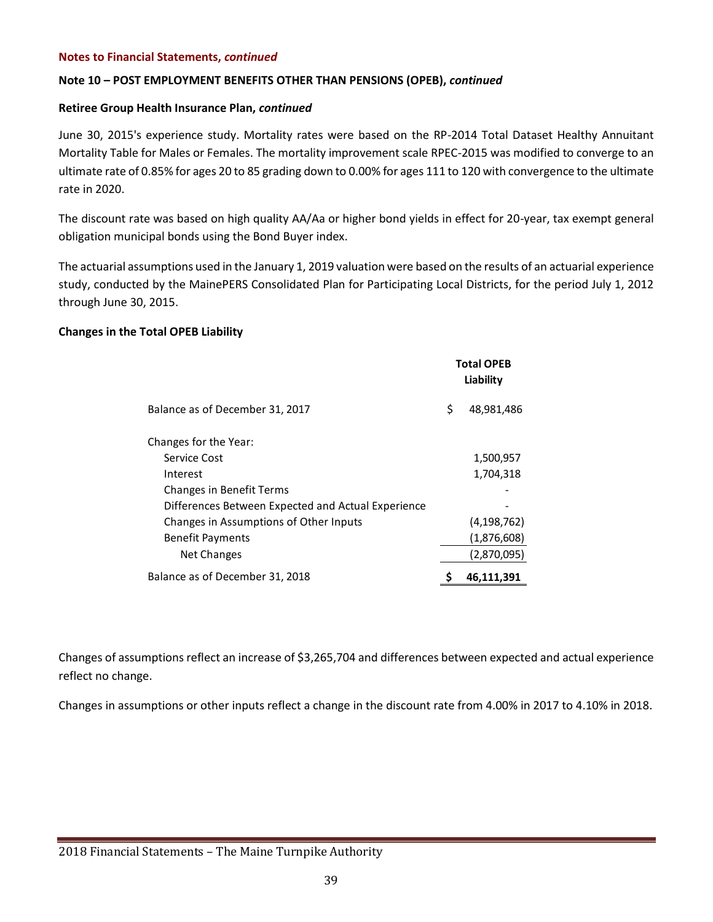### **Note 10 – POST EMPLOYMENT BENEFITS OTHER THAN PENSIONS (OPEB),** *continued*

### **Retiree Group Health Insurance Plan,** *continued*

June 30, 2015's experience study. Mortality rates were based on the RP-2014 Total Dataset Healthy Annuitant Mortality Table for Males or Females. The mortality improvement scale RPEC-2015 was modified to converge to an ultimate rate of 0.85% for ages 20 to 85 grading down to 0.00% for ages 111 to 120 with convergence to the ultimate rate in 2020.

The discount rate was based on high quality AA/Aa or higher bond yields in effect for 20-year, tax exempt general obligation municipal bonds using the Bond Buyer index.

The actuarial assumptions used in the January 1, 2019 valuation were based on the results of an actuarial experience study, conducted by the MainePERS Consolidated Plan for Participating Local Districts, for the period July 1, 2012 through June 30, 2015.

### **Changes in the Total OPEB Liability**

|                                                    | <b>Total OPEB</b><br>Liability |
|----------------------------------------------------|--------------------------------|
| Balance as of December 31, 2017                    | \$<br>48,981,486               |
| Changes for the Year:                              |                                |
| Service Cost                                       | 1,500,957                      |
| Interest                                           | 1,704,318                      |
| <b>Changes in Benefit Terms</b>                    |                                |
| Differences Between Expected and Actual Experience |                                |
| Changes in Assumptions of Other Inputs             | (4, 198, 762)                  |
| <b>Benefit Payments</b>                            | (1,876,608)                    |
| Net Changes                                        | (2,870,095)                    |
| Balance as of December 31, 2018                    | 46,111,391                     |

Changes of assumptions reflect an increase of \$3,265,704 and differences between expected and actual experience reflect no change.

Changes in assumptions or other inputs reflect a change in the discount rate from 4.00% in 2017 to 4.10% in 2018.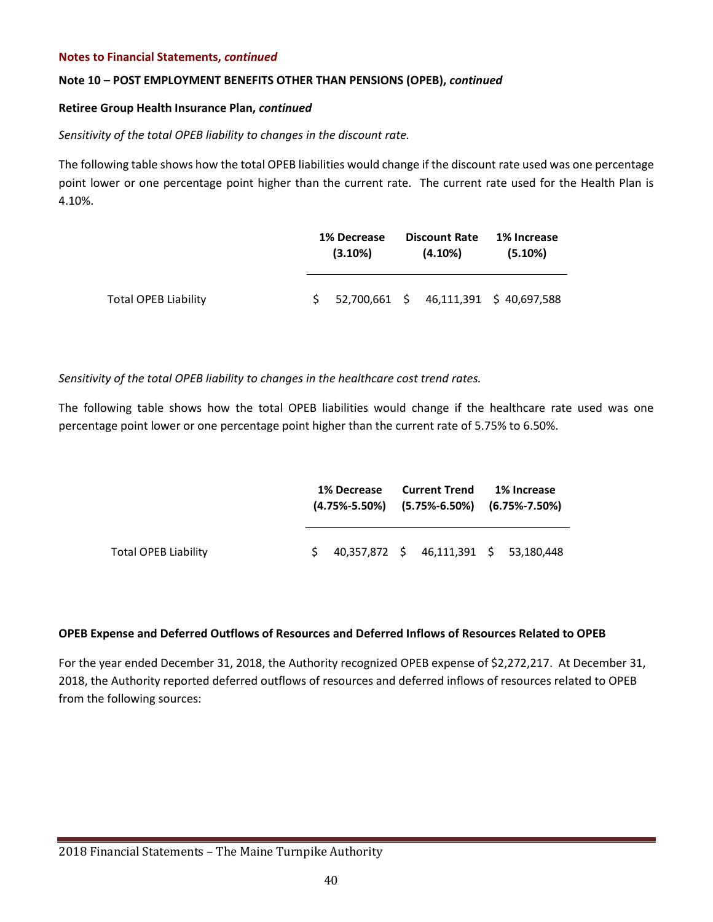### **Note 10 – POST EMPLOYMENT BENEFITS OTHER THAN PENSIONS (OPEB),** *continued*

### **Retiree Group Health Insurance Plan,** *continued*

### *Sensitivity of the total OPEB liability to changes in the discount rate.*

The following table shows how the total OPEB liabilities would change if the discount rate used was one percentage point lower or one percentage point higher than the current rate. The current rate used for the Health Plan is 4.10%.

|                             | <b>1% Decrease</b><br>$(3.10\%)$ |  | <b>Discount Rate</b><br>$(4.10\%)$ | <b>1% Increase</b><br>(5.10%)                |  |
|-----------------------------|----------------------------------|--|------------------------------------|----------------------------------------------|--|
| <b>Total OPEB Liability</b> |                                  |  |                                    | $$ 52,700,661 \ $ 46,111,391 \ $ 40,697,588$ |  |

*Sensitivity of the total OPEB liability to changes in the healthcare cost trend rates.* 

The following table shows how the total OPEB liabilities would change if the healthcare rate used was one percentage point lower or one percentage point higher than the current rate of 5.75% to 6.50%.

|                      | <b>1% Decrease</b> |  | Current Trend<br>$(4.75\% - 5.50\%)$ $(5.75\% - 6.50\%)$ $(6.75\% - 7.50\%)$ |                                        | 1% Increase |  |
|----------------------|--------------------|--|------------------------------------------------------------------------------|----------------------------------------|-------------|--|
| Total OPEB Liability |                    |  |                                                                              | 40,357,872 \$ 46,111,391 \$ 53,180,448 |             |  |

### **OPEB Expense and Deferred Outflows of Resources and Deferred Inflows of Resources Related to OPEB**

For the year ended December 31, 2018, the Authority recognized OPEB expense of \$2,272,217. At December 31, 2018, the Authority reported deferred outflows of resources and deferred inflows of resources related to OPEB from the following sources: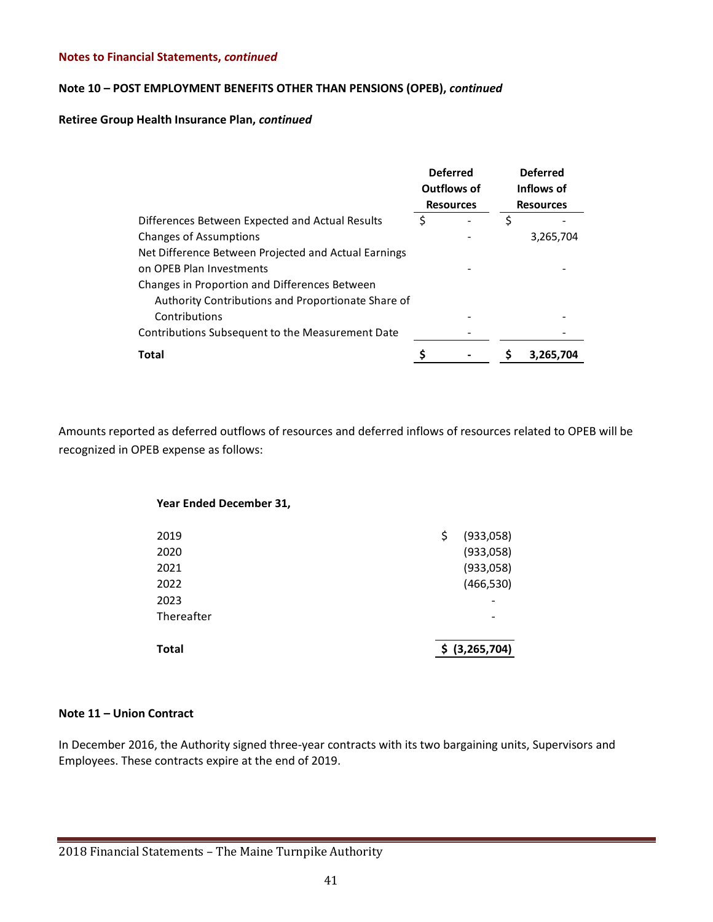### **Note 10 – POST EMPLOYMENT BENEFITS OTHER THAN PENSIONS (OPEB),** *continued*

#### **Retiree Group Health Insurance Plan,** *continued*

|                                                      | <b>Deferred</b>  |  | <b>Deferred</b>  |           |  |
|------------------------------------------------------|------------------|--|------------------|-----------|--|
|                                                      | Outflows of      |  | Inflows of       |           |  |
|                                                      | <b>Resources</b> |  | <b>Resources</b> |           |  |
| Differences Between Expected and Actual Results      | Ś                |  | \$               |           |  |
| <b>Changes of Assumptions</b>                        |                  |  |                  | 3,265,704 |  |
| Net Difference Between Projected and Actual Earnings |                  |  |                  |           |  |
| on OPEB Plan Investments                             |                  |  |                  |           |  |
| Changes in Proportion and Differences Between        |                  |  |                  |           |  |
| Authority Contributions and Proportionate Share of   |                  |  |                  |           |  |
| Contributions                                        |                  |  |                  |           |  |
| Contributions Subsequent to the Measurement Date     |                  |  |                  |           |  |
| <b>Total</b>                                         |                  |  |                  | 3,265,704 |  |

Amounts reported as deferred outflows of resources and deferred inflows of resources related to OPEB will be recognized in OPEB expense as follows:

| Year Ended December 31, |                 |
|-------------------------|-----------------|
| 2019                    | \$<br>(933,058) |
| 2020                    | (933,058)       |
| 2021                    | (933,058)       |
| 2022                    | (466, 530)      |
| 2023                    |                 |
| Thereafter              | -               |
| Total                   | \$ (3,265,704)  |

### **Note 11 – Union Contract**

In December 2016, the Authority signed three-year contracts with its two bargaining units, Supervisors and Employees. These contracts expire at the end of 2019.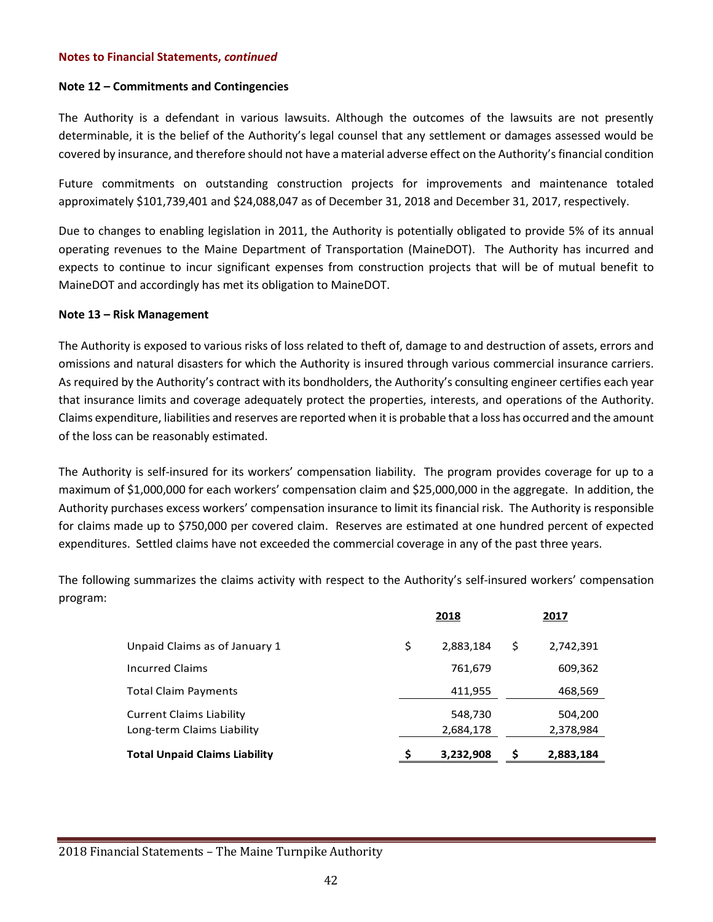### **Note 12 – Commitments and Contingencies**

The Authority is a defendant in various lawsuits. Although the outcomes of the lawsuits are not presently determinable, it is the belief of the Authority's legal counsel that any settlement or damages assessed would be covered by insurance, and therefore should not have a material adverse effect on the Authority's financial condition

Future commitments on outstanding construction projects for improvements and maintenance totaled approximately \$101,739,401 and \$24,088,047 as of December 31, 2018 and December 31, 2017, respectively.

Due to changes to enabling legislation in 2011, the Authority is potentially obligated to provide 5% of its annual operating revenues to the Maine Department of Transportation (MaineDOT). The Authority has incurred and expects to continue to incur significant expenses from construction projects that will be of mutual benefit to MaineDOT and accordingly has met its obligation to MaineDOT.

### **Note 13 – Risk Management**

The Authority is exposed to various risks of loss related to theft of, damage to and destruction of assets, errors and omissions and natural disasters for which the Authority is insured through various commercial insurance carriers. As required by the Authority's contract with its bondholders, the Authority's consulting engineer certifies each year that insurance limits and coverage adequately protect the properties, interests, and operations of the Authority. Claims expenditure, liabilities and reserves are reported when it is probable that a loss has occurred and the amount of the loss can be reasonably estimated.

The Authority is self-insured for its workers' compensation liability. The program provides coverage for up to a maximum of \$1,000,000 for each workers' compensation claim and \$25,000,000 in the aggregate. In addition, the Authority purchases excess workers' compensation insurance to limit its financial risk. The Authority is responsible for claims made up to \$750,000 per covered claim. Reserves are estimated at one hundred percent of expected expenditures. Settled claims have not exceeded the commercial coverage in any of the past three years.

The following summarizes the claims activity with respect to the Authority's self-insured workers' compensation program:

|                                      |    | 2018      |    | 2017      |
|--------------------------------------|----|-----------|----|-----------|
| Unpaid Claims as of January 1        | \$ | 2,883,184 | \$ | 2,742,391 |
| <b>Incurred Claims</b>               |    | 761,679   |    | 609,362   |
| <b>Total Claim Payments</b>          |    | 411,955   |    | 468,569   |
| <b>Current Claims Liability</b>      |    | 548,730   |    | 504,200   |
| Long-term Claims Liability           |    | 2,684,178 |    | 2,378,984 |
| <b>Total Unpaid Claims Liability</b> | S  | 3,232,908 | S  | 2,883,184 |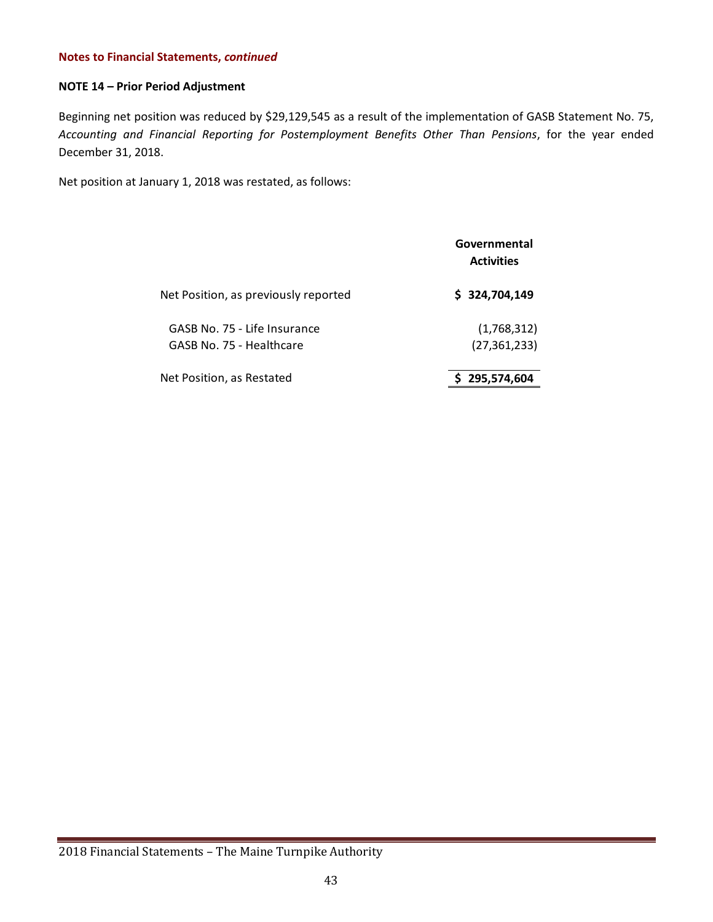### **NOTE 14 – Prior Period Adjustment**

Beginning net position was reduced by \$29,129,545 as a result of the implementation of GASB Statement No. 75, *Accounting and Financial Reporting for Postemployment Benefits Other Than Pensions*, for the year ended December 31, 2018.

Net position at January 1, 2018 was restated, as follows:

|                                                          | Governmental<br><b>Activities</b> |
|----------------------------------------------------------|-----------------------------------|
| Net Position, as previously reported                     | \$324,704,149                     |
| GASB No. 75 - Life Insurance<br>GASB No. 75 - Healthcare | (1,768,312)<br>(27, 361, 233)     |
| Net Position, as Restated                                | \$295,574,604                     |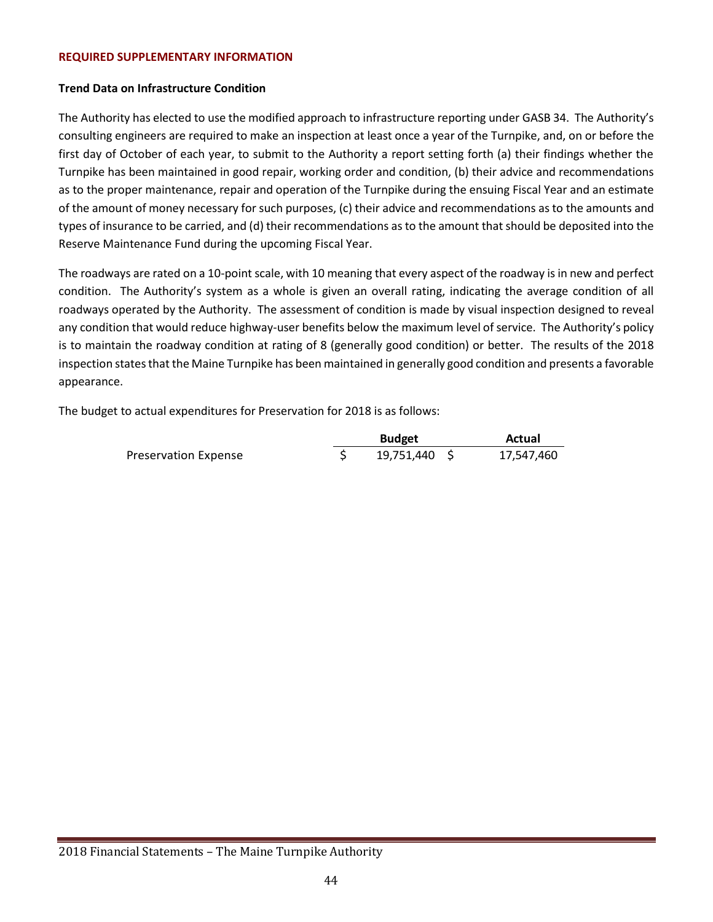#### **REQUIRED SUPPLEMENTARY INFORMATION**

### **Trend Data on Infrastructure Condition**

The Authority has elected to use the modified approach to infrastructure reporting under GASB 34. The Authority's consulting engineers are required to make an inspection at least once a year of the Turnpike, and, on or before the first day of October of each year, to submit to the Authority a report setting forth (a) their findings whether the Turnpike has been maintained in good repair, working order and condition, (b) their advice and recommendations as to the proper maintenance, repair and operation of the Turnpike during the ensuing Fiscal Year and an estimate of the amount of money necessary for such purposes, (c) their advice and recommendations as to the amounts and types of insurance to be carried, and (d) their recommendations as to the amount that should be deposited into the Reserve Maintenance Fund during the upcoming Fiscal Year.

The roadways are rated on a 10-point scale, with 10 meaning that every aspect of the roadway is in new and perfect condition. The Authority's system as a whole is given an overall rating, indicating the average condition of all roadways operated by the Authority. The assessment of condition is made by visual inspection designed to reveal any condition that would reduce highway-user benefits below the maximum level of service. The Authority's policy is to maintain the roadway condition at rating of 8 (generally good condition) or better. The results of the 2018 inspection states that the Maine Turnpike has been maintained in generally good condition and presents a favorable appearance.

The budget to actual expenditures for Preservation for 2018 is as follows:

|                      | <b>Budget</b> | Actual     |
|----------------------|---------------|------------|
| Preservation Expense | 19,751,440 \$ | 17,547,460 |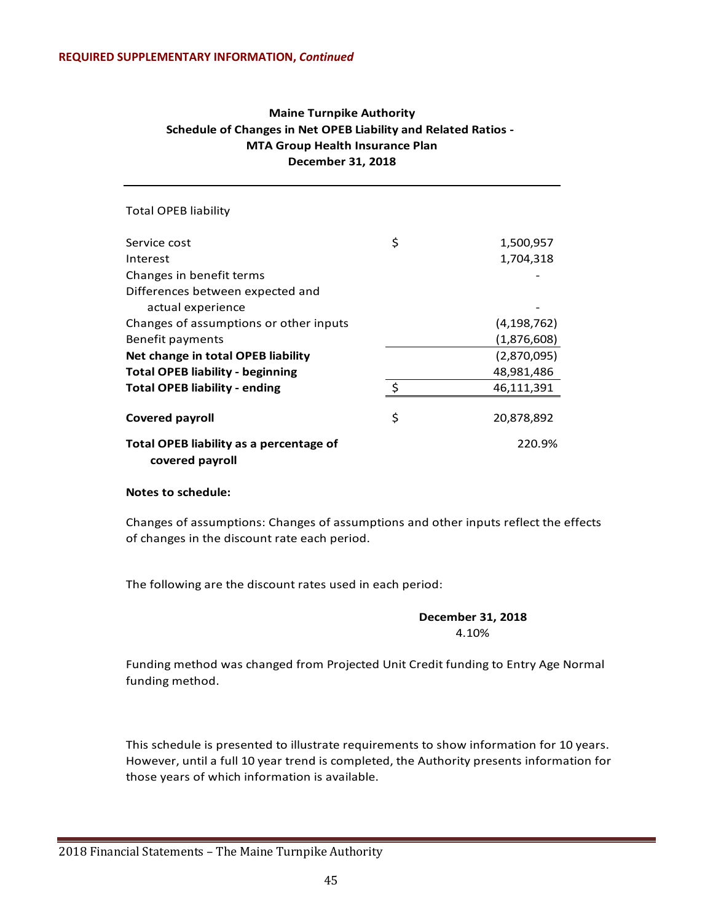### **Maine Turnpike Authority Schedule of Changes in Net OPEB Liability and Related Ratios - MTA Group Health Insurance Plan December 31, 2018**

# Total OPEB liability Service cost 5 1,500,957 Interest 1,704,318 Changes in benefit terms - Differences between expected and actual experience Changes of assumptions or other inputs (4,198,762) Benefit payments (1,876,608) **Net change in total OPEB liability** (2,870,095) **Total OPEB liability - beginning the control of the 48,981,486 Total OPEB liability - ending**  $\leftarrow$  **8 46,111,391 Covered payroll Covered payroll 5** 20,878,892 **Total OPEB liability as a percentage of** 220.9%  **covered payroll**

### **Notes to schedule:**

Changes of assumptions: Changes of assumptions and other inputs reflect the effects of changes in the discount rate each period.

The following are the discount rates used in each period:

### **December 31, 2018** 4.10%

Funding method was changed from Projected Unit Credit funding to Entry Age Normal funding method.

This schedule is presented to illustrate requirements to show information for 10 years. However, until a full 10 year trend is completed, the Authority presents information for those years of which information is available.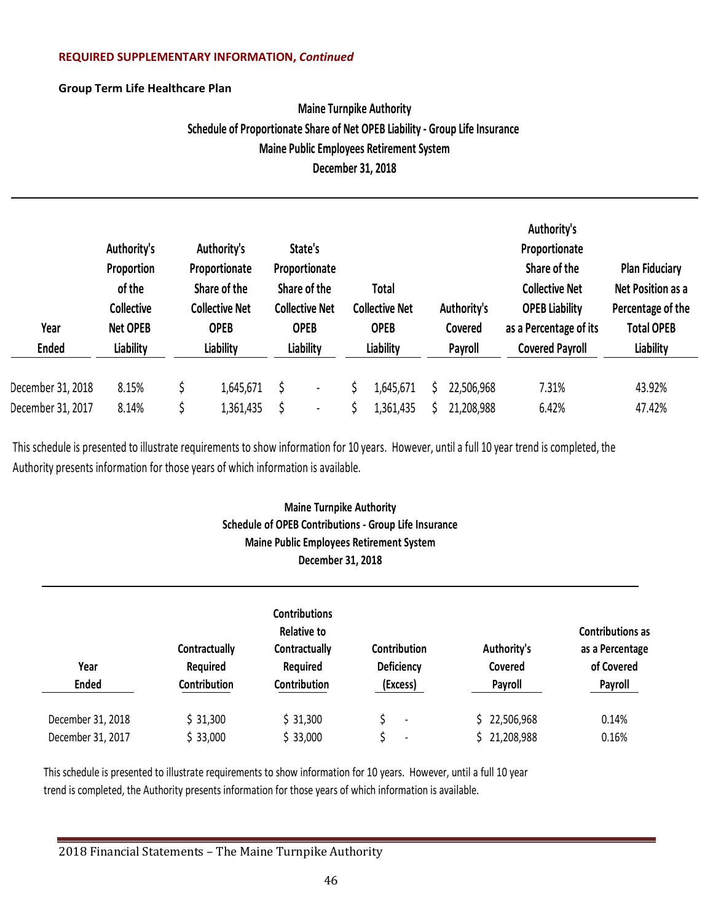### **REQUIRED SUPPLEMENTARY INFORMATION,** *Continued*

### **Group Term Life Healthcare Plan**

# **Maine Turnpike Authority Schedule of Proportionate Share of Net OPEB Liability - Group Life Insurance Maine Public Employees Retirement System December 31, 2018**

| Year<br><b>Ended</b> | Authority's<br>Proportion<br>of the<br><b>Collective</b><br><b>Net OPEB</b><br>Liability | Authority's<br>Proportionate<br>Share of the<br><b>Collective Net</b><br><b>OPEB</b><br>Liability |   | State's<br>Proportionate<br>Share of the<br><b>Collective Net</b><br><b>OPEB</b><br>Liability | Total<br><b>Collective Net</b><br><b>OPEB</b><br>Liability | Authority's<br>Covered<br>Payroll | Authority's<br>Proportionate<br>Share of the<br><b>Collective Net</b><br><b>OPEB Liability</b><br>as a Percentage of its<br><b>Covered Payroll</b> | <b>Plan Fiduciary</b><br>Net Position as a<br>Percentage of the<br><b>Total OPEB</b><br>Liability |
|----------------------|------------------------------------------------------------------------------------------|---------------------------------------------------------------------------------------------------|---|-----------------------------------------------------------------------------------------------|------------------------------------------------------------|-----------------------------------|----------------------------------------------------------------------------------------------------------------------------------------------------|---------------------------------------------------------------------------------------------------|
| December 31, 2018    | 8.15%                                                                                    | 1,645,671                                                                                         | Ś |                                                                                               | 1,645,671                                                  | 22,506,968                        | 7.31%                                                                                                                                              | 43.92%                                                                                            |
| December 31, 2017    | 8.14%                                                                                    | 1,361,435                                                                                         |   | $\blacksquare$                                                                                | 1,361,435                                                  | 21,208,988                        | 6.42%                                                                                                                                              | 47.42%                                                                                            |

This schedule is presented to illustrate requirements to show information for 10 years. However, until a full 10 year trend is completed, the Authority presents information for those years of which information is available.

# **Maine Turnpike Authority Schedule of OPEB Contributions - Group Life Insurance Maine Public Employees Retirement System December 31, 2018**

| Year<br><b>Ended</b> | Contractually<br>Required<br>Contribution | <b>Contributions</b><br><b>Relative to</b><br>Contractually<br>Required<br>Contribution | <b>Contribution</b><br>Deficiency<br>(Excess) | Authority's<br>Covered<br>Payroll | <b>Contributions as</b><br>as a Percentage<br>of Covered<br>Payroll |
|----------------------|-------------------------------------------|-----------------------------------------------------------------------------------------|-----------------------------------------------|-----------------------------------|---------------------------------------------------------------------|
| December 31, 2018    | \$31,300                                  | \$31,300                                                                                | $\blacksquare$                                | \$22,506,968                      | 0.14%                                                               |
| December 31, 2017    | \$33,000                                  | \$33,000                                                                                | $\overline{\phantom{a}}$                      | \$21,208,988                      | 0.16%                                                               |

This schedule is presented to illustrate requirements to show information for 10 years. However, until a full 10 year trend is completed, the Authority presents information for those years of which information is available.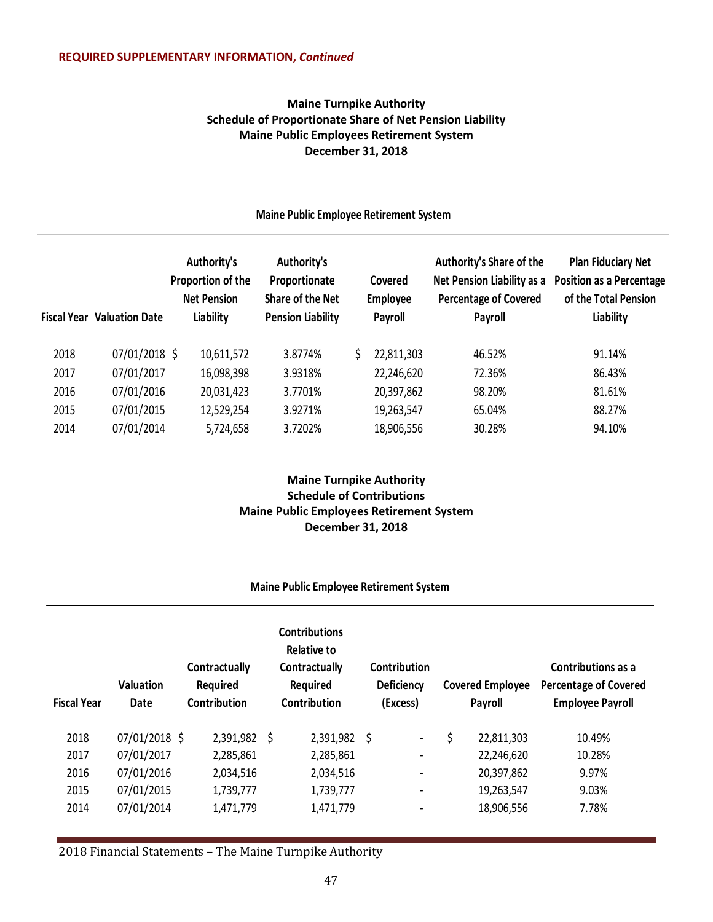### **Maine Turnpike Authority Schedule of Proportionate Share of Net Pension Liability Maine Public Employees Retirement System December 31, 2018**

### **Maine Public Employee Retirement System**

|      | <b>Fiscal Year Valuation Date</b> | Authority's<br>Proportion of the<br><b>Net Pension</b><br>Liability | Authority's<br>Proportionate<br>Share of the Net<br><b>Pension Liability</b> | Covered<br>Employee<br>Payroll |            | Authority's Share of the<br>Net Pension Liability as a<br><b>Percentage of Covered</b><br>Payroll | <b>Plan Fiduciary Net</b><br><b>Position as a Percentage</b><br>of the Total Pension<br>Liability |  |
|------|-----------------------------------|---------------------------------------------------------------------|------------------------------------------------------------------------------|--------------------------------|------------|---------------------------------------------------------------------------------------------------|---------------------------------------------------------------------------------------------------|--|
| 2018 | 07/01/2018 \$                     | 10,611,572                                                          | 3.8774%                                                                      |                                | 22,811,303 | 46.52%                                                                                            | 91.14%                                                                                            |  |
| 2017 | 07/01/2017                        | 16,098,398                                                          | 3.9318%                                                                      |                                | 22,246,620 | 72.36%                                                                                            | 86.43%                                                                                            |  |
| 2016 | 07/01/2016                        | 20,031,423                                                          | 3.7701%                                                                      |                                | 20,397,862 | 98.20%                                                                                            | 81.61%                                                                                            |  |
| 2015 | 07/01/2015                        | 12,529,254                                                          | 3.9271%                                                                      |                                | 19,263,547 | 65.04%                                                                                            | 88.27%                                                                                            |  |
| 2014 | 07/01/2014                        | 5,724,658                                                           | 3.7202%                                                                      |                                | 18,906,556 | 30.28%                                                                                            | 94.10%                                                                                            |  |

### **Maine Turnpike Authority Schedule of Contributions Maine Public Employees Retirement System December 31, 2018**

### **Maine Public Employee Retirement System**

| <b>Fiscal Year</b> | <b>Valuation</b><br>Date | Contractually<br><b>Required</b><br><b>Contribution</b> | <b>Contributions</b><br><b>Relative to</b><br>Contractually<br>Required<br>Contribution | Contribution<br><b>Deficiency</b><br>(Excess) | <b>Covered Employee</b><br>Payroll | <b>Contributions as a</b><br><b>Percentage of Covered</b><br><b>Employee Payroll</b> |
|--------------------|--------------------------|---------------------------------------------------------|-----------------------------------------------------------------------------------------|-----------------------------------------------|------------------------------------|--------------------------------------------------------------------------------------|
| 2018               | 07/01/2018 \$            | 2,391,982                                               | -Ŝ<br>2,391,982 \$                                                                      | $\overline{\phantom{a}}$                      | \$<br>22,811,303                   | 10.49%                                                                               |
| 2017               | 07/01/2017               | 2,285,861                                               | 2,285,861                                                                               | $\overline{\phantom{a}}$                      | 22,246,620                         | 10.28%                                                                               |
| 2016               | 07/01/2016               | 2,034,516                                               | 2,034,516                                                                               | $\overline{\phantom{a}}$                      | 20,397,862                         | 9.97%                                                                                |
| 2015               | 07/01/2015               | 1,739,777                                               | 1,739,777                                                                               | $\overline{\phantom{a}}$                      | 19,263,547                         | 9.03%                                                                                |
| 2014               | 07/01/2014               | 1,471,779                                               | 1,471,779                                                                               | $\overline{\phantom{a}}$                      | 18,906,556                         | 7.78%                                                                                |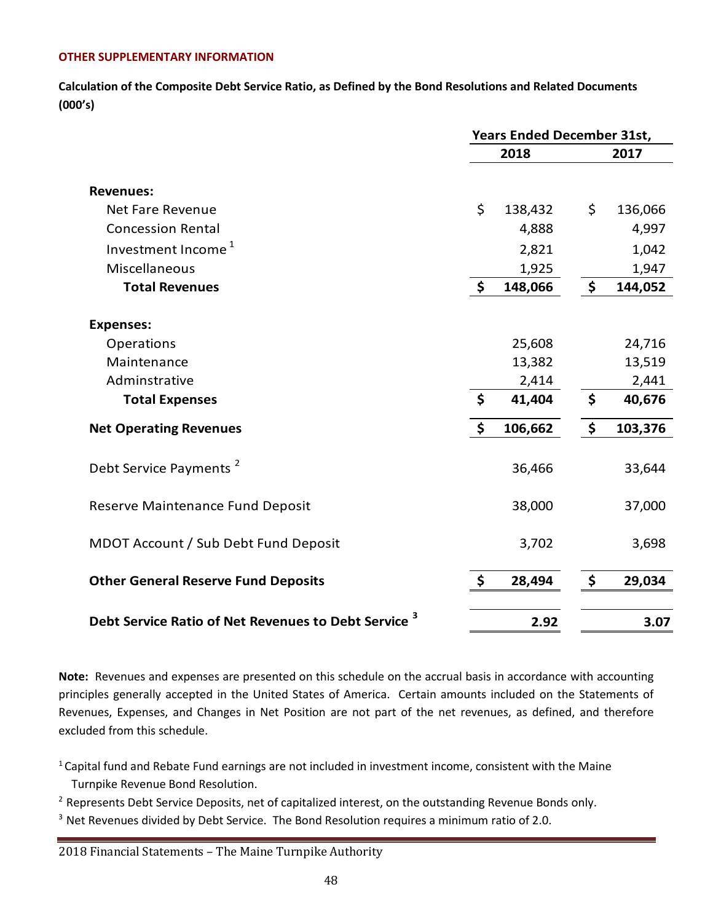### **OTHER SUPPLEMENTARY INFORMATION**

**Calculation of the Composite Debt Service Ratio, as Defined by the Bond Resolutions and Related Documents (000's)**

|                                                           | <b>Years Ended December 31st,</b> |         |                      |         |  |
|-----------------------------------------------------------|-----------------------------------|---------|----------------------|---------|--|
|                                                           |                                   | 2018    |                      | 2017    |  |
| <b>Revenues:</b>                                          |                                   |         |                      |         |  |
| <b>Net Fare Revenue</b>                                   | \$                                | 138,432 | \$                   | 136,066 |  |
| <b>Concession Rental</b>                                  |                                   | 4,888   |                      | 4,997   |  |
| Investment Income <sup>1</sup>                            |                                   | 2,821   |                      | 1,042   |  |
| Miscellaneous                                             |                                   | 1,925   |                      | 1,947   |  |
| <b>Total Revenues</b>                                     | $\varsigma$                       | 148,066 | \$                   | 144,052 |  |
| <b>Expenses:</b>                                          |                                   |         |                      |         |  |
| Operations                                                |                                   | 25,608  |                      | 24,716  |  |
| Maintenance                                               |                                   | 13,382  |                      | 13,519  |  |
| Adminstrative                                             |                                   | 2,414   |                      | 2,441   |  |
| <b>Total Expenses</b>                                     | $\mathsf{\hat{S}}$                | 41,404  | $\boldsymbol{\zeta}$ | 40,676  |  |
| <b>Net Operating Revenues</b>                             | $\boldsymbol{\zeta}$              | 106,662 | \$                   | 103,376 |  |
| Debt Service Payments <sup>2</sup>                        |                                   | 36,466  |                      | 33,644  |  |
| <b>Reserve Maintenance Fund Deposit</b>                   |                                   | 38,000  |                      | 37,000  |  |
| MDOT Account / Sub Debt Fund Deposit                      |                                   | 3,702   |                      | 3,698   |  |
| <b>Other General Reserve Fund Deposits</b>                | $\mathsf{\$}$                     | 28,494  | \$                   | 29,034  |  |
| <b>Debt Service Ratio of Net Revenues to Debt Service</b> |                                   | 2.92    |                      | 3.07    |  |

**Note:** Revenues and expenses are presented on this schedule on the accrual basis in accordance with accounting principles generally accepted in the United States of America. Certain amounts included on the Statements of Revenues, Expenses, and Changes in Net Position are not part of the net revenues, as defined, and therefore excluded from this schedule.

<sup>1</sup> Capital fund and Rebate Fund earnings are not included in investment income, consistent with the Maine Turnpike Revenue Bond Resolution.

<sup>2</sup> Represents Debt Service Deposits, net of capitalized interest, on the outstanding Revenue Bonds only.

 $3$  Net Revenues divided by Debt Service. The Bond Resolution requires a minimum ratio of 2.0.